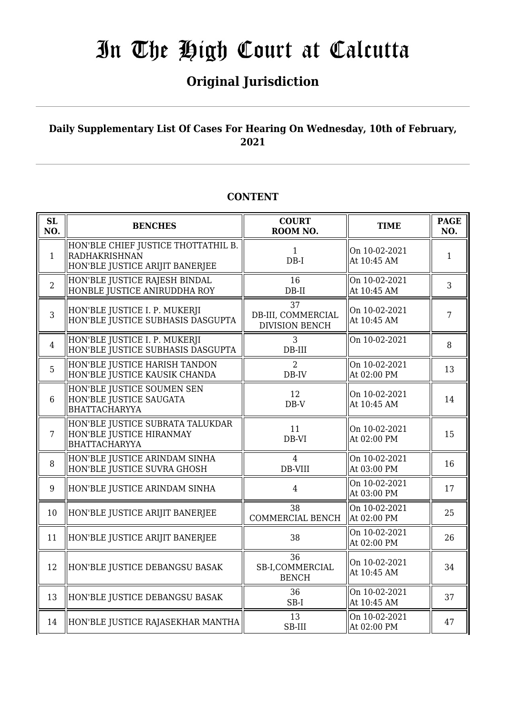## **Original Jurisdiction**

### **Daily Supplementary List Of Cases For Hearing On Wednesday, 10th of February, 2021**

### **CONTENT**

| SL<br>NO.       | <b>BENCHES</b>                                                                          | <b>COURT</b><br>ROOM NO.                          | <b>TIME</b>                  | <b>PAGE</b><br>NO. |
|-----------------|-----------------------------------------------------------------------------------------|---------------------------------------------------|------------------------------|--------------------|
| $\mathbf{1}$    | HON'BLE CHIEF JUSTICE THOTTATHIL B.<br>RADHAKRISHNAN<br>HON'BLE JUSTICE ARIJIT BANERJEE | $\mathbf{1}$<br>$DB-I$                            | On 10-02-2021<br>At 10:45 AM | $\mathbf{1}$       |
| $\overline{2}$  | HON'BLE JUSTICE RAJESH BINDAL<br>HONBLE JUSTICE ANIRUDDHA ROY                           | 16<br>$DB-II$                                     | On 10-02-2021<br>At 10:45 AM | 3                  |
| 3               | HON'BLE JUSTICE I. P. MUKERJI<br>HON'BLE JUSTICE SUBHASIS DASGUPTA                      | 37<br>DB-III, COMMERCIAL<br><b>DIVISION BENCH</b> | On 10-02-2021<br>At 10:45 AM | $\overline{7}$     |
| $\overline{4}$  | HON'BLE JUSTICE I. P. MUKERJI<br>HON'BLE JUSTICE SUBHASIS DASGUPTA                      | 3<br>$DB-III$                                     | On 10-02-2021                | 8                  |
| 5               | HON'BLE JUSTICE HARISH TANDON<br>HON'BLE JUSTICE KAUSIK CHANDA                          | $\overline{2}$<br>DB-IV                           | On 10-02-2021<br>At 02:00 PM | 13                 |
| $6\phantom{1}6$ | HON'BLE JUSTICE SOUMEN SEN<br>HON'BLE JUSTICE SAUGATA<br><b>BHATTACHARYYA</b>           | 12<br>$DB-V$                                      | On 10-02-2021<br>At 10:45 AM | 14                 |
| $\overline{7}$  | HON'BLE JUSTICE SUBRATA TALUKDAR<br>HON'BLE JUSTICE HIRANMAY<br><b>BHATTACHARYYA</b>    | 11<br>DB-VI                                       | On 10-02-2021<br>At 02:00 PM | 15                 |
| 8               | HON'BLE JUSTICE ARINDAM SINHA<br>HON'BLE JUSTICE SUVRA GHOSH                            | $\overline{4}$<br>DB-VIII                         | On 10-02-2021<br>At 03:00 PM | 16                 |
| 9               | HON'BLE JUSTICE ARINDAM SINHA                                                           | $\overline{4}$                                    | On 10-02-2021<br>At 03:00 PM | 17                 |
| 10              | HON'BLE JUSTICE ARIJIT BANERJEE                                                         | 38<br>COMMERCIAL BENCH                            | On 10-02-2021<br>At 02:00 PM | 25                 |
| 11              | HON'BLE JUSTICE ARIJIT BANERJEE                                                         | 38                                                | On 10-02-2021<br>At 02:00 PM | 26                 |
| 12              | HON'BLE JUSTICE DEBANGSU BASAK                                                          | 36<br>SB-I,COMMERCIAL<br><b>BENCH</b>             | On 10-02-2021<br>At 10:45 AM | 34                 |
| 13              | HON'BLE JUSTICE DEBANGSU BASAK                                                          | 36<br>SB-I                                        | On 10-02-2021<br>At 10:45 AM | 37                 |
| 14              | HON'BLE JUSTICE RAJASEKHAR MANTHA                                                       | 13<br>SB-III                                      | On 10-02-2021<br>At 02:00 PM | 47                 |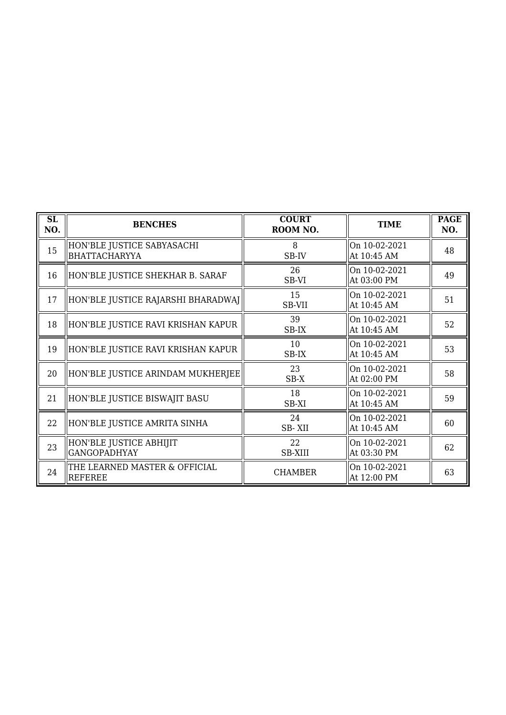| SL<br>NO. | <b>BENCHES</b>                                 | <b>COURT</b><br>ROOM NO. | <b>TIME</b>                  | <b>PAGE</b><br>NO. |
|-----------|------------------------------------------------|--------------------------|------------------------------|--------------------|
| 15        | HON'BLE JUSTICE SABYASACHI<br> BHATTACHARYYA   | 8<br>SB-IV               | On 10-02-2021<br>At 10:45 AM | 48                 |
| 16        | HON'BLE JUSTICE SHEKHAR B. SARAF               | 26<br>SB-VI              | On 10-02-2021<br>At 03:00 PM | 49                 |
| 17        | HON'BLE JUSTICE RAJARSHI BHARADWAJ             | 15<br>SB-VII             | On 10-02-2021<br>At 10:45 AM | 51                 |
| 18        | HON'BLE JUSTICE RAVI KRISHAN KAPUR             | 39<br>SB-IX              | On 10-02-2021<br>At 10:45 AM | 52                 |
| 19        | HON'BLE JUSTICE RAVI KRISHAN KAPUR             | 10<br>SB-IX              | On 10-02-2021<br>At 10:45 AM | 53                 |
| 20        | HON'BLE JUSTICE ARINDAM MUKHERJEE              | 23<br>$SB-X$             | On 10-02-2021<br>At 02:00 PM | 58                 |
| 21        | HON'BLE JUSTICE BISWAJIT BASU                  | 18<br>SB-XI              | On 10-02-2021<br>At 10:45 AM | 59                 |
| 22        | HON'BLE JUSTICE AMRITA SINHA                   | 24<br>SB-XII             | On 10-02-2021<br>At 10:45 AM | 60                 |
| 23        | HON'BLE JUSTICE ABHIJIT<br><b>GANGOPADHYAY</b> | 22<br><b>SB-XIII</b>     | On 10-02-2021<br>At 03:30 PM | 62                 |
| 24        | THE LEARNED MASTER & OFFICIAL<br>REFEREE       | <b>CHAMBER</b>           | On 10-02-2021<br>At 12:00 PM | 63                 |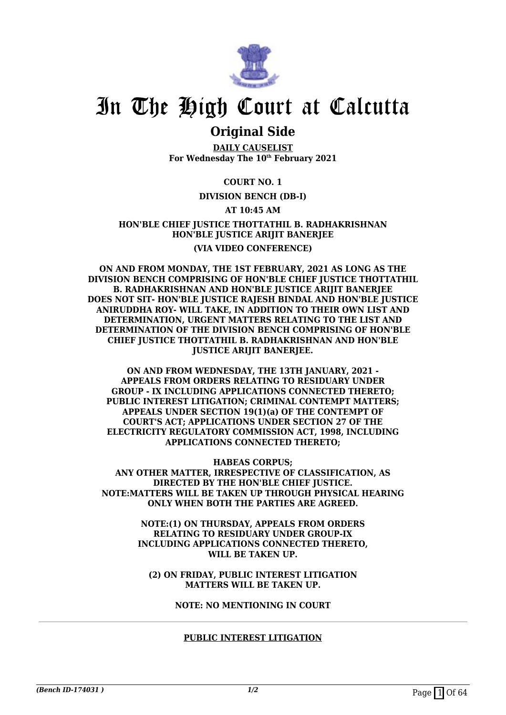

### **Original Side**

**DAILY CAUSELIST For Wednesday The 10th February 2021**

#### **COURT NO. 1**

#### **DIVISION BENCH (DB-I)**

#### **AT 10:45 AM**

#### **HON'BLE CHIEF JUSTICE THOTTATHIL B. RADHAKRISHNAN HON'BLE JUSTICE ARIJIT BANERJEE (VIA VIDEO CONFERENCE)**

**ON AND FROM MONDAY, THE 1ST FEBRUARY, 2021 AS LONG AS THE DIVISION BENCH COMPRISING OF HON'BLE CHIEF JUSTICE THOTTATHIL B. RADHAKRISHNAN AND HON'BLE JUSTICE ARIJIT BANERJEE DOES NOT SIT- HON'BLE JUSTICE RAJESH BINDAL AND HON'BLE JUSTICE ANIRUDDHA ROY- WILL TAKE, IN ADDITION TO THEIR OWN LIST AND DETERMINATION, URGENT MATTERS RELATING TO THE LIST AND DETERMINATION OF THE DIVISION BENCH COMPRISING OF HON'BLE CHIEF JUSTICE THOTTATHIL B. RADHAKRISHNAN AND HON'BLE JUSTICE ARIJIT BANERJEE.**

**ON AND FROM WEDNESDAY, THE 13TH JANUARY, 2021 - APPEALS FROM ORDERS RELATING TO RESIDUARY UNDER GROUP - IX INCLUDING APPLICATIONS CONNECTED THERETO; PUBLIC INTEREST LITIGATION; CRIMINAL CONTEMPT MATTERS; APPEALS UNDER SECTION 19(1)(a) OF THE CONTEMPT OF COURT'S ACT; APPLICATIONS UNDER SECTION 27 OF THE ELECTRICITY REGULATORY COMMISSION ACT, 1998, INCLUDING APPLICATIONS CONNECTED THERETO;**

**HABEAS CORPUS;**

**ANY OTHER MATTER, IRRESPECTIVE OF CLASSIFICATION, AS DIRECTED BY THE HON'BLE CHIEF JUSTICE. NOTE:MATTERS WILL BE TAKEN UP THROUGH PHYSICAL HEARING ONLY WHEN BOTH THE PARTIES ARE AGREED.**

> **NOTE:(1) ON THURSDAY, APPEALS FROM ORDERS RELATING TO RESIDUARY UNDER GROUP-IX INCLUDING APPLICATIONS CONNECTED THERETO, WILL BE TAKEN UP.**

**(2) ON FRIDAY, PUBLIC INTEREST LITIGATION MATTERS WILL BE TAKEN UP.**

**NOTE: NO MENTIONING IN COURT**

#### **PUBLIC INTEREST LITIGATION**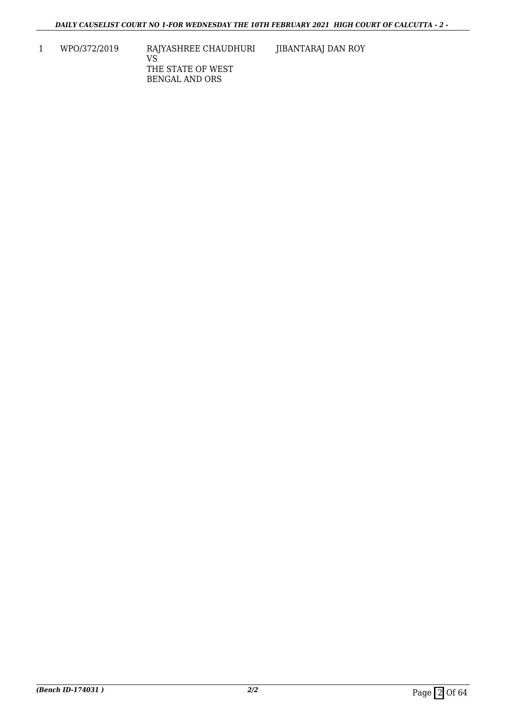1 WPO/372/2019 RAJYASHREE CHAUDHURI VS THE STATE OF WEST BENGAL AND ORS

JIBANTARAJ DAN ROY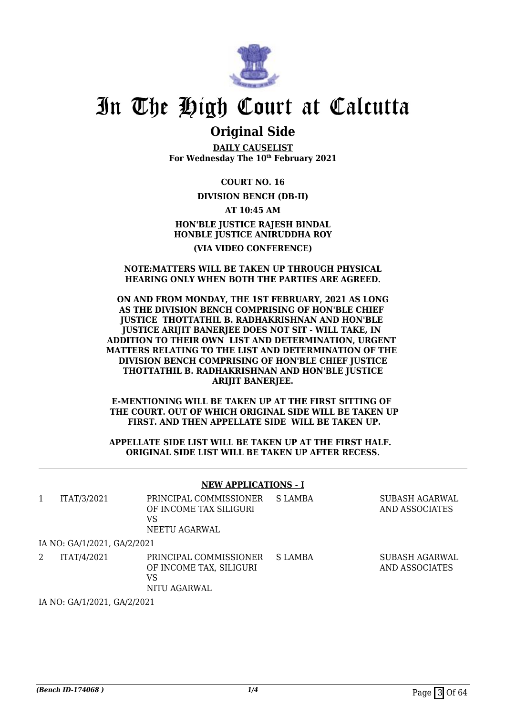

### **Original Side**

**DAILY CAUSELIST For Wednesday The 10th February 2021**

**COURT NO. 16**

**DIVISION BENCH (DB-II)**

**AT 10:45 AM HON'BLE JUSTICE RAJESH BINDAL HONBLE JUSTICE ANIRUDDHA ROY (VIA VIDEO CONFERENCE)**

#### **NOTE:MATTERS WILL BE TAKEN UP THROUGH PHYSICAL HEARING ONLY WHEN BOTH THE PARTIES ARE AGREED.**

#### **ON AND FROM MONDAY, THE 1ST FEBRUARY, 2021 AS LONG AS THE DIVISION BENCH COMPRISING OF HON'BLE CHIEF JUSTICE THOTTATHIL B. RADHAKRISHNAN AND HON'BLE JUSTICE ARIJIT BANERJEE DOES NOT SIT - WILL TAKE, IN ADDITION TO THEIR OWN LIST AND DETERMINATION, URGENT MATTERS RELATING TO THE LIST AND DETERMINATION OF THE DIVISION BENCH COMPRISING OF HON'BLE CHIEF JUSTICE THOTTATHIL B. RADHAKRISHNAN AND HON'BLE JUSTICE ARIJIT BANERJEE.**

**E-MENTIONING WILL BE TAKEN UP AT THE FIRST SITTING OF THE COURT. OUT OF WHICH ORIGINAL SIDE WILL BE TAKEN UP FIRST. AND THEN APPELLATE SIDE WILL BE TAKEN UP.**

**APPELLATE SIDE LIST WILL BE TAKEN UP AT THE FIRST HALF. ORIGINAL SIDE LIST WILL BE TAKEN UP AFTER RECESS.**

#### **NEW APPLICATIONS - I**

| 1 | ITAT/3/2021                 | PRINCIPAL COMMISSIONER<br>OF INCOME TAX SILIGURI<br>VS<br>NEETU AGARWAL | S LAMBA | SUBASH AGARWAL<br>AND ASSOCIATES |
|---|-----------------------------|-------------------------------------------------------------------------|---------|----------------------------------|
|   | IA NO: GA/1/2021, GA/2/2021 |                                                                         |         |                                  |
|   | ITAT/4/2021                 | PRINCIPAL COMMISSIONER<br>OF INCOME TAX, SILIGURI<br>VS<br>NITU AGARWAL | S LAMBA | SUBASH AGARWAL<br>AND ASSOCIATES |

IA NO: GA/1/2021, GA/2/2021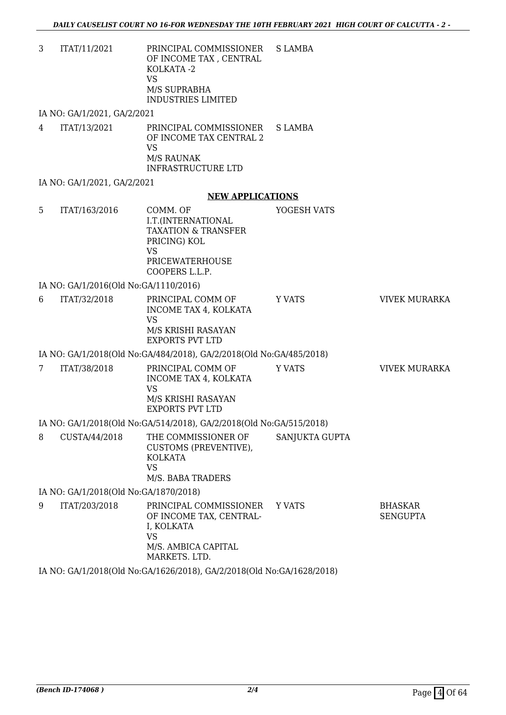3 ITAT/11/2021 PRINCIPAL COMMISSIONER OF INCOME TAX , CENTRAL KOLKATA -2 VS M/S SUPRABHA INDUSTRIES LIMITED S LAMBA

IA NO: GA/1/2021, GA/2/2021

4 ITAT/13/2021 PRINCIPAL COMMISSIONER OF INCOME TAX CENTRAL 2 VS M/S RAUNAK INFRASTRUCTURE LTD S LAMBA

IA NO: GA/1/2021, GA/2/2021

#### **NEW APPLICATIONS**

- 5 ITAT/163/2016 COMM. OF I.T.(INTERNATIONAL TAXATION & TRANSFER PRICING) KOL VS PRICEWATERHOUSE COOPERS L.L.P. YOGESH VATS IA NO: GA/1/2016(Old No:GA/1110/2016) 6 ITAT/32/2018 PRINCIPAL COMM OF INCOME TAX 4, KOLKATA VS M/S KRISHI RASAYAN EXPORTS PVT LTD Y VATS **VIVEK MURARKA** IA NO: GA/1/2018(Old No:GA/484/2018), GA/2/2018(Old No:GA/485/2018) 7 ITAT/38/2018 PRINCIPAL COMM OF INCOME TAX 4, KOLKATA VS M/S KRISHI RASAYAN EXPORTS PVT LTD Y VATS **VIVEK MURARKA** IA NO: GA/1/2018(Old No:GA/514/2018), GA/2/2018(Old No:GA/515/2018) 8 CUSTA/44/2018 THE COMMISSIONER OF SANJUKTA GUPTA
- CUSTOMS (PREVENTIVE), KOLKATA VS M/S. BABA TRADERS

IA NO: GA/1/2018(Old No:GA/1870/2018)

9 ITAT/203/2018 PRINCIPAL COMMISSIONER OF INCOME TAX, CENTRAL-I, KOLKATA VS M/S. AMBICA CAPITAL MARKETS. LTD. Y VATS BHASKAR SENGUPTA

IA NO: GA/1/2018(Old No:GA/1626/2018), GA/2/2018(Old No:GA/1628/2018)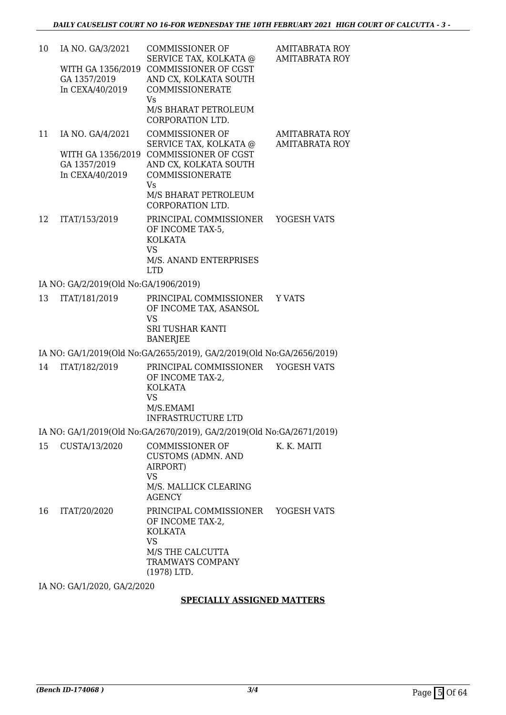| 10 | IA NO. GA/3/2021<br>WITH GA 1356/2019<br>GA 1357/2019<br>In CEXA/40/2019 | <b>COMMISSIONER OF</b><br>SERVICE TAX, KOLKATA @<br>COMMISSIONER OF CGST<br>AND CX, KOLKATA SOUTH<br><b>COMMISSIONERATE</b><br><b>Vs</b><br>M/S BHARAT PETROLEUM<br>CORPORATION LTD. | <b>AMITABRATA ROY</b><br><b>AMITABRATA ROY</b> |
|----|--------------------------------------------------------------------------|--------------------------------------------------------------------------------------------------------------------------------------------------------------------------------------|------------------------------------------------|
| 11 | IA NO. GA/4/2021<br>WITH GA 1356/2019<br>GA 1357/2019<br>In CEXA/40/2019 | <b>COMMISSIONER OF</b><br>SERVICE TAX, KOLKATA @<br>COMMISSIONER OF CGST<br>AND CX, KOLKATA SOUTH<br>COMMISSIONERATE<br><b>Vs</b><br>M/S BHARAT PETROLEUM<br>CORPORATION LTD.        | <b>AMITABRATA ROY</b><br><b>AMITABRATA ROY</b> |
| 12 | ITAT/153/2019                                                            | PRINCIPAL COMMISSIONER<br>OF INCOME TAX-5,<br><b>KOLKATA</b><br><b>VS</b><br>M/S. ANAND ENTERPRISES<br><b>LTD</b>                                                                    | YOGESH VATS                                    |
|    | IA NO: GA/2/2019(Old No:GA/1906/2019)                                    |                                                                                                                                                                                      |                                                |
| 13 | ITAT/181/2019                                                            | PRINCIPAL COMMISSIONER<br>OF INCOME TAX, ASANSOL<br><b>VS</b><br><b>SRI TUSHAR KANTI</b><br><b>BANERJEE</b>                                                                          | <b>Y VATS</b>                                  |
|    |                                                                          | IA NO: GA/1/2019(Old No:GA/2655/2019), GA/2/2019(Old No:GA/2656/2019)                                                                                                                |                                                |
| 14 | ITAT/182/2019                                                            | PRINCIPAL COMMISSIONER<br>OF INCOME TAX-2.<br><b>KOLKATA</b><br><b>VS</b><br>M/S.EMAMI<br><b>INFRASTRUCTURE LTD</b>                                                                  | YOGESH VATS                                    |
|    |                                                                          | IA NO: GA/1/2019(Old No:GA/2670/2019), GA/2/2019(Old No:GA/2671/2019)                                                                                                                |                                                |
| 15 | CUSTA/13/2020                                                            | <b>COMMISSIONER OF</b><br><b>CUSTOMS (ADMN. AND</b><br>AIRPORT)<br><b>VS</b><br>M/S. MALLICK CLEARING<br><b>AGENCY</b>                                                               | K. K. MAITI                                    |
| 16 | ITAT/20/2020                                                             | PRINCIPAL COMMISSIONER YOGESH VATS<br>OF INCOME TAX-2,<br><b>KOLKATA</b><br><b>VS</b><br>M/S THE CALCUTTA<br>TRAMWAYS COMPANY<br>$(1978)$ LTD.                                       |                                                |
|    | IA NO: GA/1/2020, GA/2/2020                                              |                                                                                                                                                                                      |                                                |
|    |                                                                          | <b>SPECIALLY ASSIGNED MATTERS</b>                                                                                                                                                    |                                                |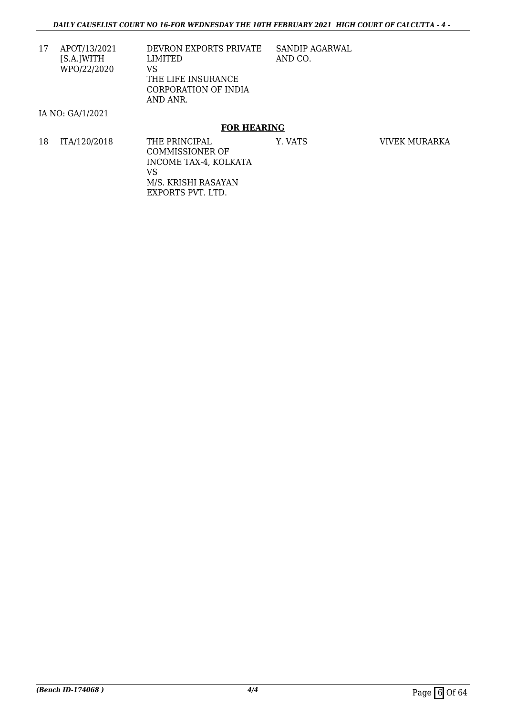17 APOT/13/2021 [S.A.]WITH WPO/22/2020 DEVRON EXPORTS PRIVATE LIMITED VS THE LIFE INSURANCE CORPORATION OF INDIA AND ANR. SANDIP AGARWAL AND CO.

#### IA NO: GA/1/2021

#### **FOR HEARING**

18 ITA/120/2018 THE PRINCIPAL COMMISSIONER OF INCOME TAX-4, KOLKATA VS M/S. KRISHI RASAYAN EXPORTS PVT. LTD. Y. VATS VIVEK MURARKA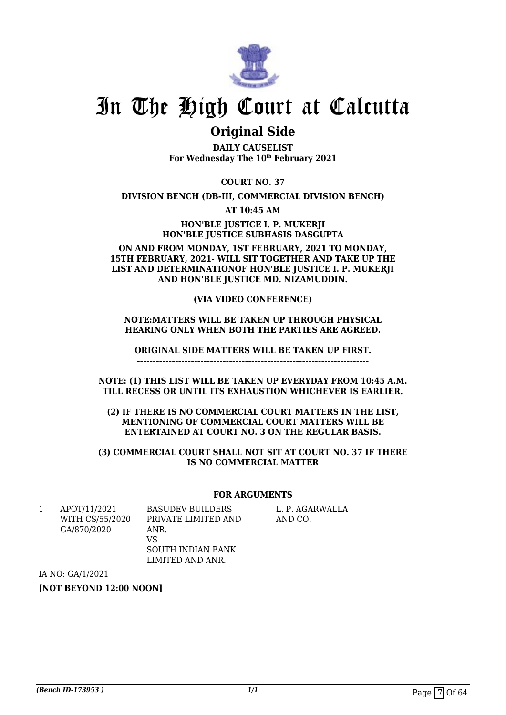

### **Original Side**

**DAILY CAUSELIST For Wednesday The 10th February 2021**

**COURT NO. 37**

**DIVISION BENCH (DB-III, COMMERCIAL DIVISION BENCH)**

**AT 10:45 AM**

**HON'BLE JUSTICE I. P. MUKERJI HON'BLE JUSTICE SUBHASIS DASGUPTA**

**ON AND FROM MONDAY, 1ST FEBRUARY, 2021 TO MONDAY, 15TH FEBRUARY, 2021- WILL SIT TOGETHER AND TAKE UP THE LIST AND DETERMINATIONOF HON'BLE JUSTICE I. P. MUKERJI AND HON'BLE JUSTICE MD. NIZAMUDDIN.**

#### **(VIA VIDEO CONFERENCE)**

#### **NOTE:MATTERS WILL BE TAKEN UP THROUGH PHYSICAL HEARING ONLY WHEN BOTH THE PARTIES ARE AGREED.**

**ORIGINAL SIDE MATTERS WILL BE TAKEN UP FIRST.**

**-------------------------------------------------------------------------**

**NOTE: (1) THIS LIST WILL BE TAKEN UP EVERYDAY FROM 10:45 A.M. TILL RECESS OR UNTIL ITS EXHAUSTION WHICHEVER IS EARLIER.**

**(2) IF THERE IS NO COMMERCIAL COURT MATTERS IN THE LIST, MENTIONING OF COMMERCIAL COURT MATTERS WILL BE ENTERTAINED AT COURT NO. 3 ON THE REGULAR BASIS.**

**(3) COMMERCIAL COURT SHALL NOT SIT AT COURT NO. 37 IF THERE IS NO COMMERCIAL MATTER**

#### **FOR ARGUMENTS**

1 APOT/11/2021 WITH CS/55/2020 GA/870/2020

BASUDEV BUILDERS PRIVATE LIMITED AND ANR. VS SOUTH INDIAN BANK LIMITED AND ANR.

L. P. AGARWALLA AND CO.

IA NO: GA/1/2021

**[NOT BEYOND 12:00 NOON]**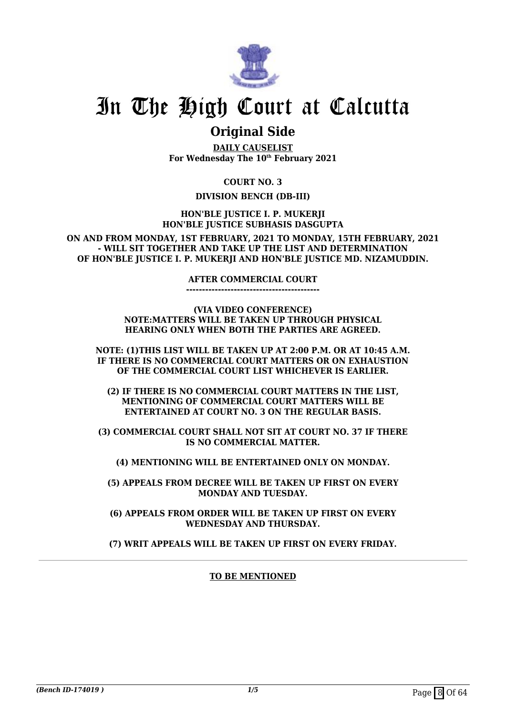

### **Original Side**

**DAILY CAUSELIST For Wednesday The 10th February 2021**

**COURT NO. 3**

#### **DIVISION BENCH (DB-III)**

**HON'BLE JUSTICE I. P. MUKERJI HON'BLE JUSTICE SUBHASIS DASGUPTA**

**ON AND FROM MONDAY, 1ST FEBRUARY, 2021 TO MONDAY, 15TH FEBRUARY, 2021 - WILL SIT TOGETHER AND TAKE UP THE LIST AND DETERMINATION OF HON'BLE JUSTICE I. P. MUKERJI AND HON'BLE JUSTICE MD. NIZAMUDDIN.**

#### **AFTER COMMERCIAL COURT**

**------------------------------------------**

**(VIA VIDEO CONFERENCE) NOTE:MATTERS WILL BE TAKEN UP THROUGH PHYSICAL HEARING ONLY WHEN BOTH THE PARTIES ARE AGREED.**

**NOTE: (1)THIS LIST WILL BE TAKEN UP AT 2:00 P.M. OR AT 10:45 A.M. IF THERE IS NO COMMERCIAL COURT MATTERS OR ON EXHAUSTION OF THE COMMERCIAL COURT LIST WHICHEVER IS EARLIER.**

**(2) IF THERE IS NO COMMERCIAL COURT MATTERS IN THE LIST, MENTIONING OF COMMERCIAL COURT MATTERS WILL BE ENTERTAINED AT COURT NO. 3 ON THE REGULAR BASIS.**

**(3) COMMERCIAL COURT SHALL NOT SIT AT COURT NO. 37 IF THERE IS NO COMMERCIAL MATTER.**

**(4) MENTIONING WILL BE ENTERTAINED ONLY ON MONDAY.**

**(5) APPEALS FROM DECREE WILL BE TAKEN UP FIRST ON EVERY MONDAY AND TUESDAY.**

**(6) APPEALS FROM ORDER WILL BE TAKEN UP FIRST ON EVERY WEDNESDAY AND THURSDAY.**

**(7) WRIT APPEALS WILL BE TAKEN UP FIRST ON EVERY FRIDAY.**

#### **TO BE MENTIONED**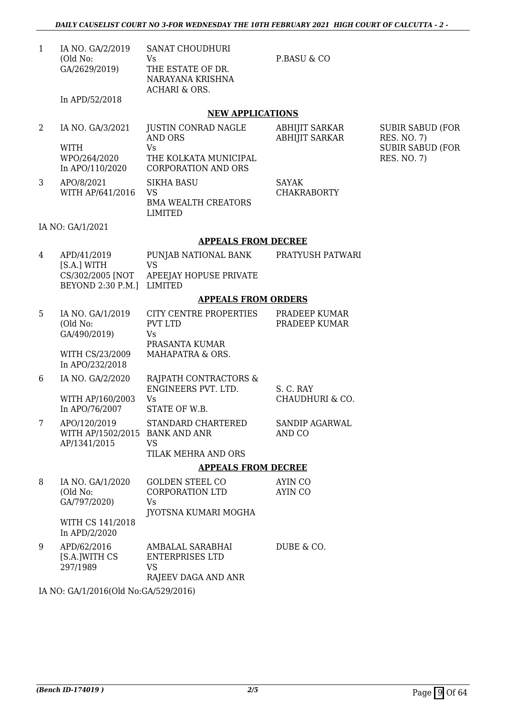| IA NO. GA/2/2019 | <b>SANAT CHOUDHURI</b> |
|------------------|------------------------|
| (Old No:         | Vs                     |
| GA/2629/2019)    | THE ESTATE OF DR.      |
|                  | NARAYANA KRISHNA       |
|                  | ACHARI & ORS.          |
| In APD/52/2018   |                        |

P.BASU & CO

SUBIR SABUD (FOR

SUBIR SABUD (FOR

RES. NO. 7)

RES. NO. 7)

#### **NEW APPLICATIONS**

|   | IA NO. GA/3/2021 | JUSTIN CONRAD NAGLE        | ABHIJIT SARKAR        |
|---|------------------|----------------------------|-----------------------|
|   |                  | AND ORS                    | <b>ABHIJIT SARKAR</b> |
|   | <b>WITH</b>      | Vs                         |                       |
|   | WPO/264/2020     | THE KOLKATA MUNICIPAL      |                       |
|   | In APO/110/2020  | <b>CORPORATION AND ORS</b> |                       |
| 3 | APO/8/2021       | <b>SIKHA BASU</b>          | SAYAK                 |
|   | WITH AP/641/2016 | VS                         | <b>CHAKRABORTY</b>    |
|   |                  | <b>BMA WEALTH CREATORS</b> |                       |
|   |                  | LIMITED                    |                       |

#### IA NO: GA/1/2021

#### **APPEALS FROM DECREE**

| 4 | APD/41/2019<br>[S.A.] WITH<br>BEYOND 2:30 P.M.] LIMITED | PUNJAB NATIONAL BANK<br>VS<br>CS/302/2005 [NOT APEEJAY HOPUSE PRIVATE | PRATYUSH PATWARI |
|---|---------------------------------------------------------|-----------------------------------------------------------------------|------------------|
|   |                                                         | <b>APPEALS FROM ORDERS</b>                                            |                  |

| 5 | IA NO. GA/1/2019<br>(Old No:<br>GA/490/2019)<br>WITH CS/23/2009<br>In APO/232/2018 | CITY CENTRE PROPERTIES<br><b>PVT LTD</b><br>Vs<br>PRASANTA KUMAR<br>MAHAPATRA & ORS. | PRADEEP KUMAR<br>PRADEEP KUMAR |
|---|------------------------------------------------------------------------------------|--------------------------------------------------------------------------------------|--------------------------------|
| 6 | IA NO. GA/2/2020<br>WITH AP/160/2003<br>In APO/76/2007                             | RAJPATH CONTRACTORS &<br>ENGINEERS PVT. LTD.<br>Vs<br>STATE OF W.B.                  | S. C. RAY<br>CHAUDHURI & CO.   |
| 7 | APO/120/2019<br>WITH AP/1502/2015 BANK AND ANR<br>AP/1341/2015                     | STANDARD CHARTERED<br>VS                                                             | SANDIP AGARWAL<br>AND CO       |

## TILAK MEHRA AND ORS

#### **APPEALS FROM DECREE**

| 8 | IA NO. GA/1/2020<br>(Old No:<br>GA/797/2020) | <b>GOLDEN STEEL CO</b><br>CORPORATION LTD<br>Vs<br>JYOTSNA KUMARI MOGHA | AYIN CO<br>AYIN CO |
|---|----------------------------------------------|-------------------------------------------------------------------------|--------------------|
|   | WITH CS 141/2018<br>In APD/2/2020            |                                                                         |                    |
| 9 | APD/62/2016<br>[S.A.]WITH CS<br>297/1989     | AMBALAL SARABHAI<br>ENTERPRISES LTD<br>VS<br>RAJEEV DAGA AND ANR        | DUBE & CO.         |

IA NO: GA/1/2016(Old No:GA/529/2016)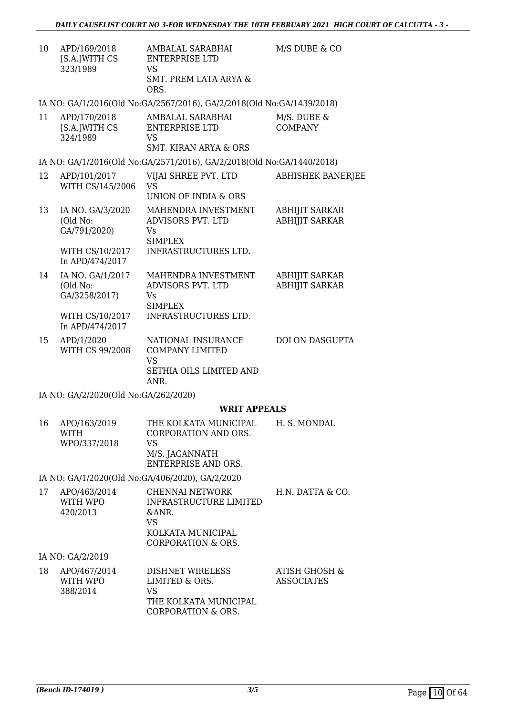| 10 | APD/169/2018<br>[S.A.]WITH CS<br>323/1989     | AMBALAL SARABHAI<br><b>ENTERPRISE LTD</b><br><b>VS</b>                                                                | M/S DUBE & CO                                  |  |  |
|----|-----------------------------------------------|-----------------------------------------------------------------------------------------------------------------------|------------------------------------------------|--|--|
|    |                                               | <b>SMT. PREM LATA ARYA &amp;</b><br>ORS.                                                                              |                                                |  |  |
|    |                                               | IA NO: GA/1/2016(Old No:GA/2567/2016), GA/2/2018(Old No:GA/1439/2018)                                                 |                                                |  |  |
| 11 | APD/170/2018<br>[S.A.]WITH CS<br>324/1989     | AMBALAL SARABHAI<br><b>ENTERPRISE LTD</b><br>VS<br>SMT. KIRAN ARYA & ORS                                              | M/S. DUBE &<br><b>COMPANY</b>                  |  |  |
|    |                                               | IA NO: GA/1/2016(Old No:GA/2571/2016), GA/2/2018(Old No:GA/1440/2018)                                                 |                                                |  |  |
| 12 | APD/101/2017<br>WITH CS/145/2006              | VIJAI SHREE PVT. LTD<br><b>VS</b><br>UNION OF INDIA & ORS                                                             | <b>ABHISHEK BANERJEE</b>                       |  |  |
| 13 | IA NO. GA/3/2020<br>(Old No:<br>GA/791/2020)  | MAHENDRA INVESTMENT<br>ADVISORS PVT. LTD<br>Vs<br><b>SIMPLEX</b>                                                      | <b>ABHIJIT SARKAR</b><br><b>ABHIJIT SARKAR</b> |  |  |
|    | WITH CS/10/2017<br>In APD/474/2017            | INFRASTRUCTURES LTD.                                                                                                  |                                                |  |  |
| 14 | IA NO. GA/1/2017<br>(Old No:<br>GA/3258/2017) | MAHENDRA INVESTMENT<br>ADVISORS PVT. LTD<br>Vs<br><b>SIMPLEX</b>                                                      | <b>ABHIJIT SARKAR</b><br><b>ABHIJIT SARKAR</b> |  |  |
|    | WITH CS/10/2017<br>In APD/474/2017            | INFRASTRUCTURES LTD.                                                                                                  |                                                |  |  |
| 15 | APD/1/2020<br>WITH CS 99/2008                 | NATIONAL INSURANCE<br><b>COMPANY LIMITED</b><br><b>VS</b><br>SETHIA OILS LIMITED AND<br>ANR.                          | <b>DOLON DASGUPTA</b>                          |  |  |
|    | IA NO: GA/2/2020(Old No:GA/262/2020)          |                                                                                                                       |                                                |  |  |
|    |                                               | <b>WRIT APPEALS</b>                                                                                                   |                                                |  |  |
| 16 | APO/163/2019<br><b>WITH</b><br>WPO/337/2018   | THE KOLKATA MUNICIPAL<br>CORPORATION AND ORS.<br><b>VS</b><br>M/S. JAGANNATH<br><b>ENTERPRISE AND ORS.</b>            | H. S. MONDAL                                   |  |  |
|    |                                               | IA NO: GA/1/2020(Old No:GA/406/2020), GA/2/2020                                                                       |                                                |  |  |
| 17 | APO/463/2014<br>WITH WPO<br>420/2013          | CHENNAI NETWORK<br>INFRASTRUCTURE LIMITED<br>&ANR.<br><b>VS</b><br>KOLKATA MUNICIPAL<br><b>CORPORATION &amp; ORS.</b> | H.N. DATTA & CO.                               |  |  |
|    | IA NO: GA/2/2019                              |                                                                                                                       |                                                |  |  |

| 18 | APO/467/2014<br>WITH WPO | DISHNET WIRELESS<br>LIMITED & ORS.                 | ATISH GHOSH &<br><b>ASSOCIATES</b> |
|----|--------------------------|----------------------------------------------------|------------------------------------|
|    | 388/2014                 | VS.<br>THE KOLKATA MUNICIPAL<br>CORPORATION & ORS. |                                    |
|    |                          |                                                    |                                    |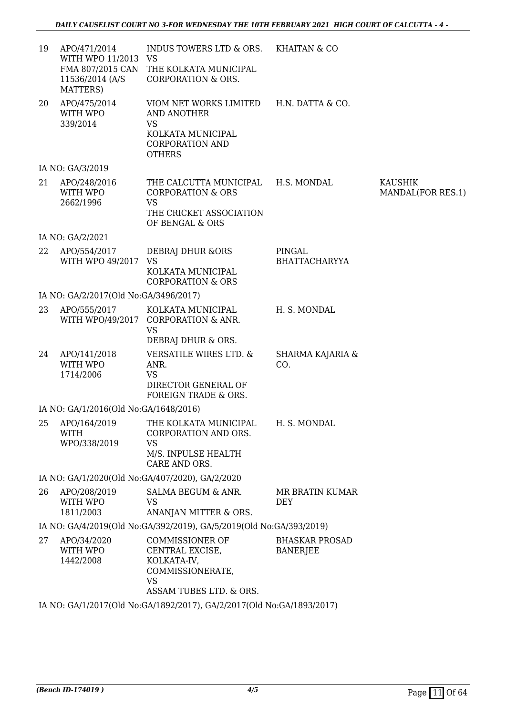| 19 | APO/471/2014<br>WITH WPO 11/2013 VS<br>11536/2014 (A/S<br>MATTERS) | INDUS TOWERS LTD & ORS. KHAITAN & CO<br>FMA 807/2015 CAN THE KOLKATA MUNICIPAL<br><b>CORPORATION &amp; ORS.</b>                            |                                          |                                     |
|----|--------------------------------------------------------------------|--------------------------------------------------------------------------------------------------------------------------------------------|------------------------------------------|-------------------------------------|
| 20 | APO/475/2014<br>WITH WPO<br>339/2014                               | VIOM NET WORKS LIMITED H.N. DATTA & CO.<br><b>AND ANOTHER</b><br><b>VS</b><br>KOLKATA MUNICIPAL<br><b>CORPORATION AND</b><br><b>OTHERS</b> |                                          |                                     |
|    | IA NO: GA/3/2019                                                   |                                                                                                                                            |                                          |                                     |
| 21 | APO/248/2016<br>WITH WPO<br>2662/1996                              | THE CALCUTTA MUNICIPAL H.S. MONDAL<br><b>CORPORATION &amp; ORS</b><br><b>VS</b><br>THE CRICKET ASSOCIATION<br>OF BENGAL & ORS              |                                          | <b>KAUSHIK</b><br>MANDAL(FOR RES.1) |
|    | IA NO: GA/2/2021                                                   |                                                                                                                                            |                                          |                                     |
| 22 | APO/554/2017<br>WITH WPO 49/2017                                   | DEBRAJ DHUR & ORS<br><b>VS</b><br>KOLKATA MUNICIPAL<br><b>CORPORATION &amp; ORS</b>                                                        | PINGAL<br><b>BHATTACHARYYA</b>           |                                     |
|    | IA NO: GA/2/2017(Old No:GA/3496/2017)                              |                                                                                                                                            |                                          |                                     |
| 23 | APO/555/2017                                                       | KOLKATA MUNICIPAL<br>WITH WPO/49/2017 CORPORATION & ANR.<br><b>VS</b><br>DEBRAJ DHUR & ORS.                                                | H. S. MONDAL                             |                                     |
| 24 | APO/141/2018<br>WITH WPO<br>1714/2006                              | VERSATILE WIRES LTD. &<br>ANR.<br><b>VS</b><br>DIRECTOR GENERAL OF<br>FOREIGN TRADE & ORS.                                                 | SHARMA KAJARIA &<br>CO.                  |                                     |
|    | IA NO: GA/1/2016(Old No:GA/1648/2016)                              |                                                                                                                                            |                                          |                                     |
| 25 | APO/164/2019<br>WITH<br>WPO/338/2019                               | THE KOLKATA MUNICIPAL H. S. MONDAL<br><b>CORPORATION AND ORS.</b><br>VS<br>M/S. INPULSE HEALTH<br>CARE AND ORS.                            |                                          |                                     |
|    |                                                                    | IA NO: GA/1/2020(Old No:GA/407/2020), GA/2/2020                                                                                            |                                          |                                     |
| 26 | APO/208/2019<br>WITH WPO<br>1811/2003                              | SALMA BEGUM & ANR.<br><b>VS</b><br>ANANJAN MITTER & ORS.                                                                                   | MR BRATIN KUMAR<br><b>DEY</b>            |                                     |
|    |                                                                    | IA NO: GA/4/2019(Old No:GA/392/2019), GA/5/2019(Old No:GA/393/2019)                                                                        |                                          |                                     |
| 27 | APO/34/2020<br>WITH WPO<br>1442/2008                               | COMMISSIONER OF<br>CENTRAL EXCISE,<br>KOLKATA-IV,<br>COMMISSIONERATE,<br><b>VS</b><br>ASSAM TUBES LTD. & ORS.                              | <b>BHASKAR PROSAD</b><br><b>BANERJEE</b> |                                     |
|    |                                                                    | IA NO: GA/1/2017(Old No:GA/1892/2017), GA/2/2017(Old No:GA/1893/2017)                                                                      |                                          |                                     |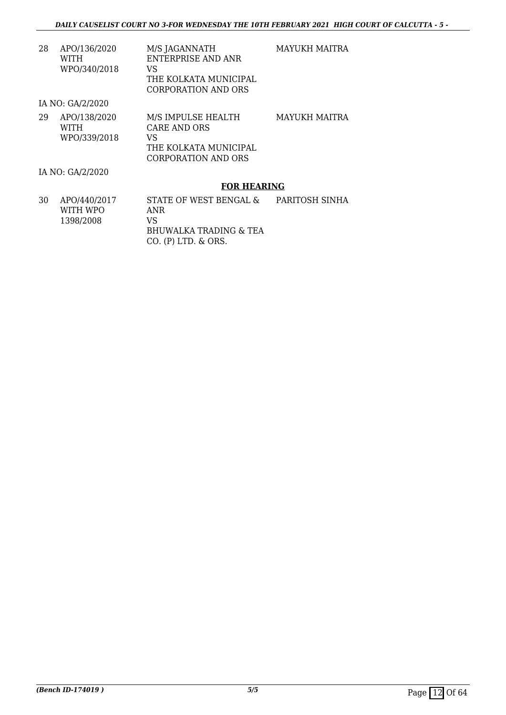MAYUKH MAITRA

| 28 | APO/136/2020 | M/S JAGANNATH         |
|----|--------------|-----------------------|
|    | WITH         | ENTERPRISE AND ANR    |
|    | WPO/340/2018 | VS.                   |
|    |              | THE KOLKATA MUNICIPAL |
|    |              |                       |

CORPORATION AND ORS

IA NO: GA/2/2020

| 29 | APO/138/2020 | M/S IMPULSE HEALTH    | MAYUKH MAITRA |
|----|--------------|-----------------------|---------------|
|    | WITH         | CARE AND ORS          |               |
|    | WPO/339/2018 | VS                    |               |
|    |              | THE KOLKATA MUNICIPAL |               |
|    |              | CORPORATION AND ORS   |               |

IA NO: GA/2/2020

#### **FOR HEARING**

| 30 | APO/440/2017 | STATE OF WEST BENGAL &  | PARITOSH SINHA |
|----|--------------|-------------------------|----------------|
|    | WITH WPO     | ANR                     |                |
|    | 1398/2008    | VS.                     |                |
|    |              | BHUWALKA TRADING & TEA  |                |
|    |              | $CO.$ (P) LTD. $&$ ORS. |                |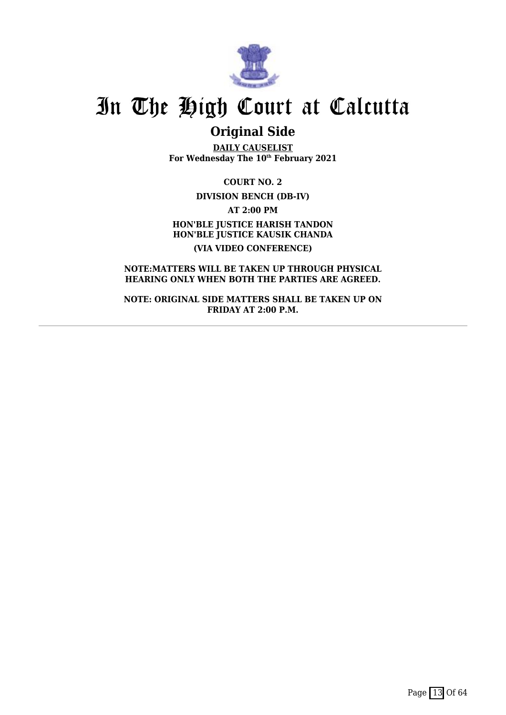

### **Original Side**

**DAILY CAUSELIST For Wednesday The 10th February 2021**

**COURT NO. 2 DIVISION BENCH (DB-IV) AT 2:00 PM HON'BLE JUSTICE HARISH TANDON HON'BLE JUSTICE KAUSIK CHANDA (VIA VIDEO CONFERENCE)**

**NOTE:MATTERS WILL BE TAKEN UP THROUGH PHYSICAL HEARING ONLY WHEN BOTH THE PARTIES ARE AGREED.**

**NOTE: ORIGINAL SIDE MATTERS SHALL BE TAKEN UP ON FRIDAY AT 2:00 P.M.**

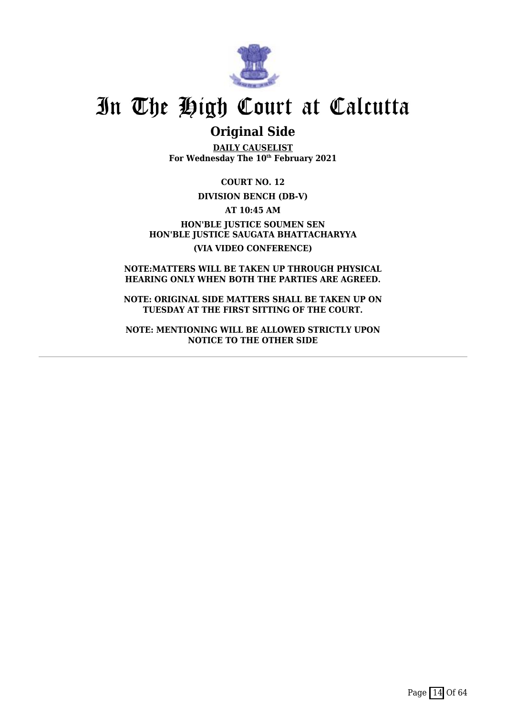

### **Original Side**

**DAILY CAUSELIST For Wednesday The 10th February 2021**

**COURT NO. 12**

#### **DIVISION BENCH (DB-V)**

**AT 10:45 AM**

**HON'BLE JUSTICE SOUMEN SEN HON'BLE JUSTICE SAUGATA BHATTACHARYYA (VIA VIDEO CONFERENCE)**

**NOTE:MATTERS WILL BE TAKEN UP THROUGH PHYSICAL HEARING ONLY WHEN BOTH THE PARTIES ARE AGREED.**

**NOTE: ORIGINAL SIDE MATTERS SHALL BE TAKEN UP ON TUESDAY AT THE FIRST SITTING OF THE COURT.**

**NOTE: MENTIONING WILL BE ALLOWED STRICTLY UPON NOTICE TO THE OTHER SIDE**

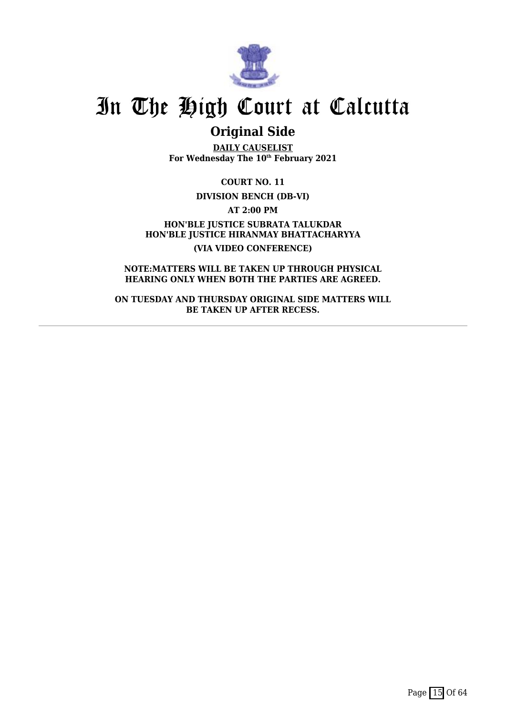

### **Original Side**

**DAILY CAUSELIST For Wednesday The 10th February 2021**

**COURT NO. 11**

**DIVISION BENCH (DB-VI)**

**AT 2:00 PM**

**HON'BLE JUSTICE SUBRATA TALUKDAR HON'BLE JUSTICE HIRANMAY BHATTACHARYYA (VIA VIDEO CONFERENCE)**

**NOTE:MATTERS WILL BE TAKEN UP THROUGH PHYSICAL HEARING ONLY WHEN BOTH THE PARTIES ARE AGREED.**

**ON TUESDAY AND THURSDAY ORIGINAL SIDE MATTERS WILL BE TAKEN UP AFTER RECESS.**

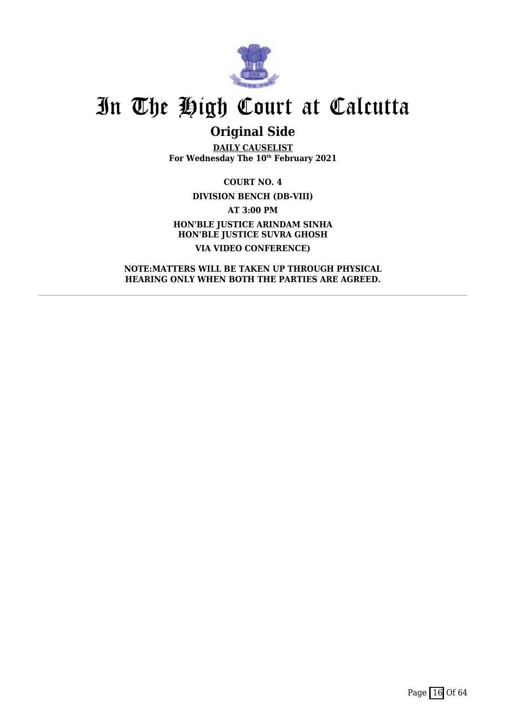

## **Original Side**

**DAILY CAUSELIST For Wednesday The 10th February 2021**

**COURT NO. 4 DIVISION BENCH (DB-VIII) AT 3:00 PM HON'BLE JUSTICE ARINDAM SINHA HON'BLE JUSTICE SUVRA GHOSH VIA VIDEO CONFERENCE)**

**NOTE:MATTERS WILL BE TAKEN UP THROUGH PHYSICAL HEARING ONLY WHEN BOTH THE PARTIES ARE AGREED.**

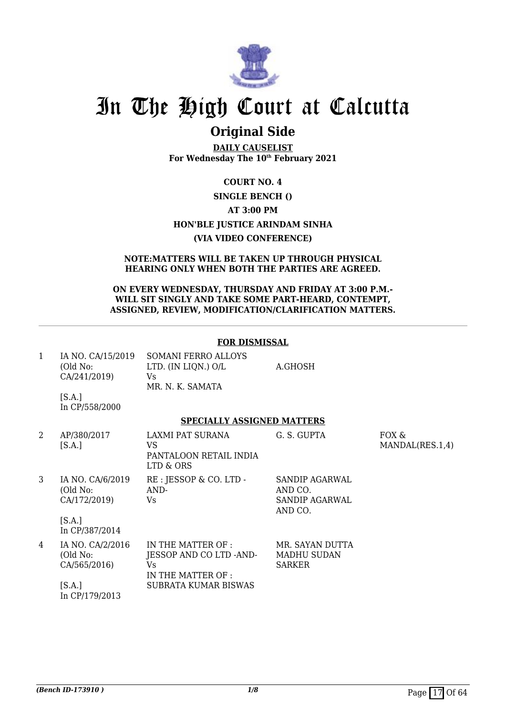

### **Original Side**

**DAILY CAUSELIST For Wednesday The 10th February 2021**

### **COURT NO. 4 SINGLE BENCH () AT 3:00 PM HON'BLE JUSTICE ARINDAM SINHA (VIA VIDEO CONFERENCE)**

#### **NOTE:MATTERS WILL BE TAKEN UP THROUGH PHYSICAL HEARING ONLY WHEN BOTH THE PARTIES ARE AGREED.**

#### **ON EVERY WEDNESDAY, THURSDAY AND FRIDAY AT 3:00 P.M.- WILL SIT SINGLY AND TAKE SOME PART-HEARD, CONTEMPT, ASSIGNED, REVIEW, MODIFICATION/CLARIFICATION MATTERS.**

#### **FOR DISMISSAL**

| IA NO. CA/15/2019 | SOMANI FERRO ALLOYS |         |
|-------------------|---------------------|---------|
| (Old No:          | LTD. (IN LIQN.) O/L | A.GHOSH |
| CA/241/2019)      | Vs                  |         |
|                   | MR. N. K. SAMATA    |         |

 $[S.A.]$ In CP/558/2000

#### **SPECIALLY ASSIGNED MATTERS**

| 2 | AP/380/2017<br>[S.A.]                        | LAXMI PAT SURANA<br>VS<br>PANTALOON RETAIL INDIA<br>LTD & ORS             | G. S. GUPTA                                            | FOX &<br>MANDAL(RES.1,4) |
|---|----------------------------------------------|---------------------------------------------------------------------------|--------------------------------------------------------|--------------------------|
| 3 | IA NO. CA/6/2019<br>(Old No:<br>CA/172/2019) | RE : JESSOP & CO. LTD -<br>AND-<br>Vs.                                    | SANDIP AGARWAL<br>AND CO.<br>SANDIP AGARWAL<br>AND CO. |                          |
|   | [S.A.]<br>In CP/387/2014                     |                                                                           |                                                        |                          |
| 4 | IA NO. CA/2/2016<br>(Old No:<br>CA/565/2016) | IN THE MATTER OF :<br>JESSOP AND CO LTD -AND-<br>Vs<br>IN THE MATTER OF : | MR. SAYAN DUTTA<br>MADHU SUDAN<br><b>SARKER</b>        |                          |
|   | [S.A.]<br>In CP/179/2013                     | SUBRATA KUMAR BISWAS                                                      |                                                        |                          |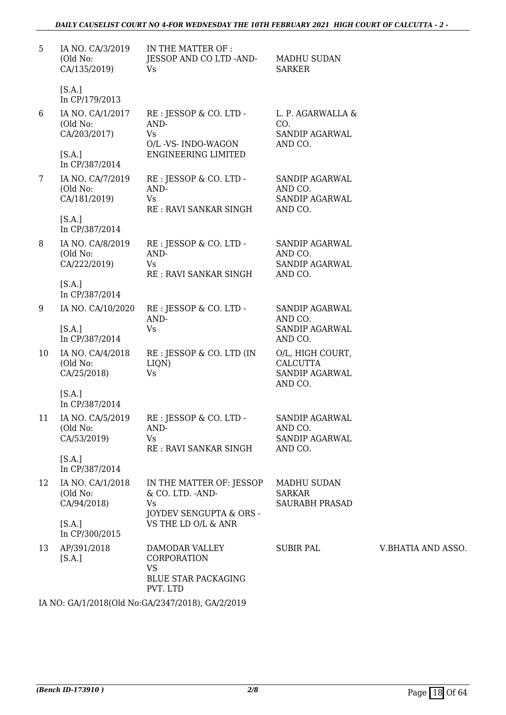| 5  | IA NO. CA/3/2019<br>(Old No:<br>CA/135/2019)                             | IN THE MATTER OF :<br>JESSOP AND CO LTD -AND-<br>Vs                                        | MADHU SUDAN<br>SARKER                                                   |                 |
|----|--------------------------------------------------------------------------|--------------------------------------------------------------------------------------------|-------------------------------------------------------------------------|-----------------|
|    | [S.A.]<br>In CP/179/2013                                                 |                                                                                            |                                                                         |                 |
| 6  | IA NO. CA/1/2017<br>(Old No:<br>CA/203/2017)<br>[S.A.]                   | RE : JESSOP & CO. LTD -<br>AND-<br>Vs<br>O/L -VS- INDO-WAGON<br><b>ENGINEERING LIMITED</b> | L. P. AGARWALLA &<br>CO.<br>SANDIP AGARWAL<br>AND CO.                   |                 |
| 7  | In CP/387/2014<br>IA NO. CA/7/2019<br>(Old No:<br>CA/181/2019)<br>[S.A.] | RE : JESSOP & CO. LTD -<br>AND-<br>Vs<br>RE: RAVI SANKAR SINGH                             | SANDIP AGARWAL<br>AND CO.<br>SANDIP AGARWAL<br>AND CO.                  |                 |
| 8  | In CP/387/2014<br>IA NO. CA/8/2019<br>(Old No:<br>CA/222/2019)           | RE : JESSOP & CO. LTD -<br>AND-<br>Vs<br>RE: RAVI SANKAR SINGH                             | <b>SANDIP AGARWAL</b><br>AND CO.<br>SANDIP AGARWAL<br>AND CO.           |                 |
|    | [S.A.]<br>In CP/387/2014                                                 |                                                                                            |                                                                         |                 |
| 9  | IA NO. CA/10/2020<br>[S.A.]<br>In CP/387/2014                            | RE : JESSOP & CO. LTD -<br>AND-<br>Vs                                                      | SANDIP AGARWAL<br>AND CO.<br>SANDIP AGARWAL<br>AND CO.                  |                 |
| 10 | IA NO. CA/4/2018<br>(Old No:<br>CA/25/2018)                              | RE : JESSOP & CO. LTD (IN<br>LIQN)<br>Vs                                                   | O/L, HIGH COURT,<br><b>CALCUTTA</b><br><b>SANDIP AGARWAL</b><br>AND CO. |                 |
|    | [S.A.]<br>In CP/387/2014                                                 |                                                                                            |                                                                         |                 |
| 11 | IA NO. CA/5/2019<br>(Old No:<br>CA/53/2019)                              | RE : JESSOP & CO. LTD -<br>AND-<br><b>Vs</b><br>RE : RAVI SANKAR SINGH                     | SANDIP AGARWAL<br>AND CO.<br>SANDIP AGARWAL<br>AND CO.                  |                 |
|    | [S.A.]<br>In CP/387/2014                                                 |                                                                                            |                                                                         |                 |
| 12 | IA NO. CA/1/2018<br>(Old No:<br>CA/94/2018)                              | IN THE MATTER OF: JESSOP<br>& CO. LTD. - AND-<br>Vs<br>JOYDEV SENGUPTA & ORS -             | <b>MADHU SUDAN</b><br><b>SARKAR</b><br><b>SAURABH PRASAD</b>            |                 |
|    | [S.A.]<br>In CP/300/2015                                                 | VS THE LD O/L & ANR                                                                        |                                                                         |                 |
| 13 | AP/391/2018<br>[S.A.]                                                    | DAMODAR VALLEY<br>CORPORATION<br><b>VS</b><br><b>BLUE STAR PACKAGING</b><br>PVT. LTD       | SUBIR PAL                                                               | <b>V.BHATIA</b> |

IA NO: GA/1/2018(Old No:GA/2347/2018), GA/2/2019

AND ASSO.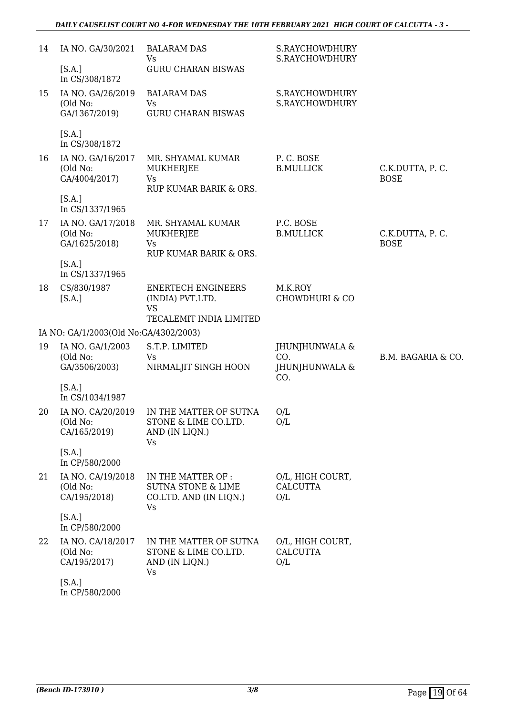| 14 | IA NO. GA/30/2021                              | <b>BALARAM DAS</b><br>Vs                                                            | S.RAYCHOWDHURY<br>S.RAYCHOWDHURY           |                                |
|----|------------------------------------------------|-------------------------------------------------------------------------------------|--------------------------------------------|--------------------------------|
|    | [S.A.]<br>In CS/308/1872                       | <b>GURU CHARAN BISWAS</b>                                                           |                                            |                                |
| 15 | IA NO. GA/26/2019                              | <b>BALARAM DAS</b>                                                                  | S.RAYCHOWDHURY                             |                                |
|    | (Old No:<br>GA/1367/2019)                      | <b>Vs</b><br><b>GURU CHARAN BISWAS</b>                                              | S.RAYCHOWDHURY                             |                                |
|    | [S.A.]<br>In CS/308/1872                       |                                                                                     |                                            |                                |
| 16 | IA NO. GA/16/2017<br>(Old No:<br>GA/4004/2017) | MR. SHYAMAL KUMAR<br>MUKHERJEE<br>Vs<br>RUP KUMAR BARIK & ORS.                      | P.C. BOSE<br><b>B.MULLICK</b>              | C.K.DUTTA, P.C.<br><b>BOSE</b> |
|    | [S.A.]<br>In CS/1337/1965                      |                                                                                     |                                            |                                |
| 17 | IA NO. GA/17/2018<br>(Old No:<br>GA/1625/2018) | MR. SHYAMAL KUMAR<br>MUKHERJEE<br>Vs                                                | P.C. BOSE<br><b>B.MULLICK</b>              | C.K.DUTTA, P.C.<br><b>BOSE</b> |
|    | [S.A.]<br>In CS/1337/1965                      | RUP KUMAR BARIK & ORS.                                                              |                                            |                                |
| 18 | CS/830/1987<br>[S.A.]                          | <b>ENERTECH ENGINEERS</b><br>(INDIA) PVT.LTD.<br><b>VS</b>                          | M.K.ROY<br><b>CHOWDHURI &amp; CO</b>       |                                |
|    | IA NO: GA/1/2003(Old No:GA/4302/2003)          | TECALEMIT INDIA LIMITED                                                             |                                            |                                |
| 19 | IA NO. GA/1/2003                               | S.T.P. LIMITED                                                                      | JHUNJHUNWALA &                             |                                |
|    | (Old No:<br>GA/3506/2003)                      | <b>Vs</b><br>NIRMALJIT SINGH HOON                                                   | CO.<br>JHUNJHUNWALA &<br>CO.               | B.M. BAGARIA & CO.             |
|    | [S.A.]<br>In CS/1034/1987                      |                                                                                     |                                            |                                |
| 20 | IA NO. CA/20/2019<br>(Old No:<br>CA/165/2019)  | IN THE MATTER OF SUTNA<br>STONE & LIME CO.LTD.<br>AND (IN LIQN.)<br>Vs              | O/L<br>O/L                                 |                                |
|    | [S.A.]<br>In CP/580/2000                       |                                                                                     |                                            |                                |
| 21 | IA NO. CA/19/2018<br>(Old No:<br>CA/195/2018)  | IN THE MATTER OF :<br><b>SUTNA STONE &amp; LIME</b><br>CO.LTD. AND (IN LIQN.)<br>Vs | O/L, HIGH COURT,<br><b>CALCUTTA</b><br>O/L |                                |
|    | [S.A.]<br>In CP/580/2000                       |                                                                                     |                                            |                                |
| 22 | IA NO. CA/18/2017<br>(Old No:<br>CA/195/2017)  | IN THE MATTER OF SUTNA<br>STONE & LIME CO.LTD.<br>AND (IN LIQN.)<br>Vs              | O/L, HIGH COURT,<br><b>CALCUTTA</b><br>O/L |                                |
|    | [S.A.]                                         |                                                                                     |                                            |                                |

In CP/580/2000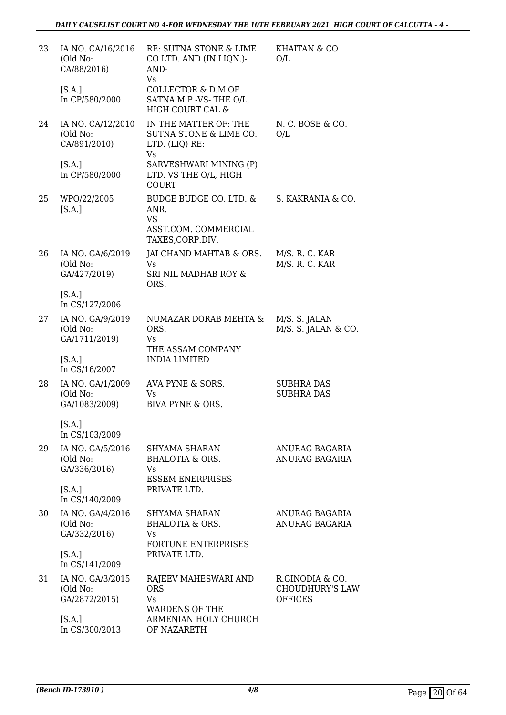| 23 | IA NO. CA/16/2016<br>(Old No:<br>CA/88/2016)  | RE: SUTNA STONE & LIME<br>CO.LTD. AND (IN LIQN.)-<br>AND-<br>Vs                         | <b>KHAITAN &amp; CO</b><br>O/L                              |
|----|-----------------------------------------------|-----------------------------------------------------------------------------------------|-------------------------------------------------------------|
|    | [S.A.]<br>In CP/580/2000                      | COLLECTOR & D.M.OF<br>SATNA M.P -VS-THE O/L,<br>HIGH COURT CAL &                        |                                                             |
| 24 | IA NO. CA/12/2010<br>(Old No:<br>CA/891/2010) | IN THE MATTER OF: THE<br>SUTNA STONE & LIME CO.<br>LTD. (LIQ) RE:<br><b>Vs</b>          | N.C. BOSE & CO.<br>O/L                                      |
|    | [S.A.]<br>In CP/580/2000                      | SARVESHWARI MINING (P)<br>LTD. VS THE O/L, HIGH<br><b>COURT</b>                         |                                                             |
| 25 | WPO/22/2005<br>[S.A.]                         | BUDGE BUDGE CO. LTD. &<br>ANR.<br><b>VS</b><br>ASST.COM. COMMERCIAL<br>TAXES, CORP.DIV. | S. KAKRANIA & CO.                                           |
| 26 | IA NO. GA/6/2019<br>(Old No:<br>GA/427/2019)  | JAI CHAND MAHTAB & ORS.<br><b>Vs</b><br>SRI NIL MADHAB ROY &<br>ORS.                    | M/S. R. C. KAR<br>M/S. R. C. KAR                            |
|    | [S.A.]<br>In CS/127/2006                      |                                                                                         |                                                             |
| 27 | IA NO. GA/9/2019<br>(Old No:<br>GA/1711/2019) | NUMAZAR DORAB MEHTA &<br>ORS.<br>Vs<br>THE ASSAM COMPANY                                | M/S. S. JALAN<br>M/S. S. JALAN & CO.                        |
|    | [S.A.]<br>In CS/16/2007                       | <b>INDIA LIMITED</b>                                                                    |                                                             |
| 28 | IA NO. GA/1/2009<br>(Old No:<br>GA/1083/2009) | AVA PYNE & SORS.<br>Vs<br><b>BIVA PYNE &amp; ORS.</b>                                   | <b>SUBHRA DAS</b><br><b>SUBHRA DAS</b>                      |
|    | [S.A.]<br>In CS/103/2009                      |                                                                                         |                                                             |
| 29 | IA NO. GA/5/2016<br>(Old No:<br>GA/336/2016)  | SHYAMA SHARAN<br><b>BHALOTIA &amp; ORS.</b><br>Vs<br><b>ESSEM ENERPRISES</b>            | ANURAG BAGARIA<br><b>ANURAG BAGARIA</b>                     |
|    | [S.A.]<br>In CS/140/2009                      | PRIVATE LTD.                                                                            |                                                             |
| 30 | IA NO. GA/4/2016<br>(Old No:<br>GA/332/2016)  | SHYAMA SHARAN<br><b>BHALOTIA &amp; ORS.</b><br>Vs<br><b>FORTUNE ENTERPRISES</b>         | ANURAG BAGARIA<br><b>ANURAG BAGARIA</b>                     |
|    | [S.A.]<br>In CS/141/2009                      | PRIVATE LTD.                                                                            |                                                             |
| 31 | IA NO. GA/3/2015<br>(Old No:<br>GA/2872/2015) | RAJEEV MAHESWARI AND<br><b>ORS</b><br>Vs<br><b>WARDENS OF THE</b>                       | R.GINODIA & CO.<br><b>CHOUDHURY'S LAW</b><br><b>OFFICES</b> |
|    | [S.A.]<br>In CS/300/2013                      | ARMENIAN HOLY CHURCH<br>OF NAZARETH                                                     |                                                             |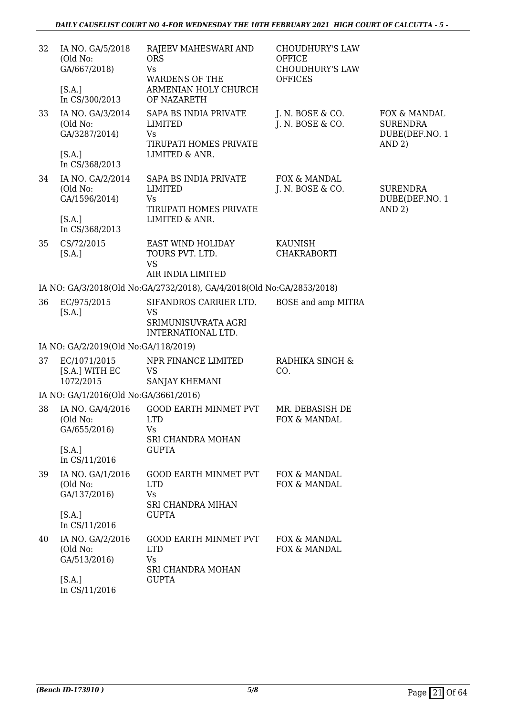| 32 | IA NO. GA/5/2018<br>(Old No:<br>GA/667/2018)<br>[S.A.] | RAJEEV MAHESWARI AND<br><b>ORS</b><br><b>Vs</b><br><b>WARDENS OF THE</b><br>ARMENIAN HOLY CHURCH | <b>CHOUDHURY'S LAW</b><br><b>OFFICE</b><br><b>CHOUDHURY'S LAW</b><br><b>OFFICES</b> |                                                             |
|----|--------------------------------------------------------|--------------------------------------------------------------------------------------------------|-------------------------------------------------------------------------------------|-------------------------------------------------------------|
|    | In CS/300/2013                                         | OF NAZARETH                                                                                      |                                                                                     |                                                             |
| 33 | IA NO. GA/3/2014<br>(Old No:<br>GA/3287/2014)          | SAPA BS INDIA PRIVATE<br><b>LIMITED</b><br><b>Vs</b><br>TIRUPATI HOMES PRIVATE                   | J. N. BOSE & CO.<br>J. N. BOSE & CO.                                                | FOX & MANDAL<br><b>SURENDRA</b><br>DUBE(DEF.NO. 1<br>AND 2) |
|    | [S.A.]<br>In CS/368/2013                               | LIMITED & ANR.                                                                                   |                                                                                     |                                                             |
| 34 | IA NO. GA/2/2014<br>(Old No:<br>GA/1596/2014)          | SAPA BS INDIA PRIVATE<br><b>LIMITED</b><br>Vs                                                    | FOX & MANDAL<br>J. N. BOSE & CO.                                                    | <b>SURENDRA</b><br>DUBE(DEF.NO. 1                           |
|    | [S.A.]<br>In CS/368/2013                               | TIRUPATI HOMES PRIVATE<br>LIMITED & ANR.                                                         |                                                                                     | AND 2)                                                      |
| 35 | CS/72/2015<br>[S.A.]                                   | EAST WIND HOLIDAY<br>TOURS PVT. LTD.<br><b>VS</b><br>AIR INDIA LIMITED                           | <b>KAUNISH</b><br><b>CHAKRABORTI</b>                                                |                                                             |
|    |                                                        | IA NO: GA/3/2018(Old No:GA/2732/2018), GA/4/2018(Old No:GA/2853/2018)                            |                                                                                     |                                                             |
| 36 | EC/975/2015<br>[S.A.]                                  | SIFANDROS CARRIER LTD.<br><b>VS</b><br>SRIMUNISUVRATA AGRI<br>INTERNATIONAL LTD.                 | BOSE and amp MITRA                                                                  |                                                             |
|    | IA NO: GA/2/2019(Old No:GA/118/2019)                   |                                                                                                  |                                                                                     |                                                             |
| 37 | EC/1071/2015<br>[S.A.] WITH EC<br>1072/2015            | NPR FINANCE LIMITED<br><b>VS</b><br>SANJAY KHEMANI                                               | RADHIKA SINGH &<br>CO.                                                              |                                                             |
|    | IA NO: GA/1/2016(Old No:GA/3661/2016)                  |                                                                                                  |                                                                                     |                                                             |
| 38 | IA NO. GA/4/2016<br>(Old No:<br>GA/655/2016)           | <b>GOOD EARTH MINMET PVT</b><br><b>LTD</b><br>Vs<br>SRI CHANDRA MOHAN                            | MR. DEBASISH DE<br>FOX & MANDAL                                                     |                                                             |
|    | [S.A.]<br>In CS/11/2016                                | <b>GUPTA</b>                                                                                     |                                                                                     |                                                             |
| 39 | IA NO. GA/1/2016<br>(Old No:<br>GA/137/2016)           | <b>GOOD EARTH MINMET PVT</b><br><b>LTD</b><br><b>Vs</b><br><b>SRI CHANDRA MIHAN</b>              | FOX & MANDAL<br>FOX & MANDAL                                                        |                                                             |
|    | [S.A.]<br>In CS/11/2016                                | <b>GUPTA</b>                                                                                     |                                                                                     |                                                             |
| 40 | IA NO. GA/2/2016<br>(Old No:<br>GA/513/2016)           | <b>GOOD EARTH MINMET PVT</b><br><b>LTD</b><br><b>Vs</b><br>SRI CHANDRA MOHAN                     | FOX & MANDAL<br>FOX & MANDAL                                                        |                                                             |
|    | [S.A.]<br>In CS/11/2016                                | <b>GUPTA</b>                                                                                     |                                                                                     |                                                             |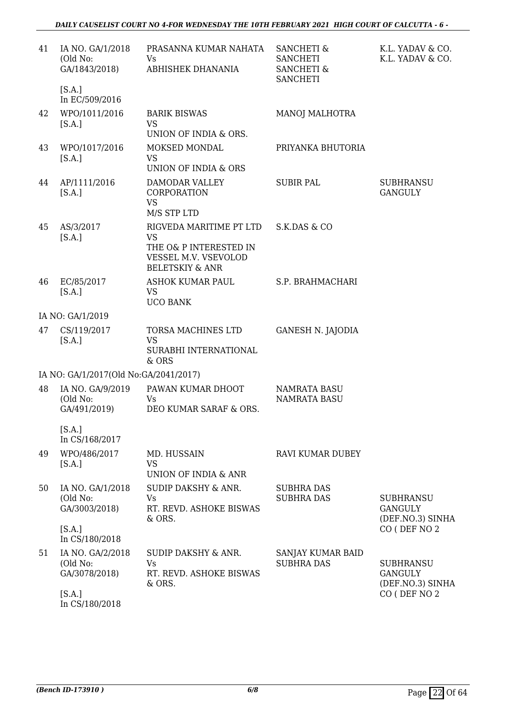| 41 | IA NO. GA/1/2018                              | PRASANNA KUMAR NAHATA                                                        | <b>SANCHETI &amp;</b>                                       | K.L. YADAV & CO.                                       |
|----|-----------------------------------------------|------------------------------------------------------------------------------|-------------------------------------------------------------|--------------------------------------------------------|
|    | (Old No:<br>GA/1843/2018)                     | Vs<br>ABHISHEK DHANANIA                                                      | <b>SANCHETI</b><br><b>SANCHETI &amp;</b><br><b>SANCHETI</b> | K.L. YADAV & CO.                                       |
|    | [S.A.]<br>In EC/509/2016                      |                                                                              |                                                             |                                                        |
| 42 | WPO/1011/2016<br>[S.A.]                       | <b>BARIK BISWAS</b><br><b>VS</b><br>UNION OF INDIA & ORS.                    | <b>MANOJ MALHOTRA</b>                                       |                                                        |
|    |                                               |                                                                              |                                                             |                                                        |
| 43 | WPO/1017/2016<br>[S.A.]                       | MOKSED MONDAL<br><b>VS</b><br>UNION OF INDIA & ORS                           | PRIYANKA BHUTORIA                                           |                                                        |
| 44 | AP/1111/2016<br>[S.A.]                        | DAMODAR VALLEY<br>CORPORATION<br><b>VS</b>                                   | <b>SUBIR PAL</b>                                            | <b>SUBHRANSU</b><br><b>GANGULY</b>                     |
|    |                                               | M/S STP LTD                                                                  |                                                             |                                                        |
| 45 | AS/3/2017<br>[S.A.]                           | RIGVEDA MARITIME PT LTD<br><b>VS</b>                                         | S.K.DAS & CO                                                |                                                        |
|    |                                               | THE O& P INTERESTED IN<br>VESSEL M.V. VSEVOLOD<br><b>BELETSKIY &amp; ANR</b> |                                                             |                                                        |
| 46 | EC/85/2017<br>[S.A.]                          | ASHOK KUMAR PAUL<br><b>VS</b><br><b>UCO BANK</b>                             | S.P. BRAHMACHARI                                            |                                                        |
|    | IA NO: GA/1/2019                              |                                                                              |                                                             |                                                        |
| 47 | CS/119/2017<br>[S.A.]                         | TORSA MACHINES LTD<br><b>VS</b><br>SURABHI INTERNATIONAL<br>& ORS            | <b>GANESH N. JAJODIA</b>                                    |                                                        |
|    | IA NO: GA/1/2017(Old No:GA/2041/2017)         |                                                                              |                                                             |                                                        |
| 48 | IA NO. GA/9/2019                              | PAWAN KUMAR DHOOT                                                            | NAMRATA BASU                                                |                                                        |
|    | (Old No:<br>GA/491/2019)                      | Vs<br>DEO KUMAR SARAF & ORS.                                                 | <b>NAMRATA BASU</b>                                         |                                                        |
|    | [S.A.]<br>In CS/168/2017                      |                                                                              |                                                             |                                                        |
| 49 | WPO/486/2017<br>[S.A.]                        | MD. HUSSAIN<br><b>VS</b>                                                     | RAVI KUMAR DUBEY                                            |                                                        |
|    |                                               | UNION OF INDIA & ANR                                                         |                                                             |                                                        |
| 50 | IA NO. GA/1/2018<br>(Old No:                  | SUDIP DAKSHY & ANR.<br>Vs                                                    | <b>SUBHRA DAS</b><br><b>SUBHRA DAS</b>                      | <b>SUBHRANSU</b>                                       |
|    | GA/3003/2018)                                 | RT. REVD. ASHOKE BISWAS<br>& ORS.                                            |                                                             | <b>GANGULY</b><br>(DEF.NO.3) SINHA                     |
|    | [S.A.]<br>In CS/180/2018                      |                                                                              |                                                             | CO (DEF NO 2                                           |
| 51 | IA NO. GA/2/2018<br>(Old No:<br>GA/3078/2018) | SUDIP DAKSHY & ANR.<br>Vs<br>RT. REVD. ASHOKE BISWAS<br>& ORS.               | SANJAY KUMAR BAID<br><b>SUBHRA DAS</b>                      | <b>SUBHRANSU</b><br><b>GANGULY</b><br>(DEF.NO.3) SINHA |
|    | [S.A.]<br>In CS/180/2018                      |                                                                              |                                                             | CO (DEF NO 2                                           |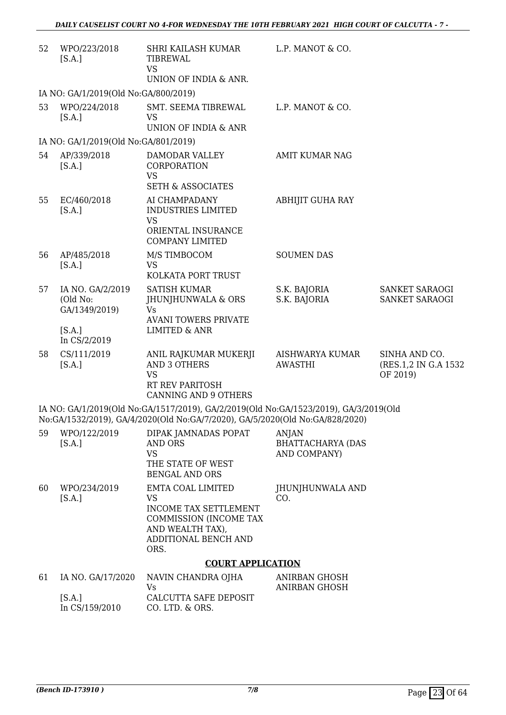| 52 | WPO/223/2018<br>[S.A.]                                  | SHRI KAILASH KUMAR<br>TIBREWAL<br><b>VS</b>                                                                                                                          | L.P. MANOT & CO.                                         |                                                    |
|----|---------------------------------------------------------|----------------------------------------------------------------------------------------------------------------------------------------------------------------------|----------------------------------------------------------|----------------------------------------------------|
|    |                                                         | UNION OF INDIA & ANR.                                                                                                                                                |                                                          |                                                    |
|    | IA NO: GA/1/2019(Old No:GA/800/2019)                    |                                                                                                                                                                      |                                                          |                                                    |
| 53 | WPO/224/2018<br>[S.A.]                                  | SMT. SEEMA TIBREWAL<br><b>VS</b><br>UNION OF INDIA & ANR                                                                                                             | L.P. MANOT & CO.                                         |                                                    |
|    | IA NO: GA/1/2019(Old No:GA/801/2019)                    |                                                                                                                                                                      |                                                          |                                                    |
| 54 | AP/339/2018<br>[S.A.]                                   | DAMODAR VALLEY<br>CORPORATION<br><b>VS</b><br><b>SETH &amp; ASSOCIATES</b>                                                                                           | <b>AMIT KUMAR NAG</b>                                    |                                                    |
| 55 | EC/460/2018<br>[S.A.]                                   | AI CHAMPADANY<br><b>INDUSTRIES LIMITED</b><br><b>VS</b><br>ORIENTAL INSURANCE<br><b>COMPANY LIMITED</b>                                                              | <b>ABHIJIT GUHA RAY</b>                                  |                                                    |
| 56 | AP/485/2018<br>[S.A.]                                   | M/S TIMBOCOM<br><b>VS</b><br>KOLKATA PORT TRUST                                                                                                                      | <b>SOUMEN DAS</b>                                        |                                                    |
| 57 | IA NO. GA/2/2019<br>(Old No:<br>GA/1349/2019)<br>[S.A.] | <b>SATISH KUMAR</b><br>JHUNJHUNWALA & ORS<br><b>Vs</b><br><b>AVANI TOWERS PRIVATE</b><br><b>LIMITED &amp; ANR</b>                                                    | S.K. BAJORIA<br>S.K. BAJORIA                             | SANKET SARAOGI<br>SANKET SARAOGI                   |
|    | In CS/2/2019                                            |                                                                                                                                                                      |                                                          |                                                    |
| 58 | CS/111/2019<br>[S.A.]                                   | ANIL RAJKUMAR MUKERJI<br>AND 3 OTHERS<br><b>VS</b><br>RT REV PARITOSH<br><b>CANNING AND 9 OTHERS</b>                                                                 | AISHWARYA KUMAR<br><b>AWASTHI</b>                        | SINHA AND CO.<br>(RES.1,2 IN G.A 1532)<br>OF 2019) |
|    |                                                         | IA NO: GA/1/2019(Old No:GA/1517/2019), GA/2/2019(Old No:GA/1523/2019), GA/3/2019(Old<br>No:GA/1532/2019), GA/4/2020(Old No:GA/7/2020), GA/5/2020(Old No:GA/828/2020) |                                                          |                                                    |
| 59 | WPO/122/2019<br>[S.A.]                                  | DIPAK JAMNADAS POPAT<br><b>AND ORS</b><br><b>VS</b><br>THE STATE OF WEST<br><b>BENGAL AND ORS</b>                                                                    | <b>ANJAN</b><br><b>BHATTACHARYA (DAS</b><br>AND COMPANY) |                                                    |
| 60 | WPO/234/2019<br>[S.A.]                                  | EMTA COAL LIMITED<br><b>VS</b><br><b>INCOME TAX SETTLEMENT</b><br>COMMISSION (INCOME TAX<br>AND WEALTH TAX),<br>ADDITIONAL BENCH AND<br>ORS.                         | JHUNJHUNWALA AND<br>CO.                                  |                                                    |
|    |                                                         | <b>COURT APPLICATION</b>                                                                                                                                             |                                                          |                                                    |
|    |                                                         | <b>MALITAL OTTANIDDA OTTLA</b>                                                                                                                                       | MIDD ANT OITOOIT                                         |                                                    |

| 61 | IA NO. GA/17/2020 | NAVIN CHANDRA OJHA    | ANIRBAN GHOSH |
|----|-------------------|-----------------------|---------------|
|    |                   | V۹                    | ANIRBAN GHOSH |
|    | IS.A.I            | CALCUTTA SAFE DEPOSIT |               |
|    | In $CS/159/2010$  | CO. LTD. & ORS.       |               |
|    |                   |                       |               |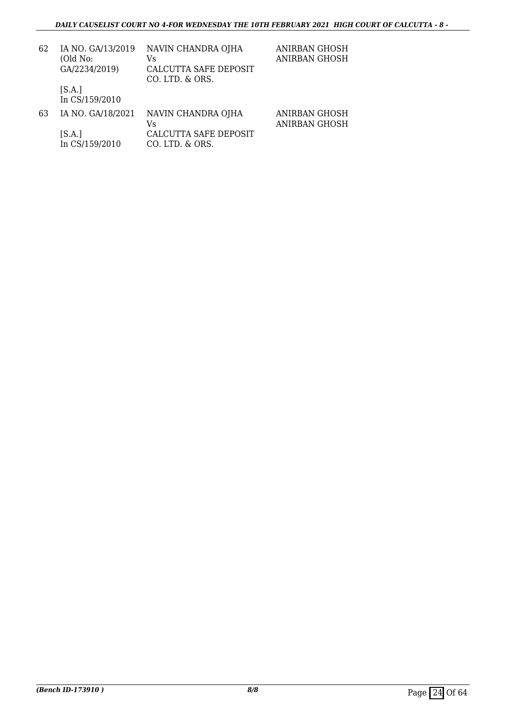| 62 | IA NO. GA/13/2019<br>(Old No:<br>GA/2234/2019) | NAVIN CHANDRA OJHA<br>Vs<br>CALCUTTA SAFE DEPOSIT<br>CO. LTD. & ORS. | ANIRBAN GHOSH<br><b>ANIRBAN GHOSH</b> |
|----|------------------------------------------------|----------------------------------------------------------------------|---------------------------------------|
|    | [S.A.]<br>In CS/159/2010                       |                                                                      |                                       |
| 63 | IA NO. GA/18/2021                              | NAVIN CHANDRA OJHA<br>Vs                                             | ANIRBAN GHOSH<br><b>ANIRBAN GHOSH</b> |
|    | [S.A.]<br>In CS/159/2010                       | CALCUTTA SAFE DEPOSIT<br>CO. LTD. & ORS.                             |                                       |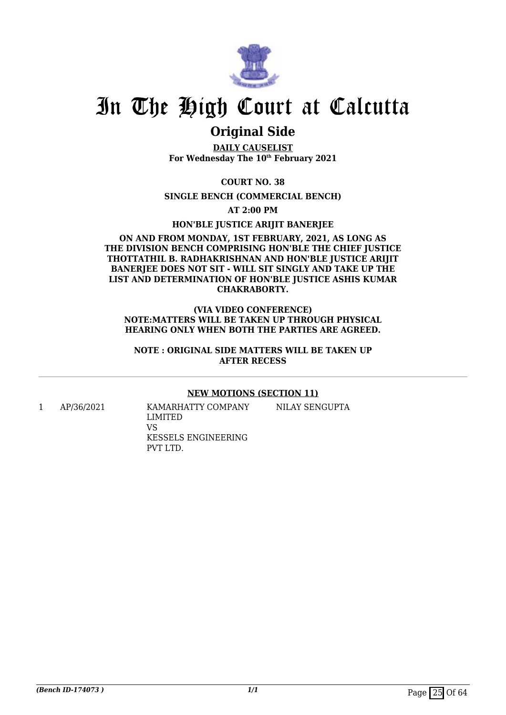

### **Original Side**

**DAILY CAUSELIST For Wednesday The 10th February 2021**

**COURT NO. 38**

**SINGLE BENCH (COMMERCIAL BENCH)**

**AT 2:00 PM**

**HON'BLE JUSTICE ARIJIT BANERJEE**

#### **ON AND FROM MONDAY, 1ST FEBRUARY, 2021, AS LONG AS THE DIVISION BENCH COMPRISING HON'BLE THE CHIEF JUSTICE THOTTATHIL B. RADHAKRISHNAN AND HON'BLE JUSTICE ARIJIT** BANERIEE DOES NOT SIT - WILL SIT SINGLY AND TAKE UP THE **LIST AND DETERMINATION OF HON'BLE JUSTICE ASHIS KUMAR CHAKRABORTY.**

#### **(VIA VIDEO CONFERENCE) NOTE:MATTERS WILL BE TAKEN UP THROUGH PHYSICAL HEARING ONLY WHEN BOTH THE PARTIES ARE AGREED.**

**NOTE : ORIGINAL SIDE MATTERS WILL BE TAKEN UP AFTER RECESS**

#### **NEW MOTIONS (SECTION 11)**

NILAY SENGUPTA

1 AP/36/2021 KAMARHATTY COMPANY LIMITED VS KESSELS ENGINEERING PVT LTD.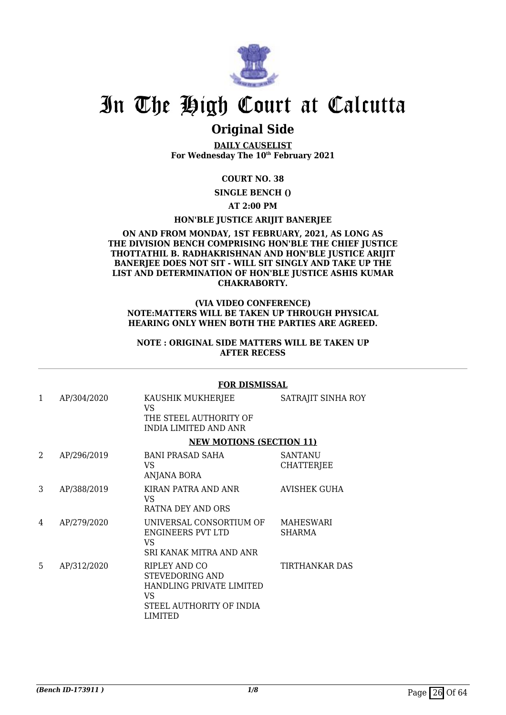

### **Original Side**

**DAILY CAUSELIST For Wednesday The 10th February 2021**

#### **COURT NO. 38**

**SINGLE BENCH ()**

#### **AT 2:00 PM**

#### **HON'BLE JUSTICE ARIJIT BANERJEE**

#### **ON AND FROM MONDAY, 1ST FEBRUARY, 2021, AS LONG AS THE DIVISION BENCH COMPRISING HON'BLE THE CHIEF JUSTICE THOTTATHIL B. RADHAKRISHNAN AND HON'BLE JUSTICE ARIJIT BANERJEE DOES NOT SIT - WILL SIT SINGLY AND TAKE UP THE LIST AND DETERMINATION OF HON'BLE JUSTICE ASHIS KUMAR CHAKRABORTY.**

#### **(VIA VIDEO CONFERENCE) NOTE:MATTERS WILL BE TAKEN UP THROUGH PHYSICAL HEARING ONLY WHEN BOTH THE PARTIES ARE AGREED.**

#### **NOTE : ORIGINAL SIDE MATTERS WILL BE TAKEN UP AFTER RECESS**

|   |             | <b>FOR DISMISSAL</b>                                                                                             |                                     |
|---|-------------|------------------------------------------------------------------------------------------------------------------|-------------------------------------|
| 1 | AP/304/2020 | KAUSHIK MUKHERJEE<br>VS.<br>THE STEEL AUTHORITY OF<br>INDIA LIMITED AND ANR                                      | SATRAJIT SINHA ROY                  |
|   |             | <b>NEW MOTIONS (SECTION 11)</b>                                                                                  |                                     |
| 2 | AP/296/2019 | <b>BANI PRASAD SAHA</b><br>VS<br>ANJANA BORA                                                                     | <b>SANTANU</b><br><b>CHATTERJEE</b> |
| 3 | AP/388/2019 | KIRAN PATRA AND ANR<br>VS.<br>RATNA DEY AND ORS                                                                  | <b>AVISHEK GUHA</b>                 |
| 4 | AP/279/2020 | UNIVERSAL CONSORTIUM OF<br>ENGINEERS PVT LTD<br>VS.<br>SRI KANAK MITRA AND ANR                                   | MAHESWARI<br><b>SHARMA</b>          |
| 5 | AP/312/2020 | RIPLEY AND CO<br><b>STEVEDORING AND</b><br>HANDLING PRIVATE LIMITED<br>VS<br>STEEL AUTHORITY OF INDIA<br>LIMITED | <b>TIRTHANKAR DAS</b>               |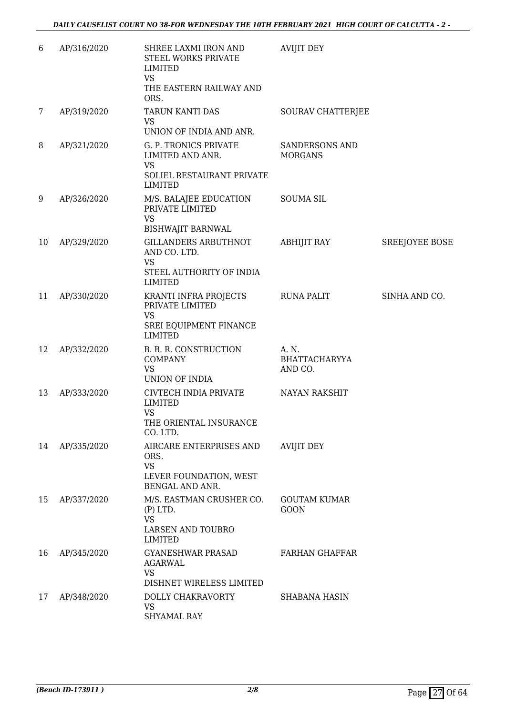| 6  | AP/316/2020 | SHREE LAXMI IRON AND<br>STEEL WORKS PRIVATE<br>LIMITED<br><b>VS</b><br>THE EASTERN RAILWAY AND   | <b>AVIJIT DEY</b>                        |                       |
|----|-------------|--------------------------------------------------------------------------------------------------|------------------------------------------|-----------------------|
| 7  | AP/319/2020 | ORS.<br>TARUN KANTI DAS<br>VS<br>UNION OF INDIA AND ANR.                                         | SOURAV CHATTERJEE                        |                       |
| 8  | AP/321/2020 | G. P. TRONICS PRIVATE<br>LIMITED AND ANR.<br><b>VS</b><br>SOLIEL RESTAURANT PRIVATE<br>LIMITED   | <b>SANDERSONS AND</b><br><b>MORGANS</b>  |                       |
| 9  | AP/326/2020 | M/S. BALAJEE EDUCATION<br>PRIVATE LIMITED<br><b>VS</b><br><b>BISHWAJIT BARNWAL</b>               | <b>SOUMA SIL</b>                         |                       |
| 10 | AP/329/2020 | GILLANDERS ARBUTHNOT<br>AND CO. LTD.<br><b>VS</b><br>STEEL AUTHORITY OF INDIA<br><b>LIMITED</b>  | ABHIJIT RAY                              | <b>SREEJOYEE BOSE</b> |
| 11 | AP/330/2020 | KRANTI INFRA PROJECTS<br>PRIVATE LIMITED<br><b>VS</b><br>SREI EQUIPMENT FINANCE<br>LIMITED       | <b>RUNA PALIT</b>                        | SINHA AND CO.         |
| 12 | AP/332/2020 | B. B. R. CONSTRUCTION<br><b>COMPANY</b><br><b>VS</b><br>UNION OF INDIA                           | A. N.<br><b>BHATTACHARYYA</b><br>AND CO. |                       |
| 13 | AP/333/2020 | CIVTECH INDIA PRIVATE<br>LIMITED<br><b>VS</b><br>THE ORIENTAL INSURANCE<br>CO. LTD.              | <b>NAYAN RAKSHIT</b>                     |                       |
| 14 | AP/335/2020 | AIRCARE ENTERPRISES AND<br>ORS.<br><b>VS</b><br>LEVER FOUNDATION, WEST<br><b>BENGAL AND ANR.</b> | <b>AVIJIT DEY</b>                        |                       |
| 15 | AP/337/2020 | M/S. EASTMAN CRUSHER CO.<br>$(P)$ LTD.<br><b>VS</b><br>LARSEN AND TOUBRO<br><b>LIMITED</b>       | <b>GOUTAM KUMAR</b><br><b>GOON</b>       |                       |
| 16 | AP/345/2020 | <b>GYANESHWAR PRASAD</b><br>AGARWAL<br><b>VS</b><br>DISHNET WIRELESS LIMITED                     | <b>FARHAN GHAFFAR</b>                    |                       |
| 17 | AP/348/2020 | DOLLY CHAKRAVORTY<br><b>VS</b><br><b>SHYAMAL RAY</b>                                             | <b>SHABANA HASIN</b>                     |                       |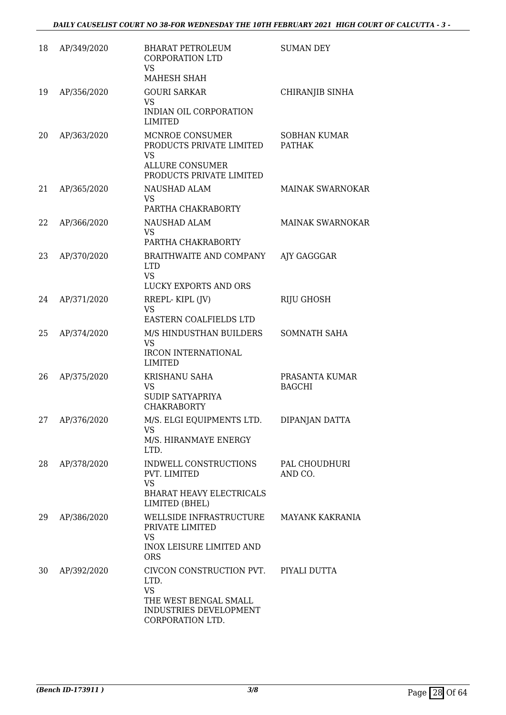| 18 | AP/349/2020 | <b>BHARAT PETROLEUM</b><br><b>CORPORATION LTD</b><br>VS<br>MAHESH SHAH                                               | <b>SUMAN DEY</b>                     |
|----|-------------|----------------------------------------------------------------------------------------------------------------------|--------------------------------------|
| 19 | AP/356/2020 | <b>GOURI SARKAR</b><br>VS<br>INDIAN OIL CORPORATION<br><b>LIMITED</b>                                                | CHIRANJIB SINHA                      |
| 20 | AP/363/2020 | MCNROE CONSUMER<br>PRODUCTS PRIVATE LIMITED<br><b>VS</b><br><b>ALLURE CONSUMER</b><br>PRODUCTS PRIVATE LIMITED       | <b>SOBHAN KUMAR</b><br><b>PATHAK</b> |
| 21 | AP/365/2020 | NAUSHAD ALAM<br>VS.<br>PARTHA CHAKRABORTY                                                                            | <b>MAINAK SWARNOKAR</b>              |
| 22 | AP/366/2020 | NAUSHAD ALAM<br>VS.<br>PARTHA CHAKRABORTY                                                                            | MAINAK SWARNOKAR                     |
| 23 | AP/370/2020 | BRAITHWAITE AND COMPANY<br><b>LTD</b><br><b>VS</b><br><b>LUCKY EXPORTS AND ORS</b>                                   | AJY GAGGGAR                          |
| 24 | AP/371/2020 | RREPL-KIPL (JV)<br><b>VS</b><br>EASTERN COALFIELDS LTD                                                               | RIJU GHOSH                           |
| 25 | AP/374/2020 | M/S HINDUSTHAN BUILDERS<br><b>VS</b><br>IRCON INTERNATIONAL<br><b>LIMITED</b>                                        | SOMNATH SAHA                         |
| 26 | AP/375/2020 | KRISHANU SAHA<br><b>VS</b><br><b>SUDIP SATYAPRIYA</b><br><b>CHAKRABORTY</b>                                          | PRASANTA KUMAR<br><b>BAGCHI</b>      |
| 27 | AP/376/2020 | M/S. ELGI EQUIPMENTS LTD.<br>VS<br>M/S. HIRANMAYE ENERGY<br>LTD.                                                     | DIPANJAN DATTA                       |
| 28 | AP/378/2020 | INDWELL CONSTRUCTIONS<br>PVT. LIMITED<br><b>VS</b><br><b>BHARAT HEAVY ELECTRICALS</b><br>LIMITED (BHEL)              | PAL CHOUDHURI<br>AND CO.             |
| 29 | AP/386/2020 | WELLSIDE INFRASTRUCTURE<br>PRIVATE LIMITED<br><b>VS</b><br><b>INOX LEISURE LIMITED AND</b><br><b>ORS</b>             | <b>MAYANK KAKRANIA</b>               |
| 30 | AP/392/2020 | CIVCON CONSTRUCTION PVT.<br>LTD.<br><b>VS</b><br>THE WEST BENGAL SMALL<br>INDUSTRIES DEVELOPMENT<br>CORPORATION LTD. | PIYALI DUTTA                         |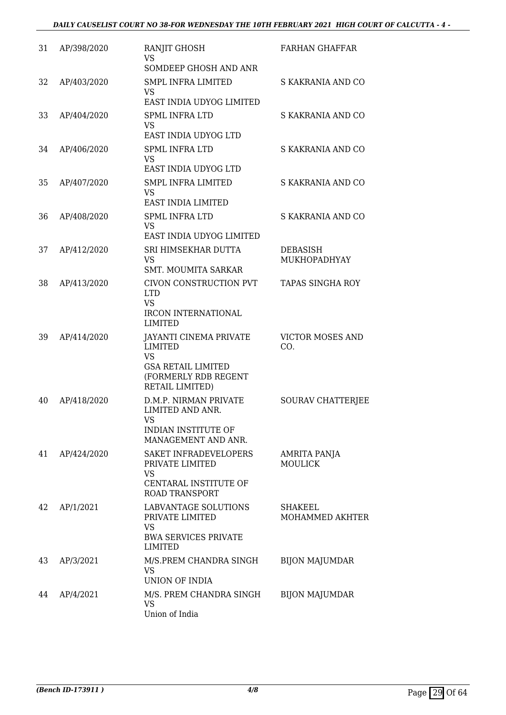| 31 | AP/398/2020 | RANJIT GHOSH<br><b>VS</b><br>SOMDEEP GHOSH AND ANR                                                                                | <b>FARHAN GHAFFAR</b>          |
|----|-------------|-----------------------------------------------------------------------------------------------------------------------------------|--------------------------------|
| 32 | AP/403/2020 | <b>SMPL INFRA LIMITED</b><br><b>VS</b><br>EAST INDIA UDYOG LIMITED                                                                | S KAKRANIA AND CO              |
| 33 | AP/404/2020 | <b>SPML INFRA LTD</b><br><b>VS</b><br>EAST INDIA UDYOG LTD                                                                        | S KAKRANIA AND CO              |
| 34 | AP/406/2020 | <b>SPML INFRA LTD</b><br><b>VS</b><br>EAST INDIA UDYOG LTD                                                                        | S KAKRANIA AND CO              |
| 35 | AP/407/2020 | <b>SMPL INFRA LIMITED</b><br><b>VS</b><br>EAST INDIA LIMITED                                                                      | S KAKRANIA AND CO              |
| 36 | AP/408/2020 | <b>SPML INFRA LTD</b><br><b>VS</b><br>EAST INDIA UDYOG LIMITED                                                                    | S KAKRANIA AND CO              |
| 37 | AP/412/2020 | SRI HIMSEKHAR DUTTA<br><b>VS</b><br><b>SMT. MOUMITA SARKAR</b>                                                                    | DEBASISH<br>MUKHOPADHYAY       |
| 38 | AP/413/2020 | CIVON CONSTRUCTION PVT<br><b>LTD</b><br><b>VS</b><br><b>IRCON INTERNATIONAL</b>                                                   | <b>TAPAS SINGHA ROY</b>        |
| 39 | AP/414/2020 | LIMITED<br>JAYANTI CINEMA PRIVATE<br><b>LIMITED</b><br>VS<br><b>GSA RETAIL LIMITED</b><br>(FORMERLY RDB REGENT<br>RETAIL LIMITED) | <b>VICTOR MOSES AND</b><br>CO. |
| 40 | AP/418/2020 | D.M.P. NIRMAN PRIVATE<br>LIMITED AND ANR.<br>VS<br>INDIAN INSTITUTE OF<br>MANAGEMENT AND ANR.                                     | SOURAV CHATTERJEE              |
| 41 | AP/424/2020 | SAKET INFRADEVELOPERS<br>PRIVATE LIMITED<br>VS<br>CENTARAL INSTITUTE OF<br><b>ROAD TRANSPORT</b>                                  | AMRITA PANJA<br><b>MOULICK</b> |
| 42 | AP/1/2021   | LABVANTAGE SOLUTIONS<br>PRIVATE LIMITED<br><b>VS</b><br><b>BWA SERVICES PRIVATE</b><br>LIMITED                                    | SHAKEEL<br>MOHAMMED AKHTER     |
| 43 | AP/3/2021   | M/S.PREM CHANDRA SINGH<br><b>VS</b><br>UNION OF INDIA                                                                             | <b>BIJON MAJUMDAR</b>          |
| 44 | AP/4/2021   | M/S. PREM CHANDRA SINGH<br>VS<br>Union of India                                                                                   | <b>BIJON MAJUMDAR</b>          |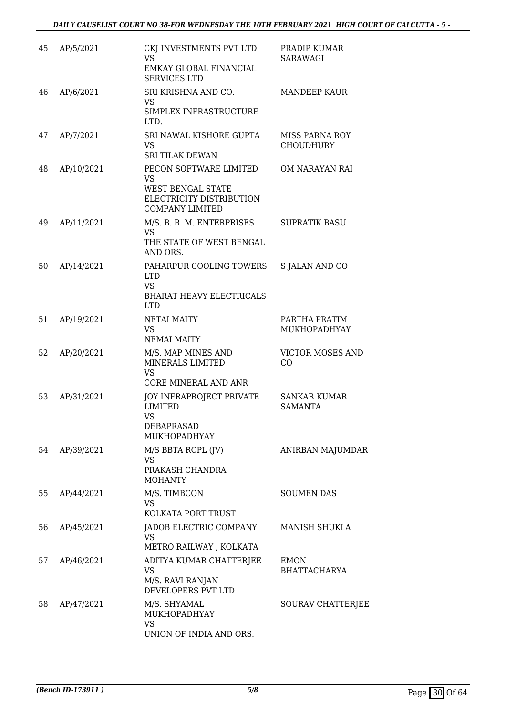| 45 | AP/5/2021  | CKJ INVESTMENTS PVT LTD<br><b>VS</b><br>EMKAY GLOBAL FINANCIAL<br><b>SERVICES LTD</b>                   | PRADIP KUMAR<br>SARAWAGI                  |
|----|------------|---------------------------------------------------------------------------------------------------------|-------------------------------------------|
| 46 | AP/6/2021  | SRI KRISHNA AND CO.<br><b>VS</b><br>SIMPLEX INFRASTRUCTURE<br>LTD.                                      | <b>MANDEEP KAUR</b>                       |
| 47 | AP/7/2021  | SRI NAWAL KISHORE GUPTA<br>VS<br><b>SRI TILAK DEWAN</b>                                                 | <b>MISS PARNA ROY</b><br><b>CHOUDHURY</b> |
| 48 | AP/10/2021 | PECON SOFTWARE LIMITED<br>VS<br>WEST BENGAL STATE<br>ELECTRICITY DISTRIBUTION<br><b>COMPANY LIMITED</b> | OM NARAYAN RAI                            |
| 49 | AP/11/2021 | M/S. B. B. M. ENTERPRISES<br>VS<br>THE STATE OF WEST BENGAL<br>AND ORS.                                 | <b>SUPRATIK BASU</b>                      |
| 50 | AP/14/2021 | PAHARPUR COOLING TOWERS<br><b>LTD</b><br><b>VS</b><br><b>BHARAT HEAVY ELECTRICALS</b><br><b>LTD</b>     | S JALAN AND CO                            |
| 51 | AP/19/2021 | <b>NETAI MAITY</b><br>VS.<br><b>NEMAI MAITY</b>                                                         | PARTHA PRATIM<br><b>MUKHOPADHYAY</b>      |
| 52 | AP/20/2021 | M/S. MAP MINES AND<br>MINERALS LIMITED<br><b>VS</b><br><b>CORE MINERAL AND ANR</b>                      | <b>VICTOR MOSES AND</b><br>CO             |
| 53 | AP/31/2021 | JOY INFRAPROJECT PRIVATE<br><b>LIMITED</b><br><b>VS</b><br><b>DEBAPRASAD</b><br><b>MUKHOPADHYAY</b>     | <b>SANKAR KUMAR</b><br><b>SAMANTA</b>     |
| 54 | AP/39/2021 | M/S BBTA RCPL (JV)<br><b>VS</b><br>PRAKASH CHANDRA<br><b>MOHANTY</b>                                    | ANIRBAN MAJUMDAR                          |
| 55 | AP/44/2021 | M/S. TIMBCON<br>VS<br>KOLKATA PORT TRUST                                                                | <b>SOUMEN DAS</b>                         |
| 56 | AP/45/2021 | JADOB ELECTRIC COMPANY<br><b>VS</b><br>METRO RAILWAY , KOLKATA                                          | <b>MANISH SHUKLA</b>                      |
| 57 | AP/46/2021 | ADITYA KUMAR CHATTERJEE<br><b>VS</b><br>M/S. RAVI RANJAN<br>DEVELOPERS PVT LTD                          | <b>EMON</b><br><b>BHATTACHARYA</b>        |
| 58 | AP/47/2021 | M/S. SHYAMAL<br>MUKHOPADHYAY<br><b>VS</b><br>UNION OF INDIA AND ORS.                                    | SOURAV CHATTERJEE                         |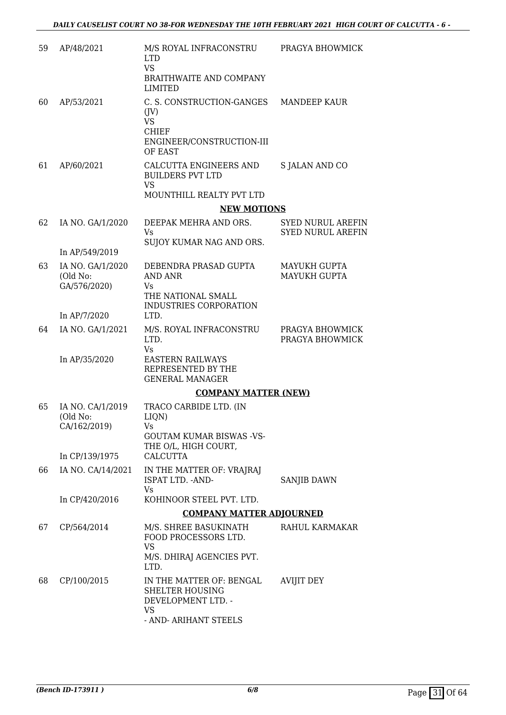| 59 | AP/48/2021                                   | M/S ROYAL INFRACONSTRU<br><b>LTD</b><br><b>VS</b><br>BRAITHWAITE AND COMPANY<br>LIMITED                          | PRAGYA BHOWMICK                                      |
|----|----------------------------------------------|------------------------------------------------------------------------------------------------------------------|------------------------------------------------------|
| 60 | AP/53/2021                                   | C. S. CONSTRUCTION-GANGES<br>$($ JV $)$<br><b>VS</b><br><b>CHIEF</b><br>ENGINEER/CONSTRUCTION-III<br>OF EAST     | MANDEEP KAUR                                         |
| 61 | AP/60/2021                                   | CALCUTTA ENGINEERS AND<br><b>BUILDERS PVT LTD</b><br><b>VS</b><br>MOUNTHILL REALTY PVT LTD                       | <b>S JALAN AND CO</b>                                |
|    |                                              | <b>NEW MOTIONS</b>                                                                                               |                                                      |
| 62 | IA NO. GA/1/2020<br>In AP/549/2019           | DEEPAK MEHRA AND ORS.<br>Vs.<br>SUJOY KUMAR NAG AND ORS.                                                         | <b>SYED NURUL AREFIN</b><br><b>SYED NURUL AREFIN</b> |
| 63 | IA NO. GA/1/2020<br>(Old No:<br>GA/576/2020) | DEBENDRA PRASAD GUPTA<br>AND ANR<br>Vs<br>THE NATIONAL SMALL<br>INDUSTRIES CORPORATION                           | MAYUKH GUPTA<br><b>MAYUKH GUPTA</b>                  |
|    | In AP/7/2020                                 | LTD.                                                                                                             |                                                      |
| 64 | IA NO. GA/1/2021<br>In AP/35/2020            | M/S. ROYAL INFRACONSTRU<br>LTD.<br>Vs<br><b>EASTERN RAILWAYS</b><br>REPRESENTED BY THE<br><b>GENERAL MANAGER</b> | PRAGYA BHOWMICK<br>PRAGYA BHOWMICK                   |
|    |                                              | <b>COMPANY MATTER (NEW)</b>                                                                                      |                                                      |
| 65 | IA NO. CA/1/2019<br>(Old No:<br>CA/162/2019) | TRACO CARBIDE LTD. (IN<br>LIQN)<br>Vs<br><b>GOUTAM KUMAR BISWAS -VS-</b><br>THE O/L, HIGH COURT,                 |                                                      |
|    | In CP/139/1975                               | <b>CALCUTTA</b>                                                                                                  |                                                      |
| 66 | IA NO. CA/14/2021                            | IN THE MATTER OF: VRAJRAJ<br>ISPAT LTD. - AND-<br>Vs.                                                            | <b>SANJIB DAWN</b>                                   |
|    | In CP/420/2016                               | KOHINOOR STEEL PVT. LTD.                                                                                         |                                                      |
|    |                                              | <b>COMPANY MATTER ADJOURNED</b>                                                                                  |                                                      |
| 67 | CP/564/2014                                  | M/S. SHREE BASUKINATH<br>FOOD PROCESSORS LTD.<br>VS<br>M/S. DHIRAJ AGENCIES PVT.<br>LTD.                         | RAHUL KARMAKAR                                       |
| 68 | CP/100/2015                                  | IN THE MATTER OF: BENGAL<br><b>SHELTER HOUSING</b><br>DEVELOPMENT LTD. -<br>VS<br>- AND- ARIHANT STEELS          | <b>AVIJIT DEY</b>                                    |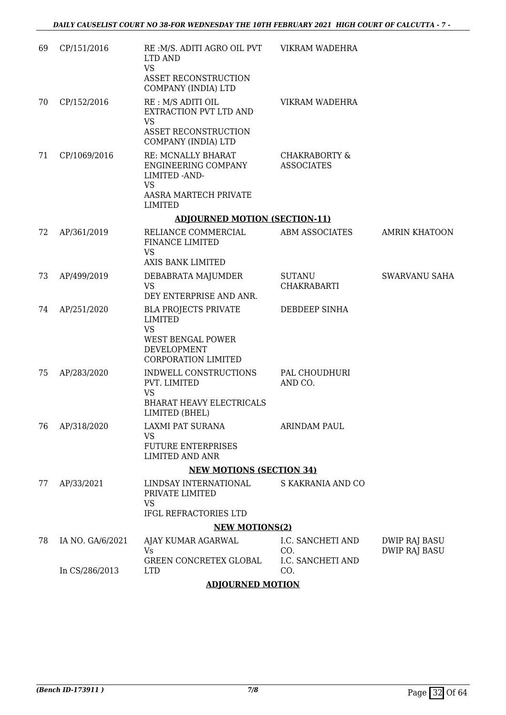| CP/151/2016      | LTD AND<br><b>VS</b><br><b>ASSET RECONSTRUCTION</b>                                                   |                                                                                                                                                                                         |                                                                                                                                                                               |
|------------------|-------------------------------------------------------------------------------------------------------|-----------------------------------------------------------------------------------------------------------------------------------------------------------------------------------------|-------------------------------------------------------------------------------------------------------------------------------------------------------------------------------|
| CP/152/2016      | RE : M/S ADITI OIL<br>EXTRACTION PVT LTD AND<br><b>VS</b><br>ASSET RECONSTRUCTION                     | VIKRAM WADEHRA                                                                                                                                                                          |                                                                                                                                                                               |
| CP/1069/2016     | <b>RE: MCNALLY BHARAT</b><br>ENGINEERING COMPANY<br>LIMITED - AND-<br><b>VS</b>                       | <b>CHAKRABORTY &amp;</b><br><b>ASSOCIATES</b>                                                                                                                                           |                                                                                                                                                                               |
|                  | LIMITED                                                                                               |                                                                                                                                                                                         |                                                                                                                                                                               |
|                  |                                                                                                       |                                                                                                                                                                                         |                                                                                                                                                                               |
| AP/361/2019      | RELIANCE COMMERCIAL<br>FINANCE LIMITED<br><b>VS</b>                                                   | ABM ASSOCIATES                                                                                                                                                                          | <b>AMRIN KHATOON</b>                                                                                                                                                          |
|                  |                                                                                                       |                                                                                                                                                                                         | SWARVANU SAHA                                                                                                                                                                 |
|                  | <b>VS</b><br>DEY ENTERPRISE AND ANR.                                                                  | CHAKRABARTI                                                                                                                                                                             |                                                                                                                                                                               |
| AP/251/2020      | <b>BLA PROJECTS PRIVATE</b><br>LIMITED<br><b>VS</b><br><b>WEST BENGAL POWER</b><br><b>DEVELOPMENT</b> | DEBDEEP SINHA                                                                                                                                                                           |                                                                                                                                                                               |
| AP/283/2020      | INDWELL CONSTRUCTIONS<br>PVT. LIMITED<br><b>VS</b><br><b>BHARAT HEAVY ELECTRICALS</b>                 | PAL CHOUDHURI<br>AND CO.                                                                                                                                                                |                                                                                                                                                                               |
| AP/318/2020      | LAXMI PAT SURANA<br><b>VS</b><br><b>FUTURE ENTERPRISES</b><br><b>LIMITED AND ANR</b>                  | ARINDAM PAUL                                                                                                                                                                            |                                                                                                                                                                               |
|                  |                                                                                                       |                                                                                                                                                                                         |                                                                                                                                                                               |
| AP/33/2021       | LINDSAY INTERNATIONAL<br>PRIVATE LIMITED                                                              | S KAKRANIA AND CO                                                                                                                                                                       |                                                                                                                                                                               |
|                  | IFGL REFRACTORIES LTD                                                                                 |                                                                                                                                                                                         |                                                                                                                                                                               |
|                  |                                                                                                       |                                                                                                                                                                                         |                                                                                                                                                                               |
| IA NO. GA/6/2021 | AJAY KUMAR AGARWAL<br>Vs                                                                              | I.C. SANCHETI AND<br>CO.                                                                                                                                                                | DWIP RAJ BASU<br>DWIP RAJ BASU                                                                                                                                                |
| In CS/286/2013   | <b>LTD</b>                                                                                            | CO.                                                                                                                                                                                     |                                                                                                                                                                               |
|                  | AP/499/2019                                                                                           | COMPANY (INDIA) LTD<br>COMPANY (INDIA) LTD<br>AASRA MARTECH PRIVATE<br>AXIS BANK LIMITED<br>DEBABRATA MAJUMDER<br>CORPORATION LIMITED<br>LIMITED (BHEL)<br>VS<br>GREEN CONCRETEX GLOBAL | RE: M/S. ADITI AGRO OIL PVT VIKRAM WADEHRA<br><b>ADJOURNED MOTION (SECTION-11)</b><br>SUTANU<br><b>NEW MOTIONS (SECTION 34)</b><br><b>NEW MOTIONS(2)</b><br>I.C. SANCHETI AND |

**ADJOURNED MOTION**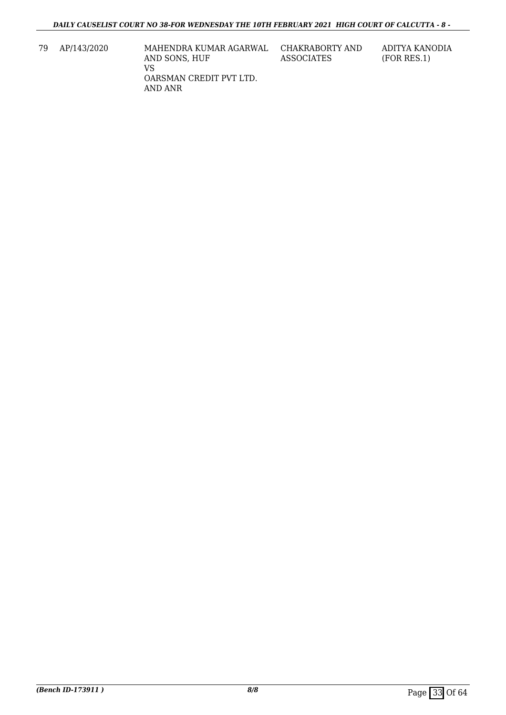- 79 AP/143/2020 MAHENDRA KUMAR AGARWAL AND SONS, HUF VS OARSMAN CREDIT PVT LTD. AND ANR
- CHAKRABORTY AND ASSOCIATES

ADITYA KANODIA (FOR RES.1)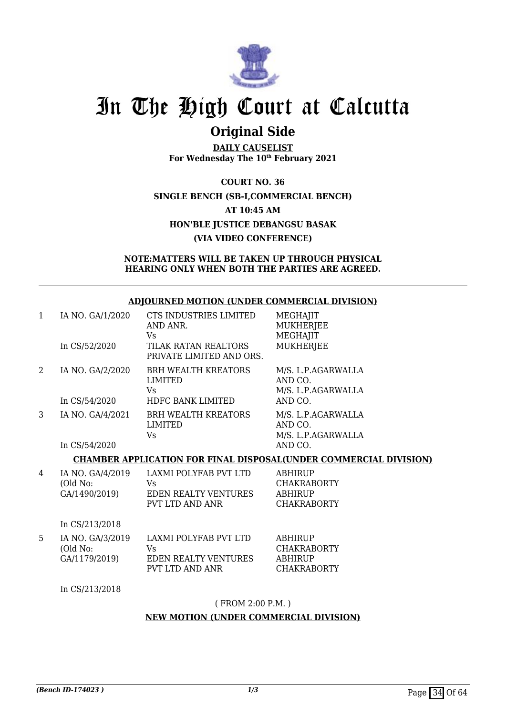

### **Original Side**

**DAILY CAUSELIST For Wednesday The 10th February 2021**

**COURT NO. 36 SINGLE BENCH (SB-I,COMMERCIAL BENCH) AT 10:45 AM HON'BLE JUSTICE DEBANGSU BASAK (VIA VIDEO CONFERENCE)**

#### **NOTE:MATTERS WILL BE TAKEN UP THROUGH PHYSICAL HEARING ONLY WHEN BOTH THE PARTIES ARE AGREED.**

#### **ADJOURNED MOTION (UNDER COMMERCIAL DIVISION)**

| 1 | IA NO. GA/1/2020 | CTS INDUSTRIES LIMITED<br>AND ANR.<br>Vs         | MEGHAJIT<br><b>MUKHERJEE</b><br>MEGHAJIT            |
|---|------------------|--------------------------------------------------|-----------------------------------------------------|
|   | In CS/52/2020    | TILAK RATAN REALTORS<br>PRIVATE LIMITED AND ORS. | <b>MUKHERJEE</b>                                    |
| 2 | IA NO. GA/2/2020 | <b>BRH WEALTH KREATORS</b><br>LIMITED<br>Vs      | M/S. L.P.AGARWALLA<br>AND CO.<br>M/S. L.P.AGARWALLA |
|   | In CS/54/2020    | HDFC BANK LIMITED                                | AND CO.                                             |
| 3 | IA NO. GA/4/2021 | <b>BRH WEALTH KREATORS</b><br>LIMITED<br>Vs      | M/S. L.P.AGARWALLA<br>AND CO.<br>M/S. L.P.AGARWALLA |
|   | In CS/54/2020    |                                                  | AND CO.                                             |

#### **CHAMBER APPLICATION FOR FINAL DISPOSAL(UNDER COMMERCIAL DIVISION)**

| 4 | IA NO. GA/4/2019<br>(Old No:<br>GA/1490/2019) | LAXMI POLYFAB PVT LTD<br>Vs<br><b>EDEN REALTY VENTURES</b><br>PVT LTD AND ANR | <b>ABHIRUP</b><br><b>CHAKRABORTY</b><br><b>ABHIRUP</b><br><b>CHAKRABORTY</b> |
|---|-----------------------------------------------|-------------------------------------------------------------------------------|------------------------------------------------------------------------------|
|   | In CS/213/2018                                |                                                                               |                                                                              |
| 5 | IA NO. GA/3/2019<br>(Old No:<br>GA/1179/2019) | LAXMI POLYFAB PVT LTD<br>Vs<br><b>EDEN REALTY VENTURES</b><br>PVT LTD AND ANR | ABHIRUP<br><b>CHAKRABORTY</b><br><b>ABHIRUP</b><br>CHAKRABORTY               |

In CS/213/2018

( FROM 2:00 P.M. )

#### **NEW MOTION (UNDER COMMERCIAL DIVISION)**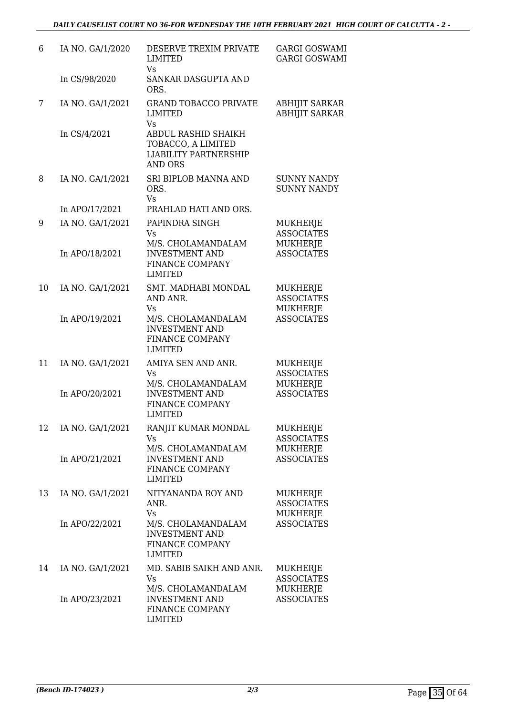| 6  | IA NO. GA/1/2020 | DESERVE TREXIM PRIVATE<br><b>LIMITED</b><br>Vs.                                             | <b>GARGI GOSWAMI</b><br><b>GARGI GOSWAMI</b>            |
|----|------------------|---------------------------------------------------------------------------------------------|---------------------------------------------------------|
|    | In CS/98/2020    | SANKAR DASGUPTA AND<br>ORS.                                                                 |                                                         |
| 7  | IA NO. GA/1/2021 | <b>GRAND TOBACCO PRIVATE</b><br><b>LIMITED</b><br>Vs                                        | ABHIJIT SARKAR<br><b>ABHIJIT SARKAR</b>                 |
|    | In CS/4/2021     | ABDUL RASHID SHAIKH<br>TOBACCO, A LIMITED<br><b>LIABILITY PARTNERSHIP</b><br><b>AND ORS</b> |                                                         |
| 8  | IA NO. GA/1/2021 | SRI BIPLOB MANNA AND<br>ORS.<br>Vs                                                          | <b>SUNNY NANDY</b><br><b>SUNNY NANDY</b>                |
|    | In APO/17/2021   | PRAHLAD HATI AND ORS.                                                                       |                                                         |
| 9  | IA NO. GA/1/2021 | PAPINDRA SINGH<br>Vs<br>M/S. CHOLAMANDALAM                                                  | <b>MUKHERJE</b><br><b>ASSOCIATES</b><br><b>MUKHERJE</b> |
|    | In APO/18/2021   | <b>INVESTMENT AND</b><br>FINANCE COMPANY<br><b>LIMITED</b>                                  | <b>ASSOCIATES</b>                                       |
| 10 | IA NO. GA/1/2021 | SMT. MADHABI MONDAL<br>AND ANR.<br>Vs                                                       | MUKHERJE<br><b>ASSOCIATES</b><br>MUKHERJE               |
|    | In APO/19/2021   | M/S. CHOLAMANDALAM<br><b>INVESTMENT AND</b><br>FINANCE COMPANY<br><b>LIMITED</b>            | <b>ASSOCIATES</b>                                       |
| 11 | IA NO. GA/1/2021 | AMIYA SEN AND ANR.<br>Vs<br>M/S. CHOLAMANDALAM                                              | MUKHERJE<br><b>ASSOCIATES</b><br><b>MUKHERJE</b>        |
|    | In APO/20/2021   | <b>INVESTMENT AND</b><br>FINANCE COMPANY<br><b>LIMITED</b>                                  | <b>ASSOCIATES</b>                                       |
| 12 | IA NO. GA/1/2021 | RANJIT KUMAR MONDAL<br>Vs                                                                   | MUKHERJE<br><b>ASSOCIATES</b>                           |
|    | In APO/21/2021   | M/S. CHOLAMANDALAM<br><b>INVESTMENT AND</b><br>FINANCE COMPANY<br><b>LIMITED</b>            | MUKHERJE<br><b>ASSOCIATES</b>                           |
| 13 | IA NO. GA/1/2021 | NITYANANDA ROY AND<br>ANR.<br>Vs                                                            | MUKHERJE<br><b>ASSOCIATES</b><br><b>MUKHERJE</b>        |
|    | In APO/22/2021   | M/S. CHOLAMANDALAM<br><b>INVESTMENT AND</b><br>FINANCE COMPANY<br><b>LIMITED</b>            | <b>ASSOCIATES</b>                                       |
| 14 | IA NO. GA/1/2021 | MD. SABIB SAIKH AND ANR.<br>Vs<br>M/S. CHOLAMANDALAM                                        | MUKHERJE<br><b>ASSOCIATES</b><br>MUKHERJE               |
|    | In APO/23/2021   | <b>INVESTMENT AND</b><br>FINANCE COMPANY<br><b>LIMITED</b>                                  | <b>ASSOCIATES</b>                                       |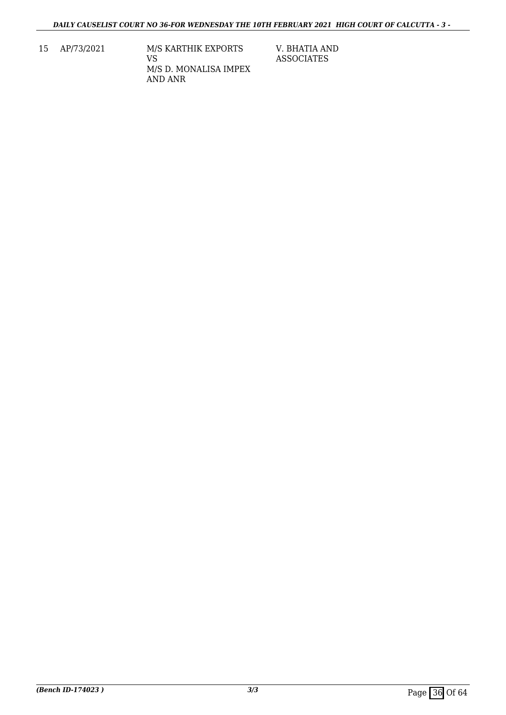15 AP/73/2021 M/S KARTHIK EXPORTS VS M/S D. MONALISA IMPEX AND ANR

V. BHATIA AND ASSOCIATES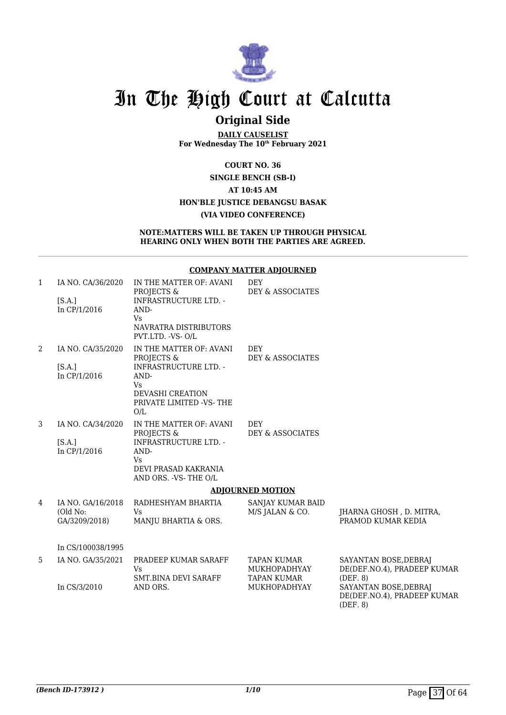

### **Original Side**

**DAILY CAUSELIST For Wednesday The 10th February 2021**

**COURT NO. 36 SINGLE BENCH (SB-I) AT 10:45 AM**

### **HON'BLE JUSTICE DEBANGSU BASAK**

#### **(VIA VIDEO CONFERENCE)**

**NOTE:MATTERS WILL BE TAKEN UP THROUGH PHYSICAL HEARING ONLY WHEN BOTH THE PARTIES ARE AGREED.**

#### **COMPANY MATTER ADJOURNED**

| $\mathbf{1}$   | IA NO. CA/36/2020             | IN THE MATTER OF: AVANI<br>PROJECTS &                                                            | DEY<br>DEY & ASSOCIATES                   |                                                      |
|----------------|-------------------------------|--------------------------------------------------------------------------------------------------|-------------------------------------------|------------------------------------------------------|
|                | [S.A.]<br>In CP/1/2016        | <b>INFRASTRUCTURE LTD. -</b><br>AND-<br><b>Vs</b><br>NAVRATRA DISTRIBUTORS<br>PVT.LTD. - VS- O/L |                                           |                                                      |
| $\overline{2}$ | IA NO. CA/35/2020             | IN THE MATTER OF: AVANI<br>PROJECTS &                                                            | <b>DEY</b><br>DEY & ASSOCIATES            |                                                      |
|                | [S.A.]<br>In CP/1/2016        | INFRASTRUCTURE LTD. -<br>AND-<br><b>V<sub>S</sub></b>                                            |                                           |                                                      |
|                |                               | <b>DEVASHI CREATION</b><br>PRIVATE LIMITED -VS-THE<br>O/L                                        |                                           |                                                      |
| 3              | IA NO. CA/34/2020             | IN THE MATTER OF: AVANI<br>PROJECTS &                                                            | DEY<br>DEY & ASSOCIATES                   |                                                      |
|                | [S.A.]<br>In CP/1/2016        | <b>INFRASTRUCTURE LTD. -</b><br>AND-<br>Vs                                                       |                                           |                                                      |
|                |                               | DEVI PRASAD KAKRANIA<br>AND ORS. - VS- THE O/L                                                   |                                           |                                                      |
|                |                               |                                                                                                  | <b>ADJOURNED MOTION</b>                   |                                                      |
| 4              | IA NO. GA/16/2018<br>(Old No: | RADHESHYAM BHARTIA<br><b>V<sub>S</sub></b>                                                       | SANJAY KUMAR BAID<br>M/S JALAN & CO.      | JHARNA GHOSH, D. MITRA,                              |
|                | GA/3209/2018)                 | MANJU BHARTIA & ORS.                                                                             |                                           | PRAMOD KUMAR KEDIA                                   |
|                | In CS/100038/1995             |                                                                                                  |                                           |                                                      |
| 5.             | IA NO. GA/35/2021             | PRADEEP KUMAR SARAFF<br>Vs                                                                       | <b>TAPAN KUMAR</b><br><b>MUKHOPADHYAY</b> | SAYANTAN BOSE, DEBRAJ<br>DE(DEF.NO.4), PRADEEP KUMAR |
|                | In CS/3/2010                  | SMT.BINA DEVI SARAFF<br>AND ORS.                                                                 | <b>TAPAN KUMAR</b><br><b>MUKHOPADHYAY</b> | (DEF. 8)<br>SAYANTAN BOSE, DEBRAJ                    |
|                |                               |                                                                                                  |                                           | DE(DEF.NO.4), PRADEEP KUMAR                          |

(DEF. 8)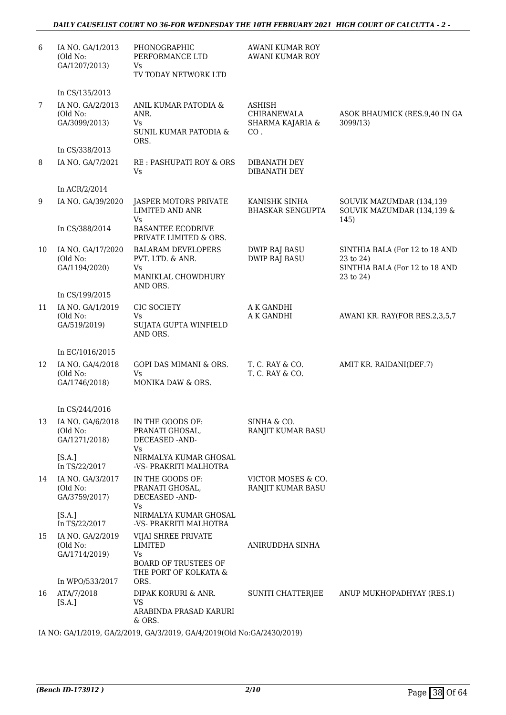#### *DAILY CAUSELIST COURT NO 36-FOR WEDNESDAY THE 10TH FEBRUARY 2021 HIGH COURT OF CALCUTTA - 2 -*

| 6  | IA NO. GA/1/2013<br>(Old No:<br>GA/1207/2013)                     | PHONOGRAPHIC<br>PERFORMANCE LTD<br>Vs<br>TV TODAY NETWORK LTD                         | AWANI KUMAR ROY<br><b>AWANI KUMAR ROY</b>               |                                                                                            |
|----|-------------------------------------------------------------------|---------------------------------------------------------------------------------------|---------------------------------------------------------|--------------------------------------------------------------------------------------------|
|    | In CS/135/2013                                                    |                                                                                       |                                                         |                                                                                            |
| 7  | IA NO. GA/2/2013<br>(Old No:<br>GA/3099/2013)                     | ANIL KUMAR PATODIA &<br>ANR.<br>Vs<br>SUNIL KUMAR PATODIA &<br>ORS.                   | <b>ASHISH</b><br>CHIRANEWALA<br>SHARMA KAJARIA &<br>CO. | ASOK BHAUMICK (RES.9,40 IN GA<br>3099/13)                                                  |
|    | In CS/338/2013                                                    |                                                                                       |                                                         |                                                                                            |
| 8  | IA NO. GA/7/2021                                                  | RE: PASHUPATI ROY & ORS<br><b>Vs</b>                                                  | DIBANATH DEY<br>DIBANATH DEY                            |                                                                                            |
|    | In ACR/2/2014                                                     |                                                                                       |                                                         |                                                                                            |
| 9  | IA NO. GA/39/2020                                                 | JASPER MOTORS PRIVATE<br><b>LIMITED AND ANR</b><br><b>Vs</b>                          | KANISHK SINHA<br><b>BHASKAR SENGUPTA</b>                | SOUVIK MAZUMDAR (134,139<br>SOUVIK MAZUMDAR (134,139 &<br>145)                             |
|    | In CS/388/2014                                                    | <b>BASANTEE ECODRIVE</b><br>PRIVATE LIMITED & ORS.                                    |                                                         |                                                                                            |
| 10 | IA NO. GA/17/2020<br>(Old No:<br>GA/1194/2020)                    | <b>BALARAM DEVELOPERS</b><br>PVT. LTD. & ANR.<br>Vs<br>MANIKLAL CHOWDHURY<br>AND ORS. | <b>DWIP RAJ BASU</b><br><b>DWIP RAJ BASU</b>            | SINTHIA BALA (For 12 to 18 AND<br>23 to 24)<br>SINTHIA BALA (For 12 to 18 AND<br>23 to 24) |
|    | In CS/199/2015                                                    |                                                                                       |                                                         |                                                                                            |
| 11 | IA NO. GA/1/2019<br>(Old No:<br>GA/519/2019)                      | CIC SOCIETY<br>Vs<br>SUJATA GUPTA WINFIELD<br>AND ORS.                                | A K GANDHI<br>A K GANDHI                                | AWANI KR. RAY(FOR RES.2,3,5,7                                                              |
|    | In EC/1016/2015                                                   |                                                                                       |                                                         |                                                                                            |
| 12 | IA NO. GA/4/2018<br>(Old No:<br>GA/1746/2018)                     | GOPI DAS MIMANI & ORS.<br><b>Vs</b><br>MONIKA DAW & ORS.                              | T. C. RAY & CO.<br>T. C. RAY & CO.                      | AMIT KR. RAIDANI(DEF.7)                                                                    |
|    | In CS/244/2016                                                    |                                                                                       |                                                         |                                                                                            |
|    | 13 IA NO. GA/6/2018 IN THE GOODS OF:<br>(Old No:<br>GA/1271/2018) | PRANATI GHOSAL,<br>DECEASED -AND-                                                     | SINHA & CO.<br>RANJIT KUMAR BASU                        |                                                                                            |
|    | [S.A.]<br>In TS/22/2017                                           | Vs<br>NIRMALYA KUMAR GHOSAL<br>-VS- PRAKRITI MALHOTRA                                 |                                                         |                                                                                            |
| 14 | IA NO. GA/3/2017<br>(Old No:<br>GA/3759/2017)                     | IN THE GOODS OF:<br>PRANATI GHOSAL,<br>DECEASED -AND-                                 | VICTOR MOSES & CO.<br>RANJIT KUMAR BASU                 |                                                                                            |
|    | [S.A.]<br>In TS/22/2017                                           | Vs<br>NIRMALYA KUMAR GHOSAL<br>-VS- PRAKRITI MALHOTRA                                 |                                                         |                                                                                            |
| 15 | IA NO. GA/2/2019<br>(Old No:<br>GA/1714/2019)                     | VIJAI SHREE PRIVATE<br>LIMITED<br>Vs                                                  | ANIRUDDHA SINHA                                         |                                                                                            |
|    | In WPO/533/2017                                                   | <b>BOARD OF TRUSTEES OF</b><br>THE PORT OF KOLKATA &<br>ORS.                          |                                                         |                                                                                            |
| 16 | ATA/7/2018<br>[S.A.]                                              | DIPAK KORURI & ANR.<br><b>VS</b>                                                      | SUNITI CHATTERJEE                                       | ANUP MUKHOPADHYAY (RES.1)                                                                  |
|    |                                                                   | ARABINDA PRASAD KARURI<br>& ORS.                                                      |                                                         |                                                                                            |

IA NO: GA/1/2019, GA/2/2019, GA/3/2019, GA/4/2019(Old No:GA/2430/2019)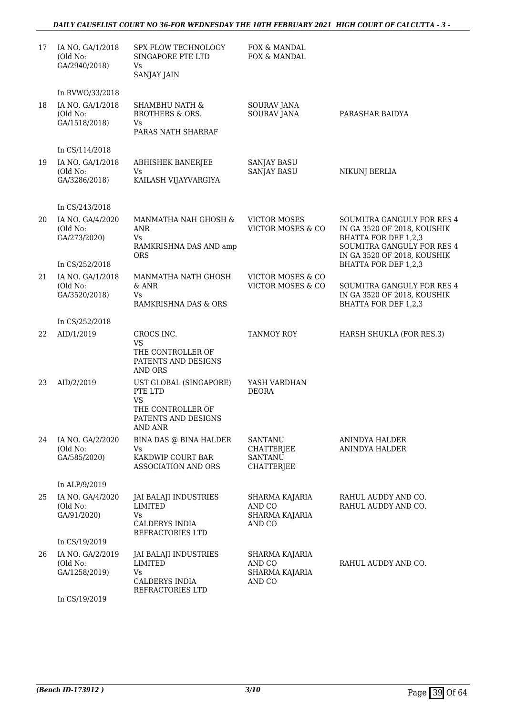#### *DAILY CAUSELIST COURT NO 36-FOR WEDNESDAY THE 10TH FEBRUARY 2021 HIGH COURT OF CALCUTTA - 3 -*

| 17 | IA NO. GA/1/2018<br>(Old No:<br>GA/2940/2018)                    | SPX FLOW TECHNOLOGY<br>SINGAPORE PTE LTD<br>Vs<br><b>SANJAY JAIN</b>                                         | FOX & MANDAL<br>FOX & MANDAL                                        |                                                                                                                  |
|----|------------------------------------------------------------------|--------------------------------------------------------------------------------------------------------------|---------------------------------------------------------------------|------------------------------------------------------------------------------------------------------------------|
| 18 | In RVWO/33/2018<br>IA NO. GA/1/2018<br>(Old No:<br>GA/1518/2018) | <b>SHAMBHU NATH &amp;</b><br><b>BROTHERS &amp; ORS.</b><br>Vs<br>PARAS NATH SHARRAF                          | <b>SOURAV JANA</b><br><b>SOURAV JANA</b>                            | PARASHAR BAIDYA                                                                                                  |
| 19 | In CS/114/2018<br>IA NO. GA/1/2018<br>(Old No:<br>GA/3286/2018)  | <b>ABHISHEK BANERJEE</b><br>Vs<br>KAILASH VIJAYVARGIYA                                                       | <b>SANJAY BASU</b><br><b>SANJAY BASU</b>                            | NIKUNJ BERLIA                                                                                                    |
| 20 | In CS/243/2018<br>IA NO. GA/4/2020<br>(Old No:<br>GA/273/2020)   | MANMATHA NAH GHOSH &<br>ANR<br><b>Vs</b><br>RAMKRISHNA DAS AND amp                                           | <b>VICTOR MOSES</b><br>VICTOR MOSES & CO                            | SOUMITRA GANGULY FOR RES 4<br>IN GA 3520 OF 2018, KOUSHIK<br>BHATTA FOR DEF 1,2,3<br>SOUMITRA GANGULY FOR RES 4  |
| 21 | In CS/252/2018<br>IA NO. GA/1/2018<br>(Old No:<br>GA/3520/2018)  | <b>ORS</b><br>MANMATHA NATH GHOSH<br>& ANR<br>Vs                                                             | <b>VICTOR MOSES &amp; CO</b><br>VICTOR MOSES & CO                   | IN GA 3520 OF 2018, KOUSHIK<br>BHATTA FOR DEF 1,2,3<br>SOUMITRA GANGULY FOR RES 4<br>IN GA 3520 OF 2018, KOUSHIK |
|    | In CS/252/2018                                                   | RAMKRISHNA DAS & ORS                                                                                         |                                                                     | BHATTA FOR DEF 1,2,3                                                                                             |
| 22 | AID/1/2019                                                       | CROCS INC.<br><b>VS</b><br>THE CONTROLLER OF<br>PATENTS AND DESIGNS<br><b>AND ORS</b>                        | TANMOY ROY                                                          | HARSH SHUKLA (FOR RES.3)                                                                                         |
| 23 | AID/2/2019                                                       | UST GLOBAL (SINGAPORE)<br>PTE LTD<br><b>VS</b><br>THE CONTROLLER OF<br>PATENTS AND DESIGNS<br><b>AND ANR</b> | YASH VARDHAN<br><b>DEORA</b>                                        |                                                                                                                  |
| 24 | IA NO. GA/2/2020<br>(Old No:<br>GA/585/2020)                     | BINA DAS @ BINA HALDER<br>Vs<br>KAKDWIP COURT BAR<br>ASSOCIATION AND ORS                                     | <b>SANTANU</b><br><b>CHATTERJEE</b><br><b>SANTANU</b><br>CHATTERJEE | ANINDYA HALDER<br>ANINDYA HALDER                                                                                 |
|    | In ALP/9/2019                                                    |                                                                                                              |                                                                     |                                                                                                                  |
| 25 | IA NO. GA/4/2020<br>(Old No:<br>GA/91/2020)                      | JAI BALAJI INDUSTRIES<br><b>LIMITED</b><br>Vs<br>CALDERYS INDIA<br>REFRACTORIES LTD                          | SHARMA KAJARIA<br>AND CO<br>SHARMA KAJARIA<br>AND CO                | RAHUL AUDDY AND CO.<br>RAHUL AUDDY AND CO.                                                                       |
| 26 | In CS/19/2019<br>IA NO. GA/2/2019<br>(Old No:<br>GA/1258/2019)   | JAI BALAJI INDUSTRIES<br>LIMITED<br>Vs<br>CALDERYS INDIA<br>REFRACTORIES LTD                                 | SHARMA KAJARIA<br>AND CO<br>SHARMA KAJARIA<br>AND CO                | RAHUL AUDDY AND CO.                                                                                              |

In CS/19/2019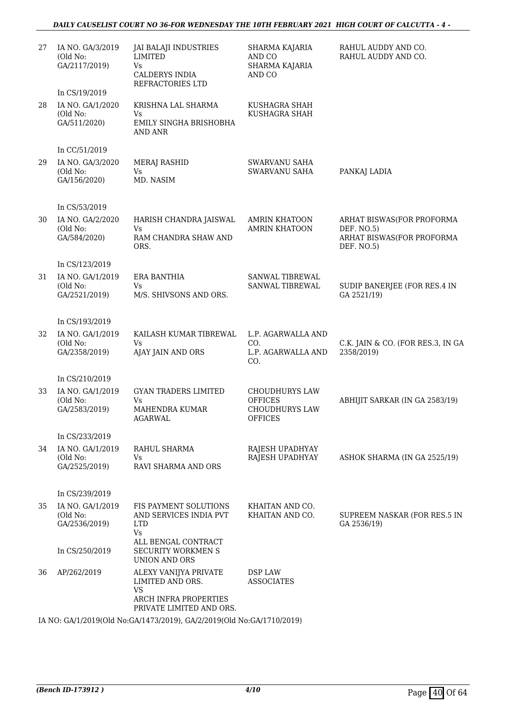#### *DAILY CAUSELIST COURT NO 36-FOR WEDNESDAY THE 10TH FEBRUARY 2021 HIGH COURT OF CALCUTTA - 4 -*

| 27 | IA NO. GA/3/2019<br>(Old No:<br>GA/2117/2019)                         | <b>JAI BALAJI INDUSTRIES</b><br><b>LIMITED</b><br><b>Vs</b><br>CALDERYS INDIA<br>REFRACTORIES LTD | SHARMA KAJARIA<br>AND CO<br>SHARMA KAJARIA<br>AND CO | RAHUL AUDDY AND CO.<br>RAHUL AUDDY AND CO.                                         |  |
|----|-----------------------------------------------------------------------|---------------------------------------------------------------------------------------------------|------------------------------------------------------|------------------------------------------------------------------------------------|--|
|    | In CS/19/2019                                                         |                                                                                                   |                                                      |                                                                                    |  |
| 28 | IA NO. GA/1/2020<br>(Old No:<br>GA/511/2020)                          | KRISHNA LAL SHARMA<br>Vs.<br>EMILY SINGHA BRISHOBHA<br><b>AND ANR</b>                             | KUSHAGRA SHAH<br>KUSHAGRA SHAH                       |                                                                                    |  |
|    | In CC/51/2019                                                         |                                                                                                   |                                                      |                                                                                    |  |
| 29 | IA NO. GA/3/2020<br>(Old No:<br>GA/156/2020)                          | MERAJ RASHID<br><b>Vs</b><br>MD. NASIM                                                            | <b>SWARVANU SAHA</b><br><b>SWARVANU SAHA</b>         | PANKAJ LADIA                                                                       |  |
|    |                                                                       |                                                                                                   |                                                      |                                                                                    |  |
|    | In CS/53/2019                                                         |                                                                                                   |                                                      |                                                                                    |  |
| 30 | IA NO. GA/2/2020<br>(Old No:<br>GA/584/2020)                          | HARISH CHANDRA JAISWAL<br>Vs<br>RAM CHANDRA SHAW AND<br>ORS.                                      | <b>AMRIN KHATOON</b><br><b>AMRIN KHATOON</b>         | ARHAT BISWAS(FOR PROFORMA<br>DEF. NO.5)<br>ARHAT BISWAS(FOR PROFORMA<br>DEF. NO.5) |  |
|    | In CS/123/2019                                                        |                                                                                                   |                                                      |                                                                                    |  |
| 31 | IA NO. GA/1/2019                                                      | ERA BANTHIA                                                                                       | SANWAL TIBREWAL                                      |                                                                                    |  |
|    | (Old No:<br>GA/2521/2019)                                             | Vs<br>M/S. SHIVSONS AND ORS.                                                                      | SANWAL TIBREWAL                                      | SUDIP BANERJEE (FOR RES.4 IN<br>GA 2521/19)                                        |  |
|    | In CS/193/2019                                                        |                                                                                                   |                                                      |                                                                                    |  |
| 32 | IA NO. GA/1/2019<br>(Old No:<br>GA/2358/2019)                         | KAILASH KUMAR TIBREWAL<br>Vs<br>AJAY JAIN AND ORS                                                 | L.P. AGARWALLA AND<br>CO.<br>L.P. AGARWALLA AND      | C.K. JAIN & CO. (FOR RES.3, IN GA<br>2358/2019)                                    |  |
|    |                                                                       |                                                                                                   | CO.                                                  |                                                                                    |  |
|    | In CS/210/2019                                                        |                                                                                                   |                                                      |                                                                                    |  |
| 33 | IA NO. GA/1/2019<br>(Old No:                                          | <b>GYAN TRADERS LIMITED</b><br>Vs                                                                 | <b>CHOUDHURYS LAW</b><br><b>OFFICES</b>              | ABHIJIT SARKAR (IN GA 2583/19)                                                     |  |
|    | GA/2583/2019)                                                         | MAHENDRA KUMAR<br>AGARWAL                                                                         | <b>CHOUDHURYS LAW</b><br><b>OFFICES</b>              |                                                                                    |  |
|    | In CS/233/2019                                                        |                                                                                                   |                                                      |                                                                                    |  |
| 34 | IA NO. GA/1/2019                                                      | RAHUL SHARMA                                                                                      | RAJESH UPADHYAY                                      |                                                                                    |  |
|    | (Old No:<br>GA/2525/2019)                                             | Vs<br>RAVI SHARMA AND ORS                                                                         | RAJESH UPADHYAY                                      | ASHOK SHARMA (IN GA 2525/19)                                                       |  |
|    |                                                                       |                                                                                                   |                                                      |                                                                                    |  |
|    | In CS/239/2019                                                        |                                                                                                   |                                                      |                                                                                    |  |
| 35 | IA NO. GA/1/2019                                                      | FIS PAYMENT SOLUTIONS                                                                             | KHAITAN AND CO.                                      |                                                                                    |  |
|    | (Old No:<br>GA/2536/2019)                                             | AND SERVICES INDIA PVT<br><b>LTD</b><br><b>Vs</b>                                                 | KHAITAN AND CO.                                      | SUPREEM NASKAR (FOR RES.5 IN<br>GA 2536/19)                                        |  |
|    | In CS/250/2019                                                        | ALL BENGAL CONTRACT<br><b>SECURITY WORKMEN S</b><br>UNION AND ORS                                 |                                                      |                                                                                    |  |
| 36 | AP/262/2019                                                           | ALEXY VANIJYA PRIVATE<br>LIMITED AND ORS.<br><b>VS</b>                                            | DSP LAW<br><b>ASSOCIATES</b>                         |                                                                                    |  |
|    |                                                                       | ARCH INFRA PROPERTIES<br>PRIVATE LIMITED AND ORS.                                                 |                                                      |                                                                                    |  |
|    | IA NO: GA/1/2019(Old No:GA/1473/2019), GA/2/2019(Old No:GA/1710/2019) |                                                                                                   |                                                      |                                                                                    |  |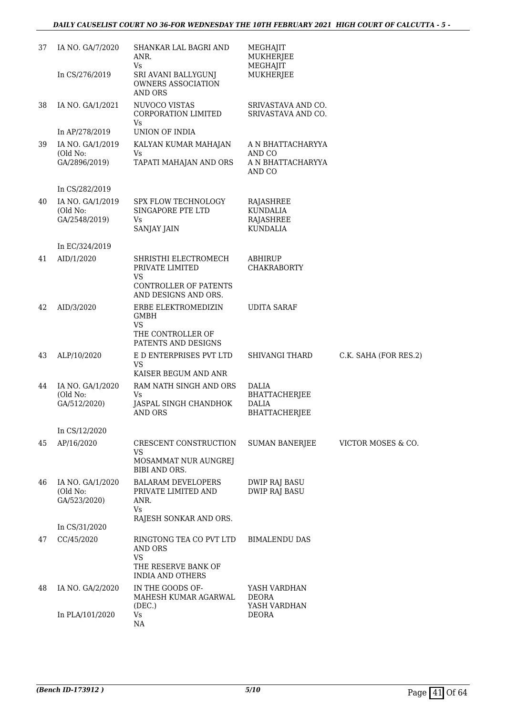| 37 | IA NO. GA/7/2020                              | SHANKAR LAL BAGRI AND<br>ANR.                                                                         | MEGHAJIT<br>MUKHERJEE                                                        |                       |
|----|-----------------------------------------------|-------------------------------------------------------------------------------------------------------|------------------------------------------------------------------------------|-----------------------|
|    | In CS/276/2019                                | Vs<br>SRI AVANI BALLYGUNJ<br>OWNERS ASSOCIATION<br><b>AND ORS</b>                                     | MEGHAJIT<br>MUKHERJEE                                                        |                       |
| 38 | IA NO. GA/1/2021                              | NUVOCO VISTAS<br>CORPORATION LIMITED<br>Vs                                                            | SRIVASTAVA AND CO.<br>SRIVASTAVA AND CO.                                     |                       |
|    | In AP/278/2019                                | UNION OF INDIA                                                                                        |                                                                              |                       |
| 39 | IA NO. GA/1/2019<br>(Old No:<br>GA/2896/2019) | KALYAN KUMAR MAHAJAN<br>Vs<br>TAPATI MAHAJAN AND ORS                                                  | A N BHATTACHARYYA<br>AND CO<br>A N BHATTACHARYYA<br>AND CO                   |                       |
|    | In CS/282/2019                                |                                                                                                       |                                                                              |                       |
| 40 | IA NO. GA/1/2019<br>(Old No:<br>GA/2548/2019) | <b>SPX FLOW TECHNOLOGY</b><br>SINGAPORE PTE LTD<br>Vs<br>SANJAY JAIN                                  | RAJASHREE<br><b>KUNDALIA</b><br>RAJASHREE<br><b>KUNDALIA</b>                 |                       |
|    | In EC/324/2019                                |                                                                                                       |                                                                              |                       |
| 41 | AID/1/2020                                    | SHRISTHI ELECTROMECH<br>PRIVATE LIMITED<br>VS<br><b>CONTROLLER OF PATENTS</b><br>AND DESIGNS AND ORS. | <b>ABHIRUP</b><br><b>CHAKRABORTY</b>                                         |                       |
| 42 | AID/3/2020                                    | ERBE ELEKTROMEDIZIN<br><b>GMBH</b><br>VS<br>THE CONTROLLER OF<br>PATENTS AND DESIGNS                  | <b>UDITA SARAF</b>                                                           |                       |
| 43 | ALP/10/2020                                   | E D ENTERPRISES PVT LTD<br>VS<br>KAISER BEGUM AND ANR                                                 | <b>SHIVANGI THARD</b>                                                        | C.K. SAHA (FOR RES.2) |
| 44 | IA NO. GA/1/2020<br>(Old No:<br>GA/512/2020)  | RAM NATH SINGH AND ORS<br>Vs<br>JASPAL SINGH CHANDHOK<br><b>AND ORS</b>                               | <b>DALIA</b><br><b>BHATTACHERJEE</b><br><b>DALIA</b><br><b>BHATTACHERJEE</b> |                       |
|    | In CS/12/2020                                 |                                                                                                       |                                                                              |                       |
| 45 | AP/16/2020                                    | CRESCENT CONSTRUCTION<br><b>VS</b><br>MOSAMMAT NUR AUNGREJ<br>BIBI AND ORS.                           | <b>SUMAN BANERJEE</b>                                                        | VICTOR MOSES & CO.    |
| 46 | IA NO. GA/1/2020<br>(Old No:<br>GA/523/2020)  | <b>BALARAM DEVELOPERS</b><br>PRIVATE LIMITED AND<br>ANR.<br><b>Vs</b><br>RAJESH SONKAR AND ORS.       | DWIP RAJ BASU<br><b>DWIP RAJ BASU</b>                                        |                       |
|    | In CS/31/2020                                 |                                                                                                       |                                                                              |                       |
| 47 | CC/45/2020                                    | RINGTONG TEA CO PVT LTD<br>AND ORS<br><b>VS</b><br>THE RESERVE BANK OF<br><b>INDIA AND OTHERS</b>     | <b>BIMALENDU DAS</b>                                                         |                       |
| 48 | IA NO. GA/2/2020                              | IN THE GOODS OF-<br>MAHESH KUMAR AGARWAL<br>(DEC.)                                                    | YASH VARDHAN<br><b>DEORA</b><br>YASH VARDHAN                                 |                       |
|    | In PLA/101/2020                               | Vs<br>NA                                                                                              | <b>DEORA</b>                                                                 |                       |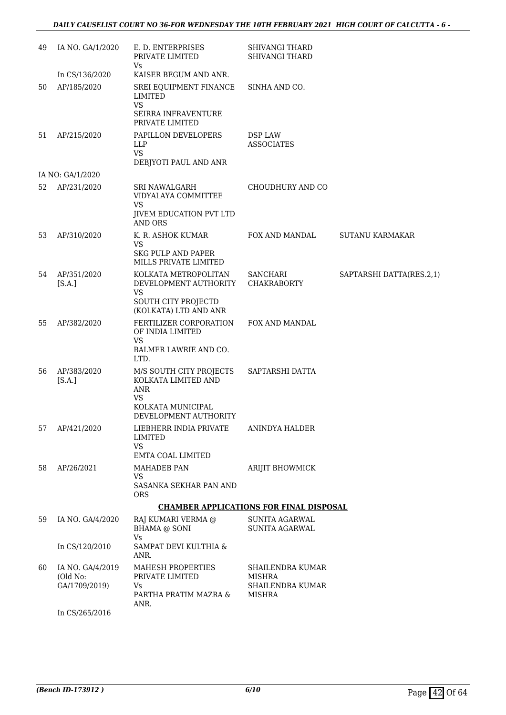| 49 | IA NO. GA/1/2020                              | E. D. ENTERPRISES<br>PRIVATE LIMITED<br><b>Vs</b>                                        | SHIVANGI THARD<br><b>SHIVANGI THARD</b>                         |                          |
|----|-----------------------------------------------|------------------------------------------------------------------------------------------|-----------------------------------------------------------------|--------------------------|
|    | In CS/136/2020                                | KAISER BEGUM AND ANR.                                                                    |                                                                 |                          |
| 50 | AP/185/2020                                   | SREI EQUIPMENT FINANCE<br>LIMITED<br><b>VS</b><br>SEIRRA INFRAVENTURE<br>PRIVATE LIMITED | SINHA AND CO.                                                   |                          |
| 51 | AP/215/2020                                   | PAPILLON DEVELOPERS<br>LLP<br><b>VS</b><br>DEBJYOTI PAUL AND ANR                         | DSP LAW<br><b>ASSOCIATES</b>                                    |                          |
|    | IA NO: GA/1/2020                              |                                                                                          |                                                                 |                          |
| 52 | AP/231/2020                                   | SRI NAWALGARH<br>VIDYALAYA COMMITTEE<br><b>VS</b><br><b>JIVEM EDUCATION PVT LTD</b>      | CHOUDHURY AND CO                                                |                          |
|    |                                               | AND ORS                                                                                  |                                                                 |                          |
| 53 | AP/310/2020                                   | K. R. ASHOK KUMAR<br><b>VS</b><br><b>SKG PULP AND PAPER</b>                              | FOX AND MANDAL                                                  | <b>SUTANU KARMAKAR</b>   |
|    |                                               | MILLS PRIVATE LIMITED                                                                    |                                                                 |                          |
| 54 | AP/351/2020<br>[S.A.]                         | KOLKATA METROPOLITAN<br>DEVELOPMENT AUTHORITY<br><b>VS</b>                               | SANCHARI<br><b>CHAKRABORTY</b>                                  | SAPTARSHI DATTA(RES.2,1) |
|    |                                               | SOUTH CITY PROJECTD<br>(KOLKATA) LTD AND ANR                                             |                                                                 |                          |
| 55 | AP/382/2020                                   | FERTILIZER CORPORATION<br>OF INDIA LIMITED<br><b>VS</b>                                  | FOX AND MANDAL                                                  |                          |
|    |                                               | BALMER LAWRIE AND CO.<br>LTD.                                                            |                                                                 |                          |
| 56 | AP/383/2020<br>[S.A.]                         | M/S SOUTH CITY PROJECTS<br>KOLKATA LIMITED AND<br><b>ANR</b><br><b>VS</b>                | SAPTARSHI DATTA                                                 |                          |
|    |                                               | KOLKATA MUNICIPAL<br>DEVELOPMENT AUTHORITY                                               |                                                                 |                          |
| 57 | AP/421/2020                                   | LIEBHERR INDIA PRIVATE<br>LIMITED<br><b>VS</b>                                           | <b>ANINDYA HALDER</b>                                           |                          |
|    |                                               | <b>EMTA COAL LIMITED</b>                                                                 |                                                                 |                          |
| 58 | AP/26/2021                                    | MAHADEB PAN<br>VS                                                                        | <b>ARIJIT BHOWMICK</b>                                          |                          |
|    |                                               | SASANKA SEKHAR PAN AND<br><b>ORS</b>                                                     |                                                                 |                          |
|    |                                               |                                                                                          | <b>CHAMBER APPLICATIONS FOR FINAL DISPOSAL</b>                  |                          |
| 59 | IA NO. GA/4/2020                              | RAJ KUMARI VERMA @<br><b>BHAMA @ SONI</b><br>Vs                                          | SUNITA AGARWAL<br><b>SUNITA AGARWAL</b>                         |                          |
|    | In CS/120/2010                                | SAMPAT DEVI KULTHIA &<br>ANR.                                                            |                                                                 |                          |
| 60 | IA NO. GA/4/2019<br>(Old No:<br>GA/1709/2019) | MAHESH PROPERTIES<br>PRIVATE LIMITED<br>Vs<br>PARTHA PRATIM MAZRA &<br>ANR.              | SHAILENDRA KUMAR<br>MISHRA<br>SHAILENDRA KUMAR<br><b>MISHRA</b> |                          |
|    | In CS/265/2016                                |                                                                                          |                                                                 |                          |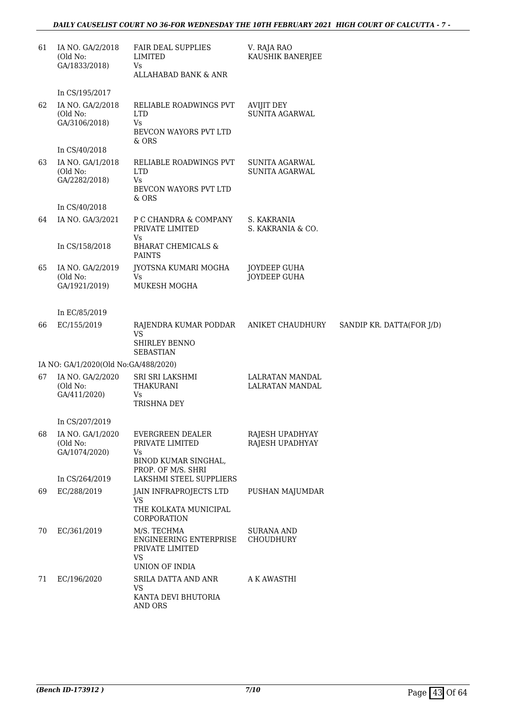#### *DAILY CAUSELIST COURT NO 36-FOR WEDNESDAY THE 10TH FEBRUARY 2021 HIGH COURT OF CALCUTTA - 7 -*

| 61 | IA NO. GA/2/2018<br>(Old No:<br>GA/1833/2018) | <b>FAIR DEAL SUPPLIES</b><br><b>LIMITED</b><br>Vs<br>ALLAHABAD BANK & ANR                      | V. RAJA RAO<br>KAUSHIK BANERJEE           |                           |
|----|-----------------------------------------------|------------------------------------------------------------------------------------------------|-------------------------------------------|---------------------------|
|    | In CS/195/2017                                |                                                                                                |                                           |                           |
| 62 | IA NO. GA/2/2018<br>(Old No:<br>GA/3106/2018) | RELIABLE ROADWINGS PVT<br><b>LTD</b><br><b>Vs</b><br>BEVCON WAYORS PVT LTD<br>& ORS            | AVIJIT DEY<br><b>SUNITA AGARWAL</b>       |                           |
|    | In CS/40/2018                                 |                                                                                                |                                           |                           |
| 63 | IA NO. GA/1/2018<br>(Old No:<br>GA/2282/2018) | RELIABLE ROADWINGS PVT<br><b>LTD</b><br>Vs<br>BEVCON WAYORS PVT LTD                            | <b>SUNITA AGARWAL</b><br>SUNITA AGARWAL   |                           |
|    | In CS/40/2018                                 | & ORS                                                                                          |                                           |                           |
| 64 | IA NO. GA/3/2021                              | P C CHANDRA & COMPANY<br>PRIVATE LIMITED<br><b>Vs</b>                                          | S. KAKRANIA<br>S. KAKRANIA & CO.          |                           |
|    | In CS/158/2018                                | <b>BHARAT CHEMICALS &amp;</b><br><b>PAINTS</b>                                                 |                                           |                           |
| 65 | IA NO. GA/2/2019<br>(Old No:<br>GA/1921/2019) | JYOTSNA KUMARI MOGHA<br><b>Vs</b><br>MUKESH MOGHA                                              | JOYDEEP GUHA<br><b>JOYDEEP GUHA</b>       |                           |
|    |                                               |                                                                                                |                                           |                           |
|    | In EC/85/2019                                 |                                                                                                |                                           |                           |
| 66 | EC/155/2019                                   | RAJENDRA KUMAR PODDAR<br><b>VS</b><br><b>SHIRLEY BENNO</b><br><b>SEBASTIAN</b>                 | ANIKET CHAUDHURY                          | SANDIP KR. DATTA(FOR J/D) |
|    | IA NO: GA/1/2020(Old No:GA/488/2020)          |                                                                                                |                                           |                           |
| 67 | IA NO. GA/2/2020<br>(Old No:<br>GA/411/2020)  | SRI SRI LAKSHMI<br>THAKURANI<br>Vs<br>TRISHNA DEY                                              | <b>LALRATAN MANDAL</b><br>LALRATAN MANDAL |                           |
|    |                                               |                                                                                                |                                           |                           |
|    | In CS/207/2019                                |                                                                                                |                                           |                           |
| 68 | IA NO. GA/1/2020<br>(Old No:<br>GA/1074/2020) | <b>EVERGREEN DEALER</b><br>PRIVATE LIMITED<br>Vs<br>BINOD KUMAR SINGHAL,<br>PROP. OF M/S. SHRI | RAJESH UPADHYAY<br>RAJESH UPADHYAY        |                           |
|    | In CS/264/2019                                | LAKSHMI STEEL SUPPLIERS                                                                        |                                           |                           |
| 69 | EC/288/2019                                   | JAIN INFRAPROJECTS LTD<br><b>VS</b><br>THE KOLKATA MUNICIPAL<br>CORPORATION                    | PUSHAN MAJUMDAR                           |                           |
| 70 | EC/361/2019                                   | M/S. TECHMA<br>ENGINEERING ENTERPRISE<br>PRIVATE LIMITED<br><b>VS</b><br>UNION OF INDIA        | SURANA AND<br>CHOUDHURY                   |                           |
| 71 | EC/196/2020                                   | SRILA DATTA AND ANR<br><b>VS</b><br>KANTA DEVI BHUTORIA<br>AND ORS                             | A K AWASTHI                               |                           |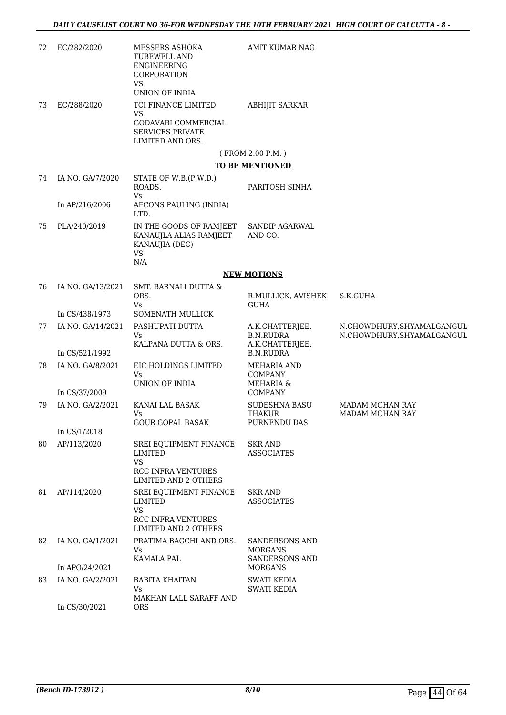| 72 | EC/282/2020       | MESSERS ASHOKA<br><b>TUBEWELL AND</b><br>ENGINEERING<br>CORPORATION                          | AMIT KUMAR NAG                                         |                                                          |
|----|-------------------|----------------------------------------------------------------------------------------------|--------------------------------------------------------|----------------------------------------------------------|
|    |                   | <b>VS</b><br>UNION OF INDIA                                                                  |                                                        |                                                          |
| 73 | EC/288/2020       | TCI FINANCE LIMITED<br><b>VS</b>                                                             | <b>ABHIJIT SARKAR</b>                                  |                                                          |
|    |                   | GODAVARI COMMERCIAL<br><b>SERVICES PRIVATE</b><br>LIMITED AND ORS.                           |                                                        |                                                          |
|    |                   |                                                                                              | (FROM 2:00 P.M.)                                       |                                                          |
|    |                   |                                                                                              | <b>TO BE MENTIONED</b>                                 |                                                          |
| 74 | IA NO. GA/7/2020  | STATE OF W.B.(P.W.D.)<br>ROADS.<br><b>Vs</b>                                                 | PARITOSH SINHA                                         |                                                          |
|    | In AP/216/2006    | AFCONS PAULING (INDIA)<br>LTD.                                                               |                                                        |                                                          |
| 75 | PLA/240/2019      | IN THE GOODS OF RAMJEET<br>KANAUJLA ALIAS RAMJEET<br>KANAUJIA (DEC)<br><b>VS</b>             | <b>SANDIP AGARWAL</b><br>AND CO.                       |                                                          |
|    |                   | N/A                                                                                          |                                                        |                                                          |
|    |                   |                                                                                              | <b>NEW MOTIONS</b>                                     |                                                          |
| 76 | IA NO. GA/13/2021 | SMT. BARNALI DUTTA &<br>ORS.<br><b>Vs</b>                                                    | R.MULLICK, AVISHEK<br><b>GUHA</b>                      | S.K.GUHA                                                 |
|    | In CS/438/1973    | <b>SOMENATH MULLICK</b>                                                                      |                                                        |                                                          |
| 77 | IA NO. GA/14/2021 | PASHUPATI DUTTA<br>Vs<br>KALPANA DUTTA & ORS.                                                | A.K.CHATTERJEE,<br><b>B.N.RUDRA</b><br>A.K.CHATTERJEE, | N.CHOWDHURY, SHYAMALGANGUL<br>N.CHOWDHURY, SHYAMALGANGUL |
|    | In CS/521/1992    |                                                                                              | <b>B.N.RUDRA</b>                                       |                                                          |
| 78 | IA NO. GA/8/2021  | EIC HOLDINGS LIMITED<br>Vs<br>UNION OF INDIA                                                 | <b>MEHARIA AND</b><br><b>COMPANY</b><br>MEHARIA &      |                                                          |
|    | In CS/37/2009     |                                                                                              | <b>COMPANY</b>                                         |                                                          |
| 79 | IA NO. GA/2/2021  | KANAI LAL BASAK<br>Vs<br><b>GOUR GOPAL BASAK</b>                                             | SUDESHNA BASU<br><b>THAKUR</b><br>PURNENDU DAS         | <b>MADAM MOHAN RAY</b><br>MADAM MOHAN RAY                |
|    | In CS/1/2018      |                                                                                              |                                                        |                                                          |
| 80 | AP/113/2020       | SREI EQUIPMENT FINANCE<br>LIMITED<br><b>VS</b><br><b>RCC INFRA VENTURES</b>                  | <b>SKR AND</b><br><b>ASSOCIATES</b>                    |                                                          |
|    |                   | <b>LIMITED AND 2 OTHERS</b>                                                                  |                                                        |                                                          |
| 81 | AP/114/2020       | SREI EQUIPMENT FINANCE<br>LIMITED<br><b>VS</b><br>RCC INFRA VENTURES<br>LIMITED AND 2 OTHERS | <b>SKR AND</b><br><b>ASSOCIATES</b>                    |                                                          |
| 82 | IA NO. GA/1/2021  | PRATIMA BAGCHI AND ORS.<br>Vs                                                                | <b>SANDERSONS AND</b><br><b>MORGANS</b>                |                                                          |
|    | In APO/24/2021    | KAMALA PAL                                                                                   | SANDERSONS AND<br><b>MORGANS</b>                       |                                                          |
| 83 | IA NO. GA/2/2021  | <b>BABITA KHAITAN</b><br>Vs                                                                  | SWATI KEDIA                                            |                                                          |
|    | In CS/30/2021     | MAKHAN LALL SARAFF AND<br><b>ORS</b>                                                         | SWATI KEDIA                                            |                                                          |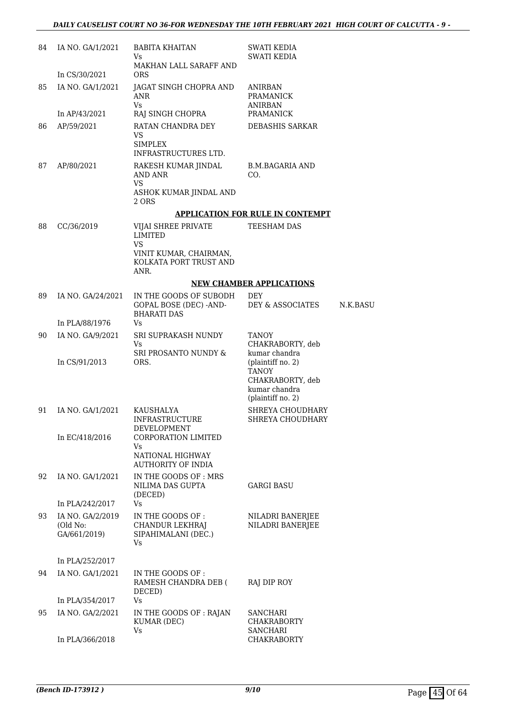| 84 | IA NO. GA/1/2021                             | <b>BABITA KHAITAN</b><br>Vs.                                                   | SWATI KEDIA<br><b>SWATI KEDIA</b>                                                                                                                |          |
|----|----------------------------------------------|--------------------------------------------------------------------------------|--------------------------------------------------------------------------------------------------------------------------------------------------|----------|
|    | In CS/30/2021                                | MAKHAN LALL SARAFF AND<br><b>ORS</b>                                           |                                                                                                                                                  |          |
| 85 | IA NO. GA/1/2021                             | JAGAT SINGH CHOPRA AND<br>ANR<br><b>Vs</b>                                     | ANIRBAN<br><b>PRAMANICK</b><br><b>ANIRBAN</b>                                                                                                    |          |
|    | In AP/43/2021                                | RAJ SINGH CHOPRA                                                               | PRAMANICK                                                                                                                                        |          |
| 86 | AP/59/2021                                   | RATAN CHANDRA DEY<br>VS<br><b>SIMPLEX</b><br>INFRASTRUCTURES LTD.              | DEBASHIS SARKAR                                                                                                                                  |          |
| 87 | AP/80/2021                                   | RAKESH KUMAR JINDAL<br>AND ANR<br><b>VS</b><br>ASHOK KUMAR JINDAL AND<br>2 ORS | B.M.BAGARIA AND<br>CO.                                                                                                                           |          |
|    |                                              |                                                                                | <b>APPLICATION FOR RULE IN CONTEMPT</b>                                                                                                          |          |
| 88 | CC/36/2019                                   | VIJAI SHREE PRIVATE<br><b>LIMITED</b>                                          | TEESHAM DAS                                                                                                                                      |          |
|    |                                              | <b>VS</b><br>VINIT KUMAR, CHAIRMAN,<br>KOLKATA PORT TRUST AND<br>ANR.          |                                                                                                                                                  |          |
|    |                                              |                                                                                | <b>NEW CHAMBER APPLICATIONS</b>                                                                                                                  |          |
| 89 | IA NO. GA/24/2021                            | IN THE GOODS OF SUBODH<br>GOPAL BOSE (DEC) - AND-<br><b>BHARATI DAS</b>        | <b>DEY</b><br>DEY & ASSOCIATES                                                                                                                   | N.K.BASU |
|    | In PLA/88/1976                               | Vs                                                                             |                                                                                                                                                  |          |
| 90 | IA NO. GA/9/2021<br>In CS/91/2013            | SRI SUPRAKASH NUNDY<br>Vs<br>SRI PROSANTO NUNDY &<br>ORS.                      | <b>TANOY</b><br>CHAKRABORTY, deb<br>kumar chandra<br>(plaintiff no. 2)<br><b>TANOY</b><br>CHAKRABORTY, deb<br>kumar chandra<br>(plaintiff no. 2) |          |
| 91 | IA NO. GA/1/2021                             | KAUSHALYA<br><b>INFRASTRUCTURE</b><br><b>DEVELOPMENT</b>                       | SHREYA CHOUDHARY<br><b>SHREYA CHOUDHARY</b>                                                                                                      |          |
|    | In EC/418/2016                               | CORPORATION LIMITED<br>Vs<br>NATIONAL HIGHWAY<br><b>AUTHORITY OF INDIA</b>     |                                                                                                                                                  |          |
| 92 | IA NO. GA/1/2021<br>In PLA/242/2017          | IN THE GOODS OF: MRS<br>NILIMA DAS GUPTA<br>(DECED)<br><b>Vs</b>               | <b>GARGI BASU</b>                                                                                                                                |          |
| 93 | IA NO. GA/2/2019<br>(Old No:<br>GA/661/2019) | IN THE GOODS OF :<br>CHANDUR LEKHRAJ<br>SIPAHIMALANI (DEC.)<br>Vs              | NILADRI BANERJEE<br>NILADRI BANERJEE                                                                                                             |          |
|    | In PLA/252/2017                              |                                                                                |                                                                                                                                                  |          |
| 94 | IA NO. GA/1/2021                             | IN THE GOODS OF:<br>RAMESH CHANDRA DEB (<br>DECED)                             | RAJ DIP ROY                                                                                                                                      |          |
|    | In PLA/354/2017                              | Vs                                                                             |                                                                                                                                                  |          |
| 95 | IA NO. GA/2/2021                             | IN THE GOODS OF : RAJAN<br>KUMAR (DEC)<br>Vs                                   | SANCHARI<br><b>CHAKRABORTY</b><br>SANCHARI                                                                                                       |          |
|    | In PLA/366/2018                              |                                                                                | <b>CHAKRABORTY</b>                                                                                                                               |          |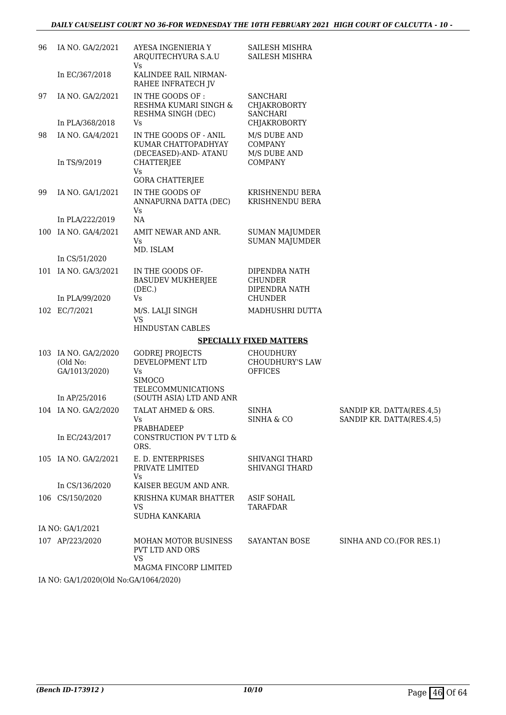| 96 | IA NO. GA/2/2021          | AYESA INGENIERIA Y<br>ARQUITECHYURA S.A.U<br>Vs                       | <b>SAILESH MISHRA</b><br>SAILESH MISHRA            |                                                        |
|----|---------------------------|-----------------------------------------------------------------------|----------------------------------------------------|--------------------------------------------------------|
|    | In EC/367/2018            | KALINDEE RAIL NIRMAN-<br>RAHEE INFRATECH JV                           |                                                    |                                                        |
| 97 | IA NO. GA/2/2021          | IN THE GOODS OF :<br>RESHMA KUMARI SINGH &<br>RESHMA SINGH (DEC)      | SANCHARI<br><b>CHJAKROBORTY</b><br><b>SANCHARI</b> |                                                        |
|    | In PLA/368/2018           | Vs                                                                    | CHJAKROBORTY                                       |                                                        |
| 98 | IA NO. GA/4/2021          | IN THE GOODS OF - ANIL<br>KUMAR CHATTOPADHYAY<br>(DECEASED)-AND-ATANU | M/S DUBE AND<br><b>COMPANY</b><br>M/S DUBE AND     |                                                        |
|    | In TS/9/2019              | <b>CHATTERJEE</b><br>Vs<br><b>GORA CHATTERJEE</b>                     | <b>COMPANY</b>                                     |                                                        |
| 99 | IA NO. GA/1/2021          | IN THE GOODS OF<br>ANNAPURNA DATTA (DEC)<br>Vs                        | KRISHNENDU BERA<br>KRISHNENDU BERA                 |                                                        |
|    | In PLA/222/2019           | NA                                                                    |                                                    |                                                        |
|    | 100 IA NO. GA/4/2021      | AMIT NEWAR AND ANR.<br>Vs<br>MD. ISLAM                                | <b>SUMAN MAJUMDER</b><br><b>SUMAN MAJUMDER</b>     |                                                        |
|    | In CS/51/2020             |                                                                       |                                                    |                                                        |
|    | 101 IA NO. GA/3/2021      | IN THE GOODS OF-<br><b>BASUDEV MUKHERJEE</b><br>(DEC.)                | DIPENDRA NATH<br><b>CHUNDER</b><br>DIPENDRA NATH   |                                                        |
|    | In PLA/99/2020            | Vs                                                                    | <b>CHUNDER</b>                                     |                                                        |
|    | 102 EC/7/2021             | M/S. LALJI SINGH<br><b>VS</b><br>HINDUSTAN CABLES                     | MADHUSHRI DUTTA                                    |                                                        |
|    |                           |                                                                       | <b>SPECIALLY FIXED MATTERS</b>                     |                                                        |
|    | 103 IA NO. GA/2/2020      | <b>GODREJ PROJECTS</b>                                                | <b>CHOUDHURY</b>                                   |                                                        |
|    | (Old No:<br>GA/1013/2020) | DEVELOPMENT LTD<br>Vs<br><b>SIMOCO</b>                                | CHOUDHURY'S LAW<br><b>OFFICES</b>                  |                                                        |
|    | In AP/25/2016             | <b>TELECOMMUNICATIONS</b><br>(SOUTH ASIA) LTD AND ANR                 |                                                    |                                                        |
|    | 104 IA NO. GA/2/2020      | TALAT AHMED & ORS.<br>Vs<br>PRABHADEEP                                | <b>SINHA</b><br>SINHA & CO                         | SANDIP KR. DATTA(RES.4,5)<br>SANDIP KR. DATTA(RES.4,5) |
|    | In EC/243/2017            | CONSTRUCTION PV T LTD &<br>ORS.                                       |                                                    |                                                        |
|    | 105 IA NO. GA/2/2021      | E. D. ENTERPRISES<br>PRIVATE LIMITED<br>Vs                            | <b>SHIVANGI THARD</b><br><b>SHIVANGI THARD</b>     |                                                        |
|    | In CS/136/2020            | KAISER BEGUM AND ANR.                                                 |                                                    |                                                        |
|    | 106 CS/150/2020           | KRISHNA KUMAR BHATTER<br>VS<br>SUDHA KANKARIA                         | <b>ASIF SOHAIL</b><br><b>TARAFDAR</b>              |                                                        |
|    | IA NO: GA/1/2021          |                                                                       |                                                    |                                                        |
|    | 107 AP/223/2020           | <b>MOHAN MOTOR BUSINESS</b><br>PVT LTD AND ORS<br><b>VS</b>           | SAYANTAN BOSE                                      | SINHA AND CO. (FOR RES.1)                              |
|    |                           | MAGMA FINCORP LIMITED                                                 |                                                    |                                                        |

IA NO: GA/1/2020(Old No:GA/1064/2020)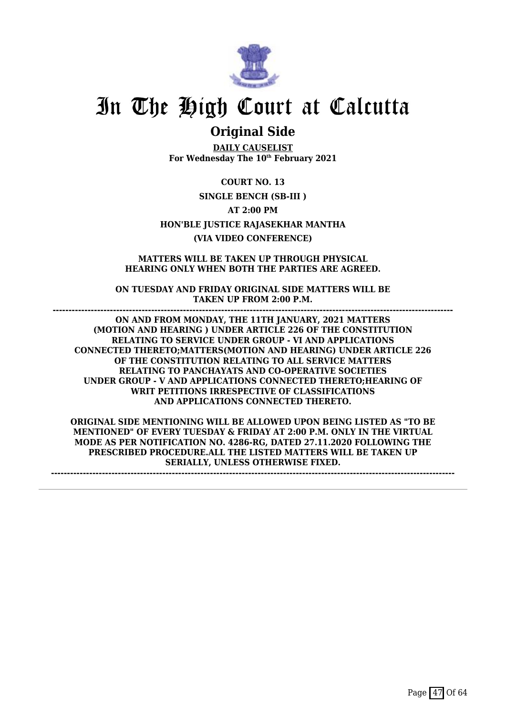

### **Original Side**

**DAILY CAUSELIST For Wednesday The 10th February 2021**

**COURT NO. 13 SINGLE BENCH (SB-III ) AT 2:00 PM HON'BLE JUSTICE RAJASEKHAR MANTHA (VIA VIDEO CONFERENCE)**

**MATTERS WILL BE TAKEN UP THROUGH PHYSICAL HEARING ONLY WHEN BOTH THE PARTIES ARE AGREED.**

**ON TUESDAY AND FRIDAY ORIGINAL SIDE MATTERS WILL BE TAKEN UP FROM 2:00 P.M. ------------------------------------------------------------------------------------------------------------------------------**

**ON AND FROM MONDAY, THE 11TH JANUARY, 2021 MATTERS (MOTION AND HEARING ) UNDER ARTICLE 226 OF THE CONSTITUTION RELATING TO SERVICE UNDER GROUP - VI AND APPLICATIONS CONNECTED THERETO;MATTERS(MOTION AND HEARING) UNDER ARTICLE 226 OF THE CONSTITUTION RELATING TO ALL SERVICE MATTERS RELATING TO PANCHAYATS AND CO-OPERATIVE SOCIETIES UNDER GROUP - V AND APPLICATIONS CONNECTED THERETO;HEARING OF WRIT PETITIONS IRRESPECTIVE OF CLASSIFICATIONS AND APPLICATIONS CONNECTED THERETO.**

**ORIGINAL SIDE MENTIONING WILL BE ALLOWED UPON BEING LISTED AS "TO BE MENTIONED" OF EVERY TUESDAY & FRIDAY AT 2:00 P.M. ONLY IN THE VIRTUAL MODE AS PER NOTIFICATION NO. 4286-RG, DATED 27.11.2020 FOLLOWING THE PRESCRIBED PROCEDURE.ALL THE LISTED MATTERS WILL BE TAKEN UP SERIALLY, UNLESS OTHERWISE FIXED.**

**-------------------------------------------------------------------------------------------------------------------------------**

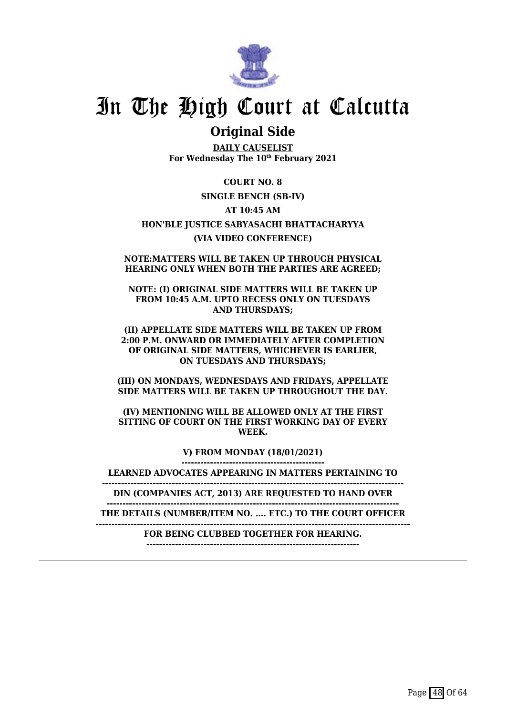

### **Original Side**

**DAILY CAUSELIST For Wednesday The 10th February 2021**

**COURT NO. 8 SINGLE BENCH (SB-IV) AT 10:45 AM HON'BLE JUSTICE SABYASACHI BHATTACHARYYA (VIA VIDEO CONFERENCE)**

**NOTE:MATTERS WILL BE TAKEN UP THROUGH PHYSICAL HEARING ONLY WHEN BOTH THE PARTIES ARE AGREED;**

**NOTE: (I) ORIGINAL SIDE MATTERS WILL BE TAKEN UP FROM 10:45 A.M. UPTO RECESS ONLY ON TUESDAYS AND THURSDAYS;**

**(II) APPELLATE SIDE MATTERS WILL BE TAKEN UP FROM 2:00 P.M. ONWARD OR IMMEDIATELY AFTER COMPLETION OF ORIGINAL SIDE MATTERS, WHICHEVER IS EARLIER, ON TUESDAYS AND THURSDAYS;**

**(III) ON MONDAYS, WEDNESDAYS AND FRIDAYS, APPELLATE SIDE MATTERS WILL BE TAKEN UP THROUGHOUT THE DAY.**

**(IV) MENTIONING WILL BE ALLOWED ONLY AT THE FIRST SITTING OF COURT ON THE FIRST WORKING DAY OF EVERY WEEK.**

> **V) FROM MONDAY (18/01/2021) ---------------------------------------------**

**LEARNED ADVOCATES APPEARING IN MATTERS PERTAINING TO**

**-----------------------------------------------------------------------------------------------**

**DIN (COMPANIES ACT, 2013) ARE REQUESTED TO HAND OVER --------------------------------------------------------------------------------------------**

**THE DETAILS (NUMBER/ITEM NO. .... ETC.) TO THE COURT OFFICER**

**---------------------------------------------------------------------------------------------------**

**FOR BEING CLUBBED TOGETHER FOR HEARING. -------------------------------------------------------------------**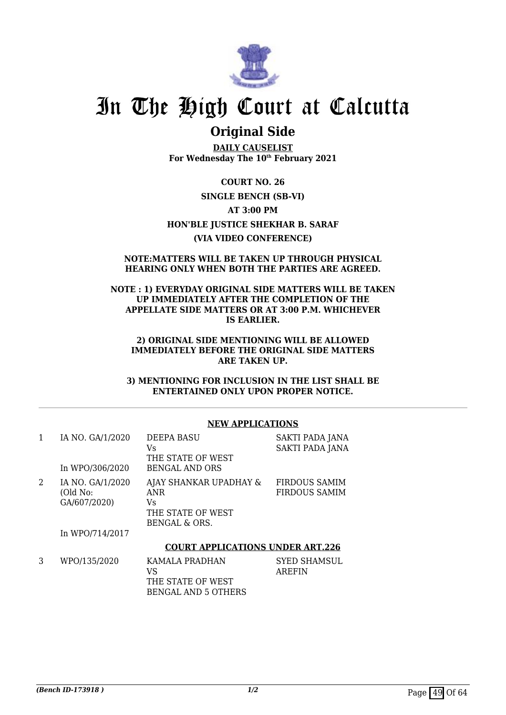

### **Original Side**

**DAILY CAUSELIST For Wednesday The 10th February 2021**

**COURT NO. 26 SINGLE BENCH (SB-VI) AT 3:00 PM HON'BLE JUSTICE SHEKHAR B. SARAF (VIA VIDEO CONFERENCE)**

#### **NOTE:MATTERS WILL BE TAKEN UP THROUGH PHYSICAL HEARING ONLY WHEN BOTH THE PARTIES ARE AGREED.**

#### **NOTE : 1) EVERYDAY ORIGINAL SIDE MATTERS WILL BE TAKEN UP IMMEDIATELY AFTER THE COMPLETION OF THE APPELLATE SIDE MATTERS OR AT 3:00 P.M. WHICHEVER IS EARLIER.**

#### **2) ORIGINAL SIDE MENTIONING WILL BE ALLOWED IMMEDIATELY BEFORE THE ORIGINAL SIDE MATTERS ARE TAKEN UP.**

**3) MENTIONING FOR INCLUSION IN THE LIST SHALL BE ENTERTAINED ONLY UPON PROPER NOTICE.**

#### **NEW APPLICATIONS**

| 1 | IA NO. GA/1/2020<br>In WPO/306/2020          | <b>DEEPA BASU</b><br>Vs<br>THE STATE OF WEST<br><b>BENGAL AND ORS</b>     | SAKTI PADA JANA<br><b>SAKTI PADA JANA</b> |
|---|----------------------------------------------|---------------------------------------------------------------------------|-------------------------------------------|
| 2 | IA NO. GA/1/2020<br>(Old No:<br>GA/607/2020) | AJAY SHANKAR UPADHAY &<br>ANR<br>Vs<br>THE STATE OF WEST<br>BENGAL & ORS. | <b>FIRDOUS SAMIM</b><br>FIRDOUS SAMIM     |
|   | In WPO/714/2017                              | <b>COURT APPLICATIONS UNDER ART.226</b>                                   |                                           |
|   | WPO/135/2020                                 | KAMALA PRADHAN                                                            | SYED SHAMSUL                              |

| WPO/135/2020 | KAMALA PRADHAN      | SYED SHAMSUL |
|--------------|---------------------|--------------|
|              | VS.                 | AREFIN       |
|              | THE STATE OF WEST   |              |
|              | BENGAL AND 5 OTHERS |              |
|              |                     |              |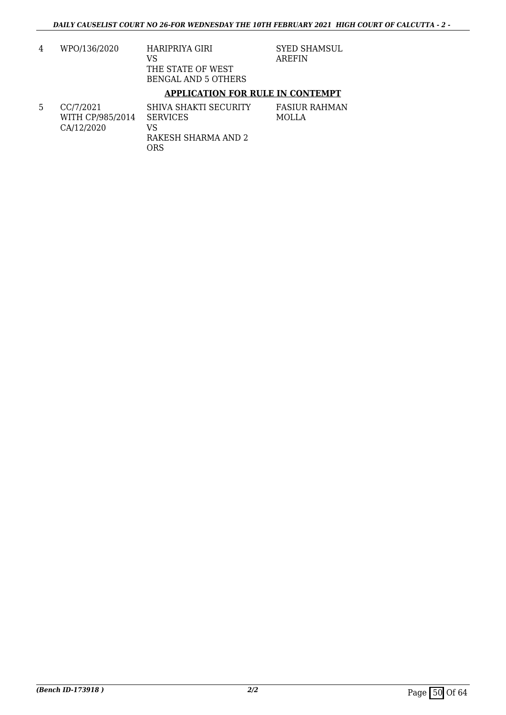4 WPO/136/2020 HARIPRIYA GIRI VS THE STATE OF WEST BENGAL AND 5 OTHERS

SYED SHAMSUL AREFIN

#### **APPLICATION FOR RULE IN CONTEMPT**

5 CC/7/2021 WITH CP/985/2014 CA/12/2020 SHIVA SHAKTI SECURITY SERVICES VS RAKESH SHARMA AND 2 ORS FASIUR RAHMAN MOLLA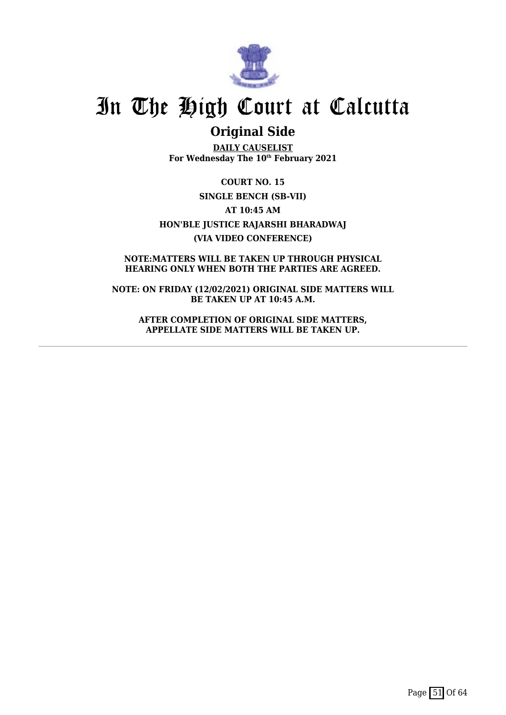

### **Original Side**

**DAILY CAUSELIST For Wednesday The 10th February 2021**

**COURT NO. 15 SINGLE BENCH (SB-VII) AT 10:45 AM HON'BLE JUSTICE RAJARSHI BHARADWAJ (VIA VIDEO CONFERENCE)**

**NOTE:MATTERS WILL BE TAKEN UP THROUGH PHYSICAL HEARING ONLY WHEN BOTH THE PARTIES ARE AGREED.**

**NOTE: ON FRIDAY (12/02/2021) ORIGINAL SIDE MATTERS WILL BE TAKEN UP AT 10:45 A.M.**

**AFTER COMPLETION OF ORIGINAL SIDE MATTERS, APPELLATE SIDE MATTERS WILL BE TAKEN UP.**

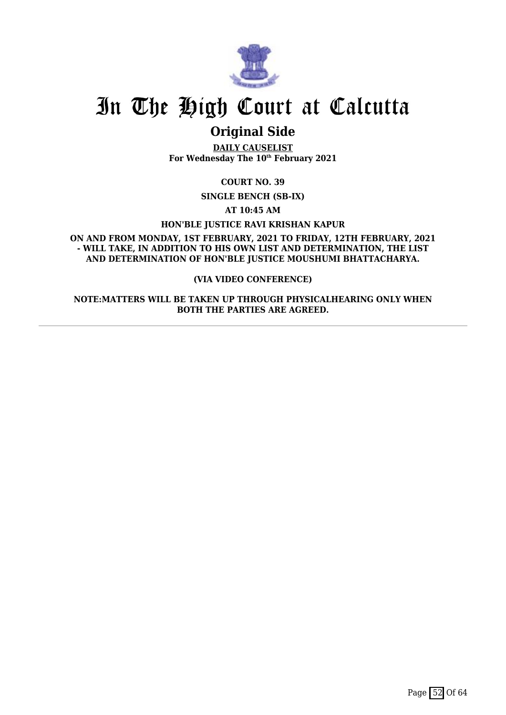

### **Original Side**

**DAILY CAUSELIST For Wednesday The 10th February 2021**

**COURT NO. 39**

**SINGLE BENCH (SB-IX)**

**AT 10:45 AM**

**HON'BLE JUSTICE RAVI KRISHAN KAPUR**

**ON AND FROM MONDAY, 1ST FEBRUARY, 2021 TO FRIDAY, 12TH FEBRUARY, 2021 - WILL TAKE, IN ADDITION TO HIS OWN LIST AND DETERMINATION, THE LIST AND DETERMINATION OF HON'BLE JUSTICE MOUSHUMI BHATTACHARYA.**

#### **(VIA VIDEO CONFERENCE)**

**NOTE:MATTERS WILL BE TAKEN UP THROUGH PHYSICALHEARING ONLY WHEN BOTH THE PARTIES ARE AGREED.**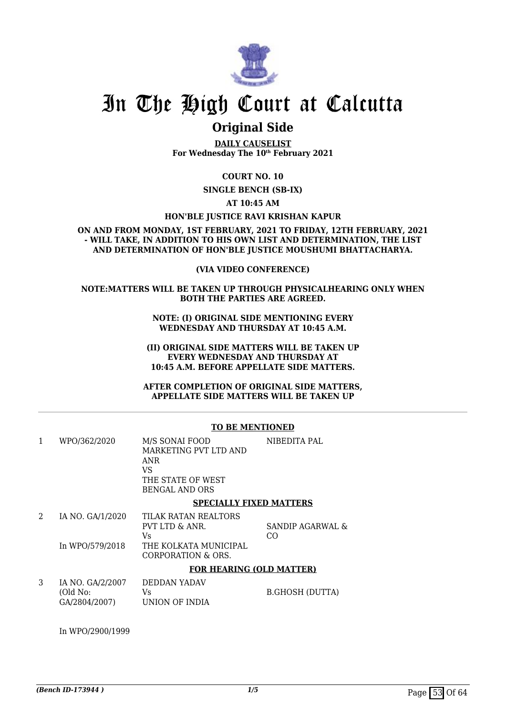

### **Original Side**

**DAILY CAUSELIST For Wednesday The 10th February 2021**

**COURT NO. 10**

**SINGLE BENCH (SB-IX)**

**AT 10:45 AM**

**HON'BLE JUSTICE RAVI KRISHAN KAPUR**

**ON AND FROM MONDAY, 1ST FEBRUARY, 2021 TO FRIDAY, 12TH FEBRUARY, 2021 - WILL TAKE, IN ADDITION TO HIS OWN LIST AND DETERMINATION, THE LIST AND DETERMINATION OF HON'BLE JUSTICE MOUSHUMI BHATTACHARYA.**

#### **(VIA VIDEO CONFERENCE)**

#### **NOTE:MATTERS WILL BE TAKEN UP THROUGH PHYSICALHEARING ONLY WHEN BOTH THE PARTIES ARE AGREED.**

**NOTE: (I) ORIGINAL SIDE MENTIONING EVERY WEDNESDAY AND THURSDAY AT 10:45 A.M.**

**(II) ORIGINAL SIDE MATTERS WILL BE TAKEN UP EVERY WEDNESDAY AND THURSDAY AT 10:45 A.M. BEFORE APPELLATE SIDE MATTERS.**

**AFTER COMPLETION OF ORIGINAL SIDE MATTERS, APPELLATE SIDE MATTERS WILL BE TAKEN UP**

#### **TO BE MENTIONED**

| 1 | WPO/362/2020                                  | M/S SONAI FOOD<br>MARKETING PVT LTD AND<br>ANR<br>VS<br>THE STATE OF WEST<br><b>BENGAL AND ORS</b> | NIBEDITA PAL           |
|---|-----------------------------------------------|----------------------------------------------------------------------------------------------------|------------------------|
|   |                                               | <b>SPECIALLY FIXED MATTERS</b>                                                                     |                        |
| 2 | IA NO. GA/1/2020<br>In WPO/579/2018           | TILAK RATAN REALTORS<br>PVT LTD & ANR.<br>Vs.<br>THE KOLKATA MUNICIPAL<br>CORPORATION & ORS.       | SANDIP AGARWAL &<br>CO |
|   |                                               | <b>FOR HEARING (OLD MATTER)</b>                                                                    |                        |
| 3 | IA NO. GA/2/2007<br>(Old No:<br>GA/2804/2007) | DEDDAN YADAV<br>Vs.<br>UNION OF INDIA                                                              | <b>B.GHOSH (DUTTA)</b> |

In WPO/2900/1999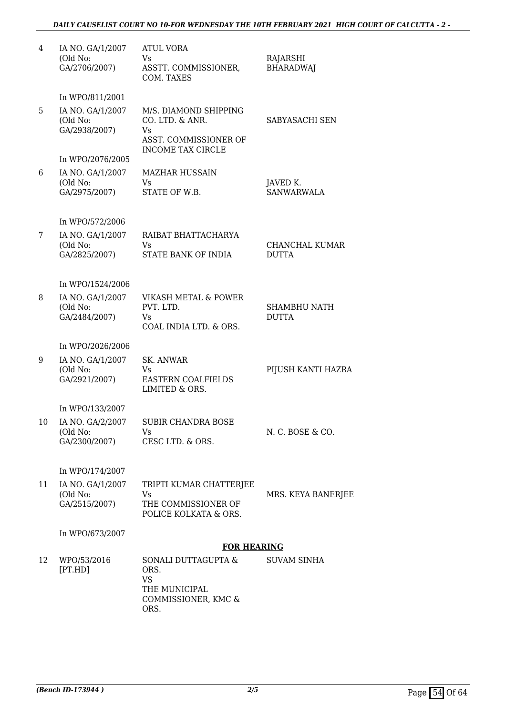#### *DAILY CAUSELIST COURT NO 10-FOR WEDNESDAY THE 10TH FEBRUARY 2021 HIGH COURT OF CALCUTTA - 2 -*

| 4  | IA NO. GA/1/2007<br>(Old No:<br>GA/2706/2007) | <b>ATUL VORA</b><br>Vs.<br>ASSTT. COMMISSIONER,<br>COM. TAXES                                       | RAJARSHI<br><b>BHARADWAJ</b>          |
|----|-----------------------------------------------|-----------------------------------------------------------------------------------------------------|---------------------------------------|
|    | In WPO/811/2001                               |                                                                                                     |                                       |
| 5  | IA NO. GA/1/2007<br>(Old No:<br>GA/2938/2007) | M/S. DIAMOND SHIPPING<br>CO. LTD. & ANR.<br>Vs<br>ASST. COMMISSIONER OF<br><b>INCOME TAX CIRCLE</b> | SABYASACHI SEN                        |
|    | In WPO/2076/2005                              |                                                                                                     |                                       |
| 6  | IA NO. GA/1/2007<br>(Old No:<br>GA/2975/2007) | <b>MAZHAR HUSSAIN</b><br>Vs<br>STATE OF W.B.                                                        | JAVED K.<br><b>SANWARWALA</b>         |
|    | In WPO/572/2006                               |                                                                                                     |                                       |
| 7  | IA NO. GA/1/2007<br>(Old No:<br>GA/2825/2007) | RAIBAT BHATTACHARYA<br>Vs<br>STATE BANK OF INDIA                                                    | <b>CHANCHAL KUMAR</b><br><b>DUTTA</b> |
|    | In WPO/1524/2006                              |                                                                                                     |                                       |
| 8  | IA NO. GA/1/2007<br>(Old No:<br>GA/2484/2007) | VIKASH METAL & POWER<br>PVT. LTD.<br>Vs<br>COAL INDIA LTD. & ORS.                                   | <b>SHAMBHU NATH</b><br><b>DUTTA</b>   |
|    | In WPO/2026/2006                              |                                                                                                     |                                       |
| 9  | IA NO. GA/1/2007<br>(Old No:<br>GA/2921/2007) | <b>SK. ANWAR</b><br>Vs<br><b>EASTERN COALFIELDS</b><br>LIMITED & ORS.                               | PIJUSH KANTI HAZRA                    |
|    | In WPO/133/2007                               |                                                                                                     |                                       |
| 10 | IA NO. GA/2/2007<br>(Old No:<br>GA/2300/2007) | SUBIR CHANDRA BOSE<br>Vs<br>CESC LTD. & ORS.                                                        | N. C. BOSE & CO.                      |
|    | In WPO/174/2007                               |                                                                                                     |                                       |
| 11 | IA NO. GA/1/2007<br>(Old No:<br>GA/2515/2007) | TRIPTI KUMAR CHATTERJEE<br>Vs<br>THE COMMISSIONER OF<br>POLICE KOLKATA & ORS.                       | MRS. KEYA BANERJEE                    |
|    | In WPO/673/2007                               |                                                                                                     |                                       |
|    |                                               | <b>FOR HEARING</b>                                                                                  |                                       |
| 12 | WPO/53/2016<br>[PT.HD]                        | SONALI DUTTAGUPTA &<br>ORS.<br>VS<br>THE MUNICIPAL<br>COMMISSIONER, KMC &<br>ORS.                   | SUVAM SINHA                           |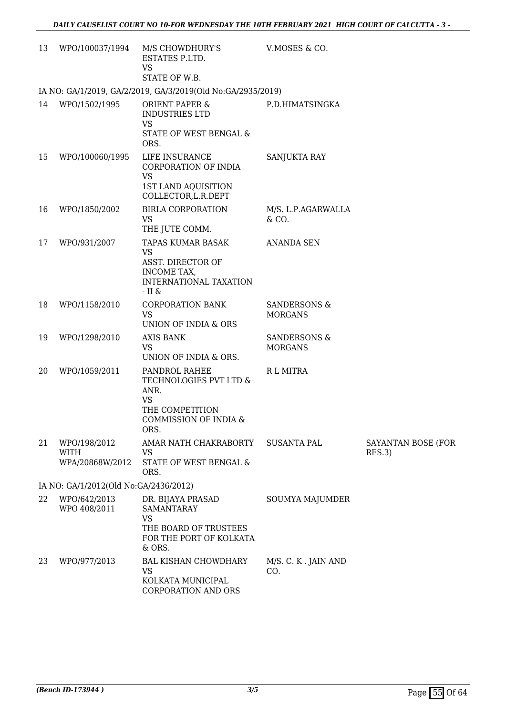| 13 | WPO/100037/1994                                | M/S CHOWDHURY'S<br>ESTATES P.LTD.<br>VS<br>STATE OF W.B.                                                                | V.MOSES & CO.                             |                              |
|----|------------------------------------------------|-------------------------------------------------------------------------------------------------------------------------|-------------------------------------------|------------------------------|
|    |                                                | IA NO: GA/1/2019, GA/2/2019, GA/3/2019(Old No:GA/2935/2019)                                                             |                                           |                              |
| 14 | WPO/1502/1995                                  | <b>ORIENT PAPER &amp;</b><br><b>INDUSTRIES LTD</b><br><b>VS</b><br>STATE OF WEST BENGAL &<br>ORS.                       | P.D.HIMATSINGKA                           |                              |
| 15 | WPO/100060/1995                                | LIFE INSURANCE<br>CORPORATION OF INDIA<br><b>VS</b><br>1ST LAND AQUISITION<br>COLLECTOR, L.R. DEPT                      | <b>SANJUKTA RAY</b>                       |                              |
| 16 | WPO/1850/2002                                  | <b>BIRLA CORPORATION</b><br><b>VS</b><br>THE JUTE COMM.                                                                 | M/S. L.P.AGARWALLA<br>& CO.               |                              |
| 17 | WPO/931/2007                                   | <b>TAPAS KUMAR BASAK</b><br><b>VS</b><br><b>ASST. DIRECTOR OF</b><br>INCOME TAX,<br>INTERNATIONAL TAXATION<br>- II $\&$ | <b>ANANDA SEN</b>                         |                              |
| 18 | WPO/1158/2010                                  | <b>CORPORATION BANK</b><br><b>VS</b><br>UNION OF INDIA & ORS                                                            | <b>SANDERSONS &amp;</b><br><b>MORGANS</b> |                              |
| 19 | WPO/1298/2010                                  | <b>AXIS BANK</b><br><b>VS</b><br>UNION OF INDIA & ORS.                                                                  | SANDERSONS &<br><b>MORGANS</b>            |                              |
| 20 | WPO/1059/2011                                  | PANDROL RAHEE<br>TECHNOLOGIES PVT LTD &<br>ANR.<br><b>VS</b><br>THE COMPETITION<br>COMMISSION OF INDIA &<br>ORS.        | R L MITRA                                 |                              |
| 21 | WPO/198/2012<br><b>WITH</b><br>WPA/20868W/2012 | AMAR NATH CHAKRABORTY<br><b>VS</b><br>STATE OF WEST BENGAL &<br>ORS.                                                    | <b>SUSANTA PAL</b>                        | SAYANTAN BOSE (FOR<br>RES.3) |
|    | IA NO: GA/1/2012(Old No:GA/2436/2012)          |                                                                                                                         |                                           |                              |
| 22 | WPO/642/2013<br>WPO 408/2011                   | DR. BIJAYA PRASAD<br><b>SAMANTARAY</b><br>VS<br>THE BOARD OF TRUSTEES<br>FOR THE PORT OF KOLKATA<br>& ORS.              | SOUMYA MAJUMDER                           |                              |
| 23 | WPO/977/2013                                   | <b>BAL KISHAN CHOWDHARY</b><br>VS<br>KOLKATA MUNICIPAL                                                                  | M/S. C. K. JAIN AND<br>CO.                |                              |

CORPORATION AND ORS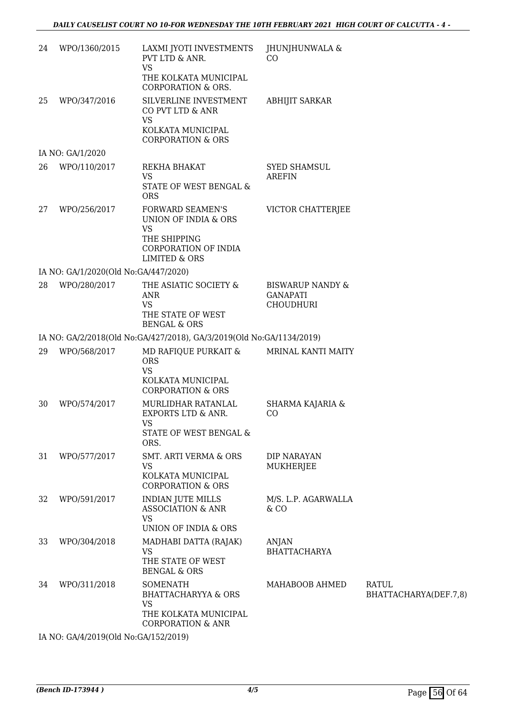| 24 | WPO/1360/2015                        | LAXMI JYOTI INVESTMENTS<br>PVT LTD & ANR.<br><b>VS</b>                                                                           | JHUNJHUNWALA &<br>CO                                        |                                       |
|----|--------------------------------------|----------------------------------------------------------------------------------------------------------------------------------|-------------------------------------------------------------|---------------------------------------|
|    |                                      | THE KOLKATA MUNICIPAL<br><b>CORPORATION &amp; ORS.</b>                                                                           |                                                             |                                       |
| 25 | WPO/347/2016                         | SILVERLINE INVESTMENT<br>CO PVT LTD & ANR<br>VS<br>KOLKATA MUNICIPAL<br><b>CORPORATION &amp; ORS</b>                             | <b>ABHIJIT SARKAR</b>                                       |                                       |
|    | IA NO: GA/1/2020                     |                                                                                                                                  |                                                             |                                       |
| 26 | WPO/110/2017                         | REKHA BHAKAT<br><b>VS</b><br>STATE OF WEST BENGAL &<br><b>ORS</b>                                                                | <b>SYED SHAMSUL</b><br><b>AREFIN</b>                        |                                       |
| 27 | WPO/256/2017                         | <b>FORWARD SEAMEN'S</b><br>UNION OF INDIA & ORS<br><b>VS</b><br>THE SHIPPING<br>CORPORATION OF INDIA<br><b>LIMITED &amp; ORS</b> | VICTOR CHATTERJEE                                           |                                       |
|    | IA NO: GA/1/2020(Old No:GA/447/2020) |                                                                                                                                  |                                                             |                                       |
| 28 | WPO/280/2017                         | THE ASIATIC SOCIETY &<br><b>ANR</b><br><b>VS</b><br>THE STATE OF WEST<br><b>BENGAL &amp; ORS</b>                                 | <b>BISWARUP NANDY &amp;</b><br><b>GANAPATI</b><br>CHOUDHURI |                                       |
|    |                                      | IA NO: GA/2/2018(Old No:GA/427/2018), GA/3/2019(Old No:GA/1134/2019)                                                             |                                                             |                                       |
| 29 | WPO/568/2017                         | MD RAFIQUE PURKAIT &<br><b>ORS</b><br><b>VS</b>                                                                                  | <b>MRINAL KANTI MAITY</b>                                   |                                       |
|    |                                      | KOLKATA MUNICIPAL<br><b>CORPORATION &amp; ORS</b>                                                                                |                                                             |                                       |
| 30 | WPO/574/2017                         | MURLIDHAR RATANLAL<br><b>EXPORTS LTD &amp; ANR.</b><br><b>VS</b><br>STATE OF WEST BENGAL &<br>ORS.                               | SHARMA KAJARIA &<br>CO                                      |                                       |
| 31 | WPO/577/2017                         | SMT. ARTI VERMA & ORS<br>VS<br>KOLKATA MUNICIPAL<br><b>CORPORATION &amp; ORS</b>                                                 | <b>DIP NARAYAN</b><br><b>MUKHERJEE</b>                      |                                       |
| 32 | WPO/591/2017                         | <b>INDIAN JUTE MILLS</b><br><b>ASSOCIATION &amp; ANR</b><br><b>VS</b>                                                            | M/S. L.P. AGARWALLA<br>$&$ CO                               |                                       |
|    |                                      | UNION OF INDIA & ORS                                                                                                             |                                                             |                                       |
| 33 | WPO/304/2018                         | MADHABI DATTA (RAJAK)<br><b>VS</b><br>THE STATE OF WEST<br><b>BENGAL &amp; ORS</b>                                               | ANJAN<br><b>BHATTACHARYA</b>                                |                                       |
| 34 | WPO/311/2018                         | <b>SOMENATH</b><br><b>BHATTACHARYYA &amp; ORS</b><br><b>VS</b><br>THE KOLKATA MUNICIPAL<br><b>CORPORATION &amp; ANR</b>          | MAHABOOB AHMED                                              | <b>RATUL</b><br>BHATTACHARYA(DEF.7,8) |

IA NO: GA/4/2019(Old No:GA/152/2019)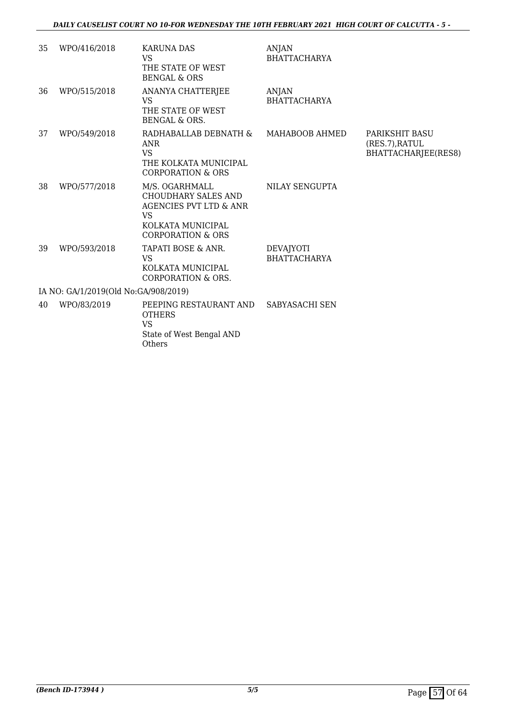| 35                                   | WPO/416/2018 | <b>KARUNA DAS</b><br><b>VS</b><br>THE STATE OF WEST<br><b>BENGAL &amp; ORS</b>                                                                      | <b>ANJAN</b><br><b>BHATTACHARYA</b>     |                                                         |  |
|--------------------------------------|--------------|-----------------------------------------------------------------------------------------------------------------------------------------------------|-----------------------------------------|---------------------------------------------------------|--|
| 36                                   | WPO/515/2018 | ANANYA CHATTERJEE<br><b>VS</b><br>THE STATE OF WEST<br><b>BENGAL &amp; ORS.</b>                                                                     | <b>ANJAN</b><br><b>BHATTACHARYA</b>     |                                                         |  |
| 37                                   | WPO/549/2018 | RADHABALLAB DEBNATH &<br>ANR<br><b>VS</b><br>THE KOLKATA MUNICIPAL<br><b>CORPORATION &amp; ORS</b>                                                  | MAHABOOB AHMED                          | PARIKSHIT BASU<br>(RES.7), RATUL<br>BHATTACHARJEE(RES8) |  |
| 38                                   | WPO/577/2018 | M/S. OGARHMALL<br><b>CHOUDHARY SALES AND</b><br><b>AGENCIES PVT LTD &amp; ANR</b><br><b>VS</b><br>KOLKATA MUNICIPAL<br><b>CORPORATION &amp; ORS</b> | NILAY SENGUPTA                          |                                                         |  |
| 39                                   | WPO/593/2018 | TAPATI BOSE & ANR.<br><b>VS</b><br>KOLKATA MUNICIPAL<br><b>CORPORATION &amp; ORS.</b>                                                               | <b>DEVAJYOTI</b><br><b>BHATTACHARYA</b> |                                                         |  |
| IA NO: GA/1/2019(Old No:GA/908/2019) |              |                                                                                                                                                     |                                         |                                                         |  |
| 40                                   | WPO/83/2019  | PEEPING RESTAURANT AND<br><b>OTHERS</b><br><b>VS</b><br>State of West Bengal AND<br>Others                                                          | SABYASACHI SEN                          |                                                         |  |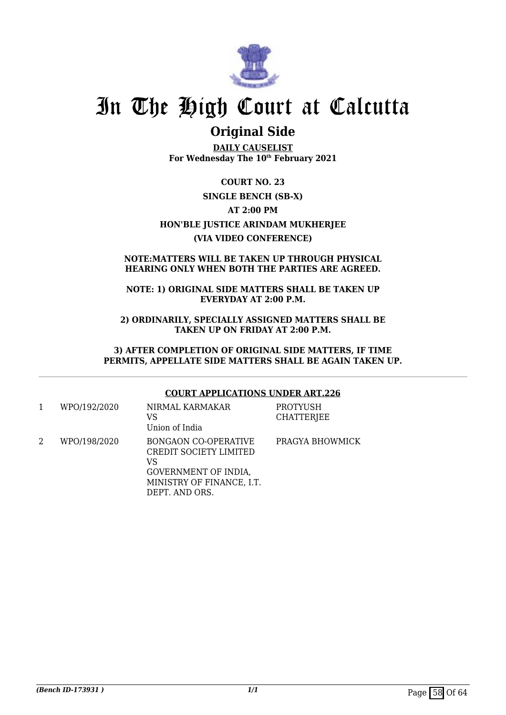

### **Original Side**

**DAILY CAUSELIST For Wednesday The 10th February 2021**

**COURT NO. 23 SINGLE BENCH (SB-X) AT 2:00 PM HON'BLE JUSTICE ARINDAM MUKHERJEE (VIA VIDEO CONFERENCE)**

#### **NOTE:MATTERS WILL BE TAKEN UP THROUGH PHYSICAL HEARING ONLY WHEN BOTH THE PARTIES ARE AGREED.**

#### **NOTE: 1) ORIGINAL SIDE MATTERS SHALL BE TAKEN UP EVERYDAY AT 2:00 P.M.**

**2) ORDINARILY, SPECIALLY ASSIGNED MATTERS SHALL BE TAKEN UP ON FRIDAY AT 2:00 P.M.**

**3) AFTER COMPLETION OF ORIGINAL SIDE MATTERS, IF TIME PERMITS, APPELLATE SIDE MATTERS SHALL BE AGAIN TAKEN UP.**

#### **COURT APPLICATIONS UNDER ART.226**

| WPO/192/2020 | NIRMAL KARMAKAR<br>VS<br>Union of India                                                                                            | PROTYUSH<br><b>CHATTERJEE</b> |
|--------------|------------------------------------------------------------------------------------------------------------------------------------|-------------------------------|
| WPO/198/2020 | <b>BONGAON CO-OPERATIVE</b><br>CREDIT SOCIETY LIMITED<br>VS<br>GOVERNMENT OF INDIA,<br>MINISTRY OF FINANCE, I.T.<br>DEPT. AND ORS. | PRAGYA BHOWMICK               |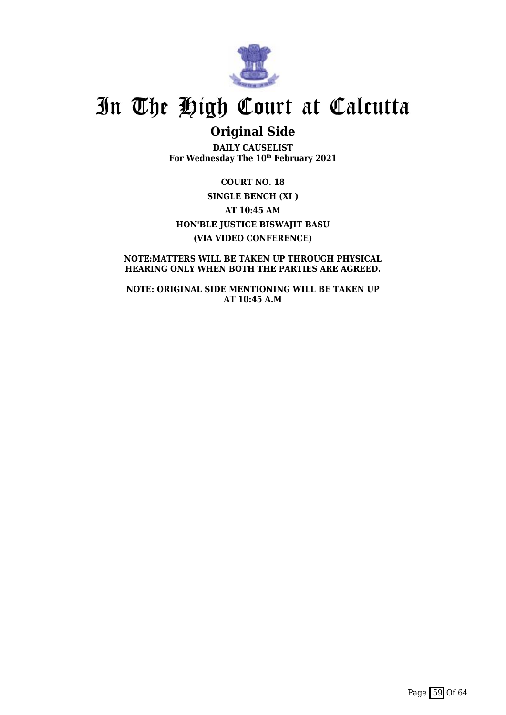

## **Original Side**

**DAILY CAUSELIST For Wednesday The 10th February 2021**

**COURT NO. 18 SINGLE BENCH (XI ) AT 10:45 AM HON'BLE JUSTICE BISWAJIT BASU (VIA VIDEO CONFERENCE)**

**NOTE:MATTERS WILL BE TAKEN UP THROUGH PHYSICAL HEARING ONLY WHEN BOTH THE PARTIES ARE AGREED.**

**NOTE: ORIGINAL SIDE MENTIONING WILL BE TAKEN UP AT 10:45 A.M**

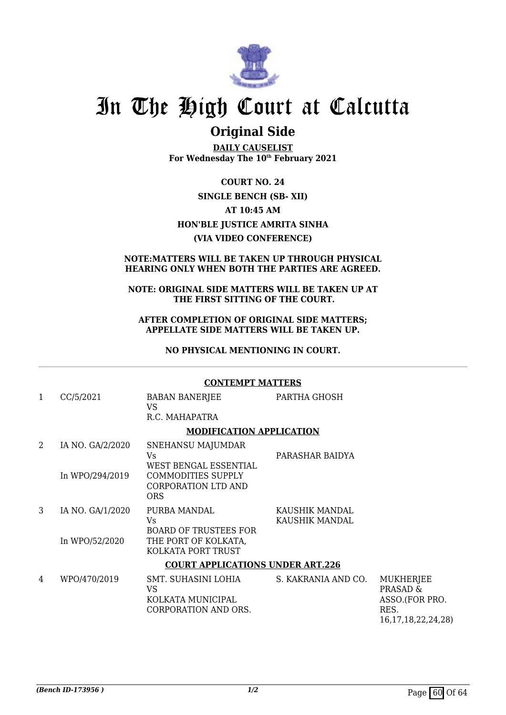

### **Original Side**

**DAILY CAUSELIST For Wednesday The 10th February 2021**

**COURT NO. 24 SINGLE BENCH (SB- XII) AT 10:45 AM HON'BLE JUSTICE AMRITA SINHA (VIA VIDEO CONFERENCE)**

#### **NOTE:MATTERS WILL BE TAKEN UP THROUGH PHYSICAL HEARING ONLY WHEN BOTH THE PARTIES ARE AGREED.**

#### **NOTE: ORIGINAL SIDE MATTERS WILL BE TAKEN UP AT THE FIRST SITTING OF THE COURT.**

#### **AFTER COMPLETION OF ORIGINAL SIDE MATTERS; APPELLATE SIDE MATTERS WILL BE TAKEN UP.**

**NO PHYSICAL MENTIONING IN COURT.**

#### **CONTEMPT MATTERS**

1 CC/5/2021 BABAN BANERJEE VS R.C. MAHAPATRA PARTHA GHOSH **MODIFICATION APPLICATION** 2 IA NO. GA/2/2020 In WPO/294/2019 SNEHANSU MAJUMDAR  $V<sub>c</sub>$ WEST BENGAL ESSENTIAL COMMODITIES SUPPLY CORPORATION LTD AND **ORS** PARASHAR BAIDYA 3 IA NO. GA/1/2020 In WPO/52/2020 PURBA MANDAL Vs BOARD OF TRUSTEES FOR THE PORT OF KOLKATA, KOLKATA PORT TRUST KAUSHIK MANDAL KAUSHIK MANDAL **COURT APPLICATIONS UNDER ART.226**

#### 4 WPO/470/2019 SMT. SUHASINI LOHIA VS KOLKATA MUNICIPAL CORPORATION AND ORS. S. KAKRANIA AND CO. MUKHERJEE PRASAD & ASSO.(FOR PRO. RES. 16,17,18,22,24,28)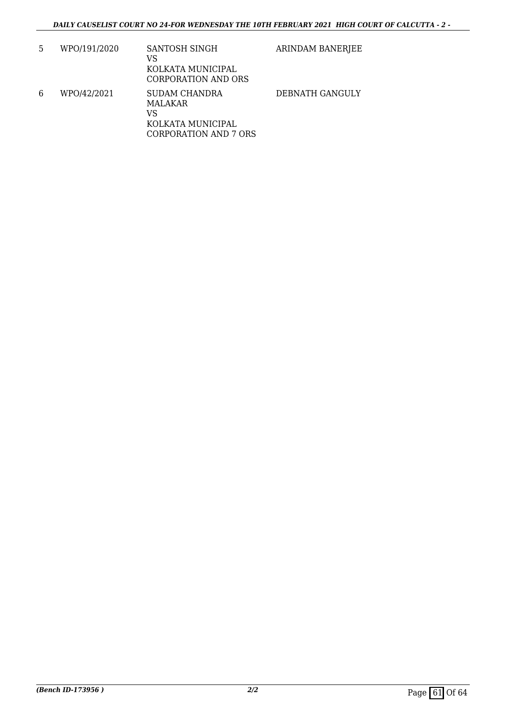| 5 | WPO/191/2020 | SANTOSH SINGH<br>VS<br>KOLKATA MUNICIPAL<br><b>CORPORATION AND ORS</b>              | ARINDAM BANERJEE |
|---|--------------|-------------------------------------------------------------------------------------|------------------|
| 6 | WPO/42/2021  | SUDAM CHANDRA<br>MALAKAR<br>VS<br>KOLKATA MUNICIPAL<br><b>CORPORATION AND 7 ORS</b> | DEBNATH GANGULY  |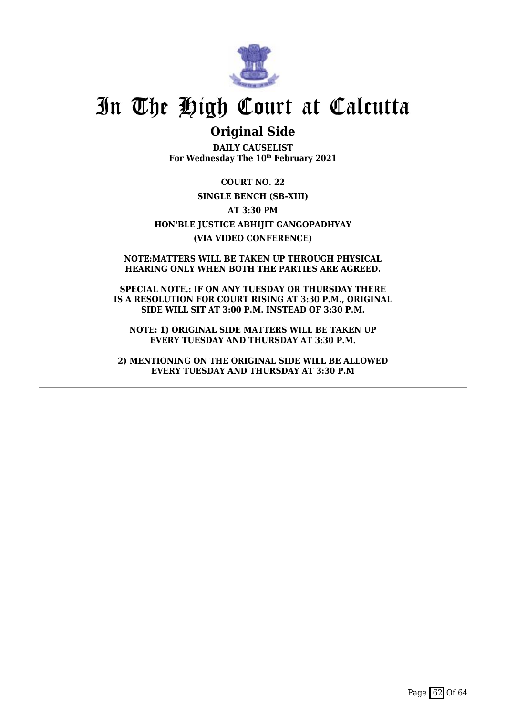

### **Original Side**

**DAILY CAUSELIST For Wednesday The 10th February 2021**

**COURT NO. 22 SINGLE BENCH (SB-XIII) AT 3:30 PM HON'BLE JUSTICE ABHIJIT GANGOPADHYAY (VIA VIDEO CONFERENCE)**

**NOTE:MATTERS WILL BE TAKEN UP THROUGH PHYSICAL HEARING ONLY WHEN BOTH THE PARTIES ARE AGREED.**

**SPECIAL NOTE.: IF ON ANY TUESDAY OR THURSDAY THERE IS A RESOLUTION FOR COURT RISING AT 3:30 P.M., ORIGINAL SIDE WILL SIT AT 3:00 P.M. INSTEAD OF 3:30 P.M.**

**NOTE: 1) ORIGINAL SIDE MATTERS WILL BE TAKEN UP EVERY TUESDAY AND THURSDAY AT 3:30 P.M.**

**2) MENTIONING ON THE ORIGINAL SIDE WILL BE ALLOWED EVERY TUESDAY AND THURSDAY AT 3:30 P.M**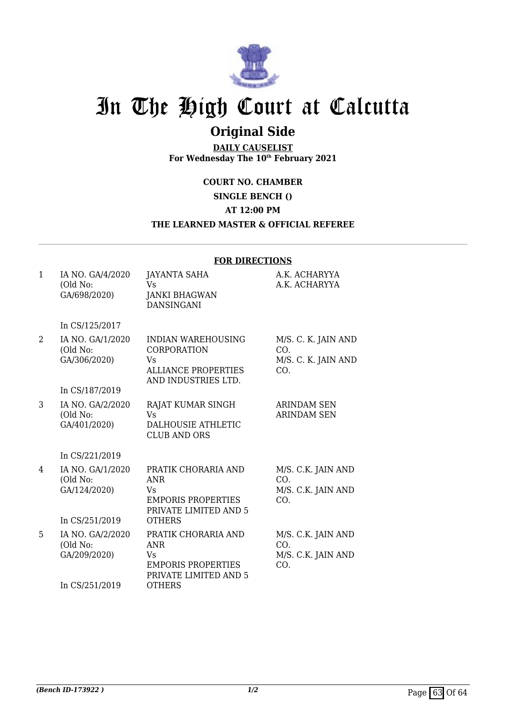

## **Original Side**

**DAILY CAUSELIST For Wednesday The 10th February 2021**

**COURT NO. CHAMBER**

**SINGLE BENCH ()**

**AT 12:00 PM**

#### **THE LEARNED MASTER & OFFICIAL REFEREE**

| $\mathbf{1}$   | IA NO. GA/4/2020                                               | <b>JAYANTA SAHA</b>                                                                                            | A.K. ACHARYYA                                            |
|----------------|----------------------------------------------------------------|----------------------------------------------------------------------------------------------------------------|----------------------------------------------------------|
|                | (Old No:<br>GA/698/2020)                                       | <b>Vs</b><br><b>JANKI BHAGWAN</b><br><b>DANSINGANI</b>                                                         | A.K. ACHARYYA                                            |
|                | In CS/125/2017                                                 |                                                                                                                |                                                          |
| $\overline{2}$ | IA NO. GA/1/2020<br>(Old No:<br>GA/306/2020)                   | <b>INDIAN WAREHOUSING</b><br>CORPORATION<br>Vs<br><b>ALLIANCE PROPERTIES</b><br>AND INDUSTRIES LTD.            | M/S. C. K. JAIN AND<br>CO.<br>M/S. C. K. JAIN AND<br>CO. |
|                | In CS/187/2019                                                 |                                                                                                                |                                                          |
| 3              | IA NO. GA/2/2020<br>(Old No:<br>GA/401/2020)                   | RAJAT KUMAR SINGH<br>Vs<br><b>DALHOUSIE ATHLETIC</b><br><b>CLUB AND ORS</b>                                    | <b>ARINDAM SEN</b><br><b>ARINDAM SEN</b>                 |
|                | In CS/221/2019                                                 |                                                                                                                |                                                          |
| 4              | IA NO. GA/1/2020<br>(Old No:<br>GA/124/2020)<br>In CS/251/2019 | PRATIK CHORARIA AND<br><b>ANR</b><br>Vs<br><b>EMPORIS PROPERTIES</b><br>PRIVATE LIMITED AND 5<br><b>OTHERS</b> | M/S. C.K. JAIN AND<br>CO.<br>M/S. C.K. JAIN AND<br>CO.   |
|                |                                                                |                                                                                                                |                                                          |
| 5              | IA NO. GA/2/2020<br>(Old No:<br>GA/209/2020)                   | PRATIK CHORARIA AND<br><b>ANR</b><br>Vs<br><b>EMPORIS PROPERTIES</b><br>PRIVATE LIMITED AND 5                  | M/S. C.K. JAIN AND<br>CO.<br>M/S. C.K. JAIN AND<br>CO.   |
|                | In CS/251/2019                                                 | <b>OTHERS</b>                                                                                                  |                                                          |

#### **FOR DIRECTIONS**